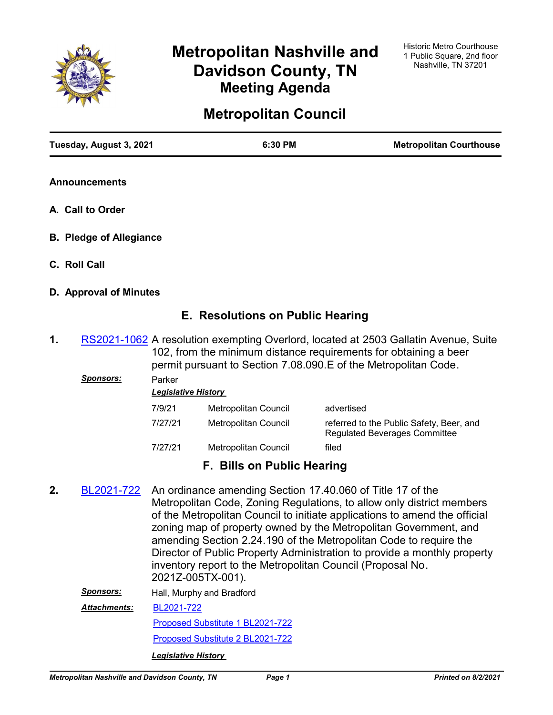

# **Metropolitan Nashville and Davidson County, TN Meeting Agenda**

# **Metropolitan Council**

| Tuesday, August 3, 2021 | 6:30 PM | <b>Metropolitan Courthouse</b> |
|-------------------------|---------|--------------------------------|
|                         |         |                                |

- **Announcements**
- **A. Call to Order**
- **B. Pledge of Allegiance**
- **C. Roll Call**
- **D. Approval of Minutes**

# **E. Resolutions on Public Hearing**

1. [RS2021-1062](http://nashville.legistar.com/gateway.aspx?m=l&id=/matter.aspx?key=13391) A resolution exempting Overlord, located at 2503 Gallatin Avenue, Suite 102, from the minimum distance requirements for obtaining a beer permit pursuant to Section 7.08.090.E of the Metropolitan Code.

| <u>Sponsors:</u> | Parker<br><b>Legislative History</b> |                      |                                                                                  |  |  |
|------------------|--------------------------------------|----------------------|----------------------------------------------------------------------------------|--|--|
|                  | 7/9/21                               | Metropolitan Council | advertised                                                                       |  |  |
|                  | 7/27/21                              | Metropolitan Council | referred to the Public Safety, Beer, and<br><b>Regulated Beverages Committee</b> |  |  |
|                  | 7/27/21                              | Metropolitan Council | filed                                                                            |  |  |

# **F. Bills on Public Hearing**

An ordinance amending Section 17.40.060 of Title 17 of the Metropolitan Code, Zoning Regulations, to allow only district members of the Metropolitan Council to initiate applications to amend the official zoning map of property owned by the Metropolitan Government, and amending Section 2.24.190 of the Metropolitan Code to require the Director of Public Property Administration to provide a monthly property inventory report to the Metropolitan Council (Proposal No. 2021Z-005TX-001). **2.** [BL2021-722](http://nashville.legistar.com/gateway.aspx?m=l&id=/matter.aspx?key=2163) *Sponsors:* Hall, Murphy and Bradford

[BL2021-722](http://nashville.legistar.com/gateway.aspx?M=F&ID=7df8891c-e165-48ab-97d4-a0a3395f2934.pdf) *Attachments:*

[Proposed Substitute 1 BL2021-722](http://nashville.legistar.com/gateway.aspx?M=F&ID=d338e517-1e7e-424f-85ac-f9c11a4bdead.docx)

[Proposed Substitute 2 BL2021-722](http://nashville.legistar.com/gateway.aspx?M=F&ID=d4094962-32ca-4ac7-be99-5c90442c1b35.docx)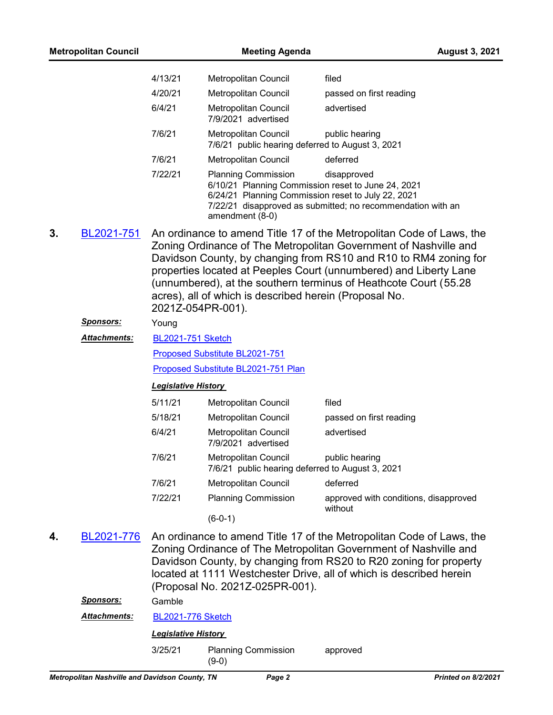|    | <b>Metropolitan Council</b>                    |                            | <b>Meeting Agenda</b>                                                                               |                                                                                                                                                                                                                                                                                                                                                       | <b>August 3, 2021</b>      |
|----|------------------------------------------------|----------------------------|-----------------------------------------------------------------------------------------------------|-------------------------------------------------------------------------------------------------------------------------------------------------------------------------------------------------------------------------------------------------------------------------------------------------------------------------------------------------------|----------------------------|
|    |                                                | 4/13/21                    | Metropolitan Council                                                                                | filed                                                                                                                                                                                                                                                                                                                                                 |                            |
|    |                                                | 4/20/21                    | Metropolitan Council                                                                                | passed on first reading                                                                                                                                                                                                                                                                                                                               |                            |
|    |                                                | 6/4/21                     | Metropolitan Council<br>7/9/2021 advertised                                                         | advertised                                                                                                                                                                                                                                                                                                                                            |                            |
|    |                                                | 7/6/21                     | Metropolitan Council<br>7/6/21 public hearing deferred to August 3, 2021                            | public hearing                                                                                                                                                                                                                                                                                                                                        |                            |
|    |                                                | 7/6/21                     | Metropolitan Council                                                                                | deferred                                                                                                                                                                                                                                                                                                                                              |                            |
|    |                                                | 7/22/21                    | <b>Planning Commission</b><br>6/24/21 Planning Commission reset to July 22, 2021<br>amendment (8-0) | disapproved<br>6/10/21 Planning Commission reset to June 24, 2021<br>7/22/21 disapproved as submitted; no recommendation with an                                                                                                                                                                                                                      |                            |
| 3. | BL2021-751                                     | 2021Z-054PR-001).          | acres), all of which is described herein (Proposal No.                                              | An ordinance to amend Title 17 of the Metropolitan Code of Laws, the<br>Zoning Ordinance of The Metropolitan Government of Nashville and<br>Davidson County, by changing from RS10 and R10 to RM4 zoning for<br>properties located at Peeples Court (unnumbered) and Liberty Lane<br>(unnumbered), at the southern terminus of Heathcote Court (55.28 |                            |
|    | <u>Sponsors:</u>                               | Young                      |                                                                                                     |                                                                                                                                                                                                                                                                                                                                                       |                            |
|    | <b>Attachments:</b>                            | <b>BL2021-751 Sketch</b>   |                                                                                                     |                                                                                                                                                                                                                                                                                                                                                       |                            |
|    |                                                |                            | Proposed Substitute BL2021-751                                                                      |                                                                                                                                                                                                                                                                                                                                                       |                            |
|    |                                                |                            | Proposed Substitute BL2021-751 Plan                                                                 |                                                                                                                                                                                                                                                                                                                                                       |                            |
|    |                                                | <b>Legislative History</b> |                                                                                                     |                                                                                                                                                                                                                                                                                                                                                       |                            |
|    |                                                | 5/11/21                    | Metropolitan Council                                                                                | filed                                                                                                                                                                                                                                                                                                                                                 |                            |
|    |                                                | 5/18/21                    | Metropolitan Council                                                                                | passed on first reading                                                                                                                                                                                                                                                                                                                               |                            |
|    |                                                | 6/4/21                     | Metropolitan Council<br>7/9/2021 advertised                                                         | advertised                                                                                                                                                                                                                                                                                                                                            |                            |
|    |                                                | 7/6/21                     | Metropolitan Council<br>7/6/21 public hearing deferred to August 3, 2021                            | public hearing                                                                                                                                                                                                                                                                                                                                        |                            |
|    |                                                | 7/6/21                     | <b>Metropolitan Council</b>                                                                         | deferred                                                                                                                                                                                                                                                                                                                                              |                            |
|    |                                                | 7/22/21                    | <b>Planning Commission</b>                                                                          | approved with conditions, disapproved<br>without                                                                                                                                                                                                                                                                                                      |                            |
|    |                                                |                            | $(6-0-1)$                                                                                           |                                                                                                                                                                                                                                                                                                                                                       |                            |
| 4. | BL2021-776                                     |                            | (Proposal No. 2021Z-025PR-001).                                                                     | An ordinance to amend Title 17 of the Metropolitan Code of Laws, the<br>Zoning Ordinance of The Metropolitan Government of Nashville and<br>Davidson County, by changing from RS20 to R20 zoning for property<br>located at 1111 Westchester Drive, all of which is described herein                                                                  |                            |
|    | <b>Sponsors:</b>                               | Gamble                     |                                                                                                     |                                                                                                                                                                                                                                                                                                                                                       |                            |
|    | Attachments:                                   | <b>BL2021-776 Sketch</b>   |                                                                                                     |                                                                                                                                                                                                                                                                                                                                                       |                            |
|    |                                                | <b>Legislative History</b> |                                                                                                     |                                                                                                                                                                                                                                                                                                                                                       |                            |
|    |                                                | 3/25/21                    | <b>Planning Commission</b><br>$(9-0)$                                                               | approved                                                                                                                                                                                                                                                                                                                                              |                            |
|    | Metropolitan Nashville and Davidson County, TN |                            | Page 2                                                                                              |                                                                                                                                                                                                                                                                                                                                                       | <b>Printed on 8/2/2021</b> |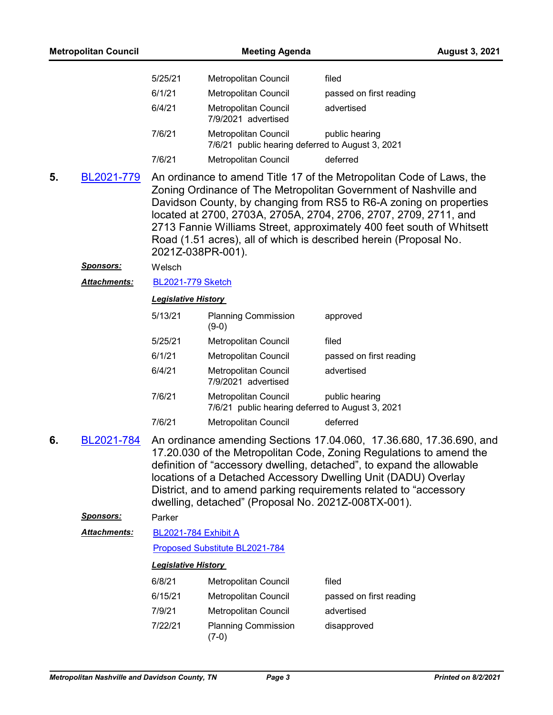|    | <b>Metropolitan Council</b> |                            | <b>Meeting Agenda</b>                                                    | <b>August 3, 2021</b>                                                                                                                                                                                                                                                                                                                                                                                                            |
|----|-----------------------------|----------------------------|--------------------------------------------------------------------------|----------------------------------------------------------------------------------------------------------------------------------------------------------------------------------------------------------------------------------------------------------------------------------------------------------------------------------------------------------------------------------------------------------------------------------|
|    |                             | 5/25/21                    | Metropolitan Council                                                     | filed                                                                                                                                                                                                                                                                                                                                                                                                                            |
|    |                             | 6/1/21                     | Metropolitan Council                                                     | passed on first reading                                                                                                                                                                                                                                                                                                                                                                                                          |
|    |                             | 6/4/21                     | <b>Metropolitan Council</b><br>7/9/2021 advertised                       | advertised                                                                                                                                                                                                                                                                                                                                                                                                                       |
|    |                             | 7/6/21                     | Metropolitan Council<br>7/6/21 public hearing deferred to August 3, 2021 | public hearing                                                                                                                                                                                                                                                                                                                                                                                                                   |
|    |                             | 7/6/21                     | Metropolitan Council                                                     | deferred                                                                                                                                                                                                                                                                                                                                                                                                                         |
| 5. | BL2021-779                  |                            | 2021Z-038PR-001).                                                        | An ordinance to amend Title 17 of the Metropolitan Code of Laws, the<br>Zoning Ordinance of The Metropolitan Government of Nashville and<br>Davidson County, by changing from RS5 to R6-A zoning on properties<br>located at 2700, 2703A, 2705A, 2704, 2706, 2707, 2709, 2711, and<br>2713 Fannie Williams Street, approximately 400 feet south of Whitsett<br>Road (1.51 acres), all of which is described herein (Proposal No. |
|    | <u>Sponsors:</u>            | Welsch                     |                                                                          |                                                                                                                                                                                                                                                                                                                                                                                                                                  |
|    | Attachments:                | <b>BL2021-779 Sketch</b>   |                                                                          |                                                                                                                                                                                                                                                                                                                                                                                                                                  |
|    |                             | <b>Legislative History</b> |                                                                          |                                                                                                                                                                                                                                                                                                                                                                                                                                  |
|    |                             | 5/13/21                    | <b>Planning Commission</b><br>$(9-0)$                                    | approved                                                                                                                                                                                                                                                                                                                                                                                                                         |
|    |                             | 5/25/21                    | Metropolitan Council                                                     | filed                                                                                                                                                                                                                                                                                                                                                                                                                            |
|    |                             | 6/1/21                     | Metropolitan Council                                                     | passed on first reading                                                                                                                                                                                                                                                                                                                                                                                                          |
|    |                             | 6/4/21                     | <b>Metropolitan Council</b><br>7/9/2021 advertised                       | advertised                                                                                                                                                                                                                                                                                                                                                                                                                       |
|    |                             | 7/6/21                     | Metropolitan Council<br>7/6/21 public hearing deferred to August 3, 2021 | public hearing                                                                                                                                                                                                                                                                                                                                                                                                                   |
|    |                             | 7/6/21                     | Metropolitan Council                                                     | deferred                                                                                                                                                                                                                                                                                                                                                                                                                         |
| 6. | BL2021-784                  |                            | dwelling, detached" (Proposal No. 2021Z-008TX-001).                      | An ordinance amending Sections 17.04.060, 17.36.680, 17.36.690, and<br>17.20.030 of the Metropolitan Code, Zoning Regulations to amend the<br>definition of "accessory dwelling, detached", to expand the allowable<br>locations of a Detached Accessory Dwelling Unit (DADU) Overlay<br>District, and to amend parking requirements related to "accessory                                                                       |
|    | Sponsors:                   | Parker                     |                                                                          |                                                                                                                                                                                                                                                                                                                                                                                                                                  |
|    | <b>Attachments:</b>         | BL2021-784 Exhibit A       |                                                                          |                                                                                                                                                                                                                                                                                                                                                                                                                                  |
|    |                             |                            | Proposed Substitute BL2021-784                                           |                                                                                                                                                                                                                                                                                                                                                                                                                                  |
|    |                             | <b>Legislative History</b> |                                                                          |                                                                                                                                                                                                                                                                                                                                                                                                                                  |
|    |                             | 6/8/21                     | Metropolitan Council                                                     | filed                                                                                                                                                                                                                                                                                                                                                                                                                            |
|    |                             | 6/15/21                    | Metropolitan Council                                                     | passed on first reading                                                                                                                                                                                                                                                                                                                                                                                                          |
|    |                             | 7/9/21                     | Metropolitan Council                                                     | advertised                                                                                                                                                                                                                                                                                                                                                                                                                       |
|    |                             | 7/22/21                    | <b>Planning Commission</b><br>$(7-0)$                                    | disapproved                                                                                                                                                                                                                                                                                                                                                                                                                      |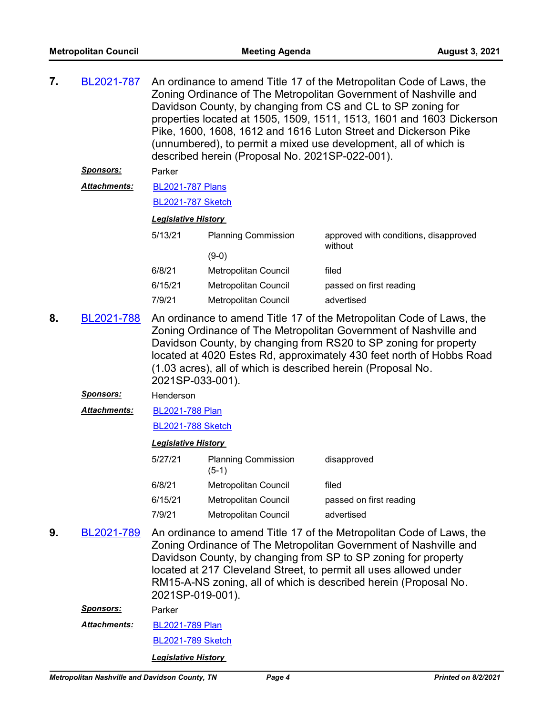| 7. | <u>BL2021-787</u>                                                                                                                                                                                                                                                                                                                                                                      | An ordinance to amend Title 17 of the Metropolitan Code of Laws, the<br>Zoning Ordinance of The Metropolitan Government of Nashville and<br>Davidson County, by changing from CS and CL to SP zoning for<br>properties located at 1505, 1509, 1511, 1513, 1601 and 1603 Dickerson<br>Pike, 1600, 1608, 1612 and 1616 Luton Street and Dickerson Pike<br>(unnumbered), to permit a mixed use development, all of which is<br>described herein (Proposal No. 2021SP-022-001). |                                       |                                                                                                                                                                                                                                                                                                                                                     |  |  |  |
|----|----------------------------------------------------------------------------------------------------------------------------------------------------------------------------------------------------------------------------------------------------------------------------------------------------------------------------------------------------------------------------------------|-----------------------------------------------------------------------------------------------------------------------------------------------------------------------------------------------------------------------------------------------------------------------------------------------------------------------------------------------------------------------------------------------------------------------------------------------------------------------------|---------------------------------------|-----------------------------------------------------------------------------------------------------------------------------------------------------------------------------------------------------------------------------------------------------------------------------------------------------------------------------------------------------|--|--|--|
|    | <u>Sponsors:</u>                                                                                                                                                                                                                                                                                                                                                                       | Parker                                                                                                                                                                                                                                                                                                                                                                                                                                                                      |                                       |                                                                                                                                                                                                                                                                                                                                                     |  |  |  |
|    | <b>Attachments:</b>                                                                                                                                                                                                                                                                                                                                                                    | <b>BL2021-787 Plans</b>                                                                                                                                                                                                                                                                                                                                                                                                                                                     |                                       |                                                                                                                                                                                                                                                                                                                                                     |  |  |  |
|    |                                                                                                                                                                                                                                                                                                                                                                                        | <b>BL2021-787 Sketch</b>                                                                                                                                                                                                                                                                                                                                                                                                                                                    |                                       |                                                                                                                                                                                                                                                                                                                                                     |  |  |  |
|    |                                                                                                                                                                                                                                                                                                                                                                                        | <b>Legislative History</b>                                                                                                                                                                                                                                                                                                                                                                                                                                                  |                                       |                                                                                                                                                                                                                                                                                                                                                     |  |  |  |
|    |                                                                                                                                                                                                                                                                                                                                                                                        | 5/13/21                                                                                                                                                                                                                                                                                                                                                                                                                                                                     | <b>Planning Commission</b>            | approved with conditions, disapproved                                                                                                                                                                                                                                                                                                               |  |  |  |
|    |                                                                                                                                                                                                                                                                                                                                                                                        |                                                                                                                                                                                                                                                                                                                                                                                                                                                                             | $(9-0)$                               | without                                                                                                                                                                                                                                                                                                                                             |  |  |  |
|    |                                                                                                                                                                                                                                                                                                                                                                                        | 6/8/21                                                                                                                                                                                                                                                                                                                                                                                                                                                                      | Metropolitan Council                  | filed                                                                                                                                                                                                                                                                                                                                               |  |  |  |
|    |                                                                                                                                                                                                                                                                                                                                                                                        | 6/15/21                                                                                                                                                                                                                                                                                                                                                                                                                                                                     | Metropolitan Council                  | passed on first reading                                                                                                                                                                                                                                                                                                                             |  |  |  |
|    |                                                                                                                                                                                                                                                                                                                                                                                        | 7/9/21                                                                                                                                                                                                                                                                                                                                                                                                                                                                      | Metropolitan Council                  | advertised                                                                                                                                                                                                                                                                                                                                          |  |  |  |
| 8. | An ordinance to amend Title 17 of the Metropolitan Code of Laws, the<br>BL2021-788<br>Zoning Ordinance of The Metropolitan Government of Nashville and<br>Davidson County, by changing from RS20 to SP zoning for property<br>located at 4020 Estes Rd, approximately 430 feet north of Hobbs Road<br>(1.03 acres), all of which is described herein (Proposal No.<br>2021SP-033-001). |                                                                                                                                                                                                                                                                                                                                                                                                                                                                             |                                       |                                                                                                                                                                                                                                                                                                                                                     |  |  |  |
|    | <u>Sponsors:</u>                                                                                                                                                                                                                                                                                                                                                                       | Henderson                                                                                                                                                                                                                                                                                                                                                                                                                                                                   |                                       |                                                                                                                                                                                                                                                                                                                                                     |  |  |  |
|    | <b>Attachments:</b>                                                                                                                                                                                                                                                                                                                                                                    | <b>BL2021-788 Plan</b>                                                                                                                                                                                                                                                                                                                                                                                                                                                      |                                       |                                                                                                                                                                                                                                                                                                                                                     |  |  |  |
|    |                                                                                                                                                                                                                                                                                                                                                                                        | <b>BL2021-788 Sketch</b>                                                                                                                                                                                                                                                                                                                                                                                                                                                    |                                       |                                                                                                                                                                                                                                                                                                                                                     |  |  |  |
|    |                                                                                                                                                                                                                                                                                                                                                                                        | <b>Legislative History</b>                                                                                                                                                                                                                                                                                                                                                                                                                                                  |                                       |                                                                                                                                                                                                                                                                                                                                                     |  |  |  |
|    |                                                                                                                                                                                                                                                                                                                                                                                        | 5/27/21                                                                                                                                                                                                                                                                                                                                                                                                                                                                     | <b>Planning Commission</b><br>$(5-1)$ | disapproved                                                                                                                                                                                                                                                                                                                                         |  |  |  |
|    |                                                                                                                                                                                                                                                                                                                                                                                        | 6/8/21                                                                                                                                                                                                                                                                                                                                                                                                                                                                      | Metropolitan Council                  | filed                                                                                                                                                                                                                                                                                                                                               |  |  |  |
|    |                                                                                                                                                                                                                                                                                                                                                                                        | 6/15/21                                                                                                                                                                                                                                                                                                                                                                                                                                                                     | Metropolitan Council                  | passed on first reading                                                                                                                                                                                                                                                                                                                             |  |  |  |
|    |                                                                                                                                                                                                                                                                                                                                                                                        | 7/9/21                                                                                                                                                                                                                                                                                                                                                                                                                                                                      | <b>Metropolitan Council</b>           | advertised                                                                                                                                                                                                                                                                                                                                          |  |  |  |
| 9. | BL2021-789                                                                                                                                                                                                                                                                                                                                                                             | 2021SP-019-001).                                                                                                                                                                                                                                                                                                                                                                                                                                                            |                                       | An ordinance to amend Title 17 of the Metropolitan Code of Laws, the<br>Zoning Ordinance of The Metropolitan Government of Nashville and<br>Davidson County, by changing from SP to SP zoning for property<br>located at 217 Cleveland Street, to permit all uses allowed under<br>RM15-A-NS zoning, all of which is described herein (Proposal No. |  |  |  |
|    | <u>Sponsors:</u>                                                                                                                                                                                                                                                                                                                                                                       | Parker                                                                                                                                                                                                                                                                                                                                                                                                                                                                      |                                       |                                                                                                                                                                                                                                                                                                                                                     |  |  |  |
|    | Attachments:                                                                                                                                                                                                                                                                                                                                                                           | <b>BL2021-789 Plan</b>                                                                                                                                                                                                                                                                                                                                                                                                                                                      |                                       |                                                                                                                                                                                                                                                                                                                                                     |  |  |  |

[BL2021-789 Sketch](http://nashville.legistar.com/gateway.aspx?M=F&ID=a970bfc1-39ab-4e78-abb8-5ac2dc4235c1.docx)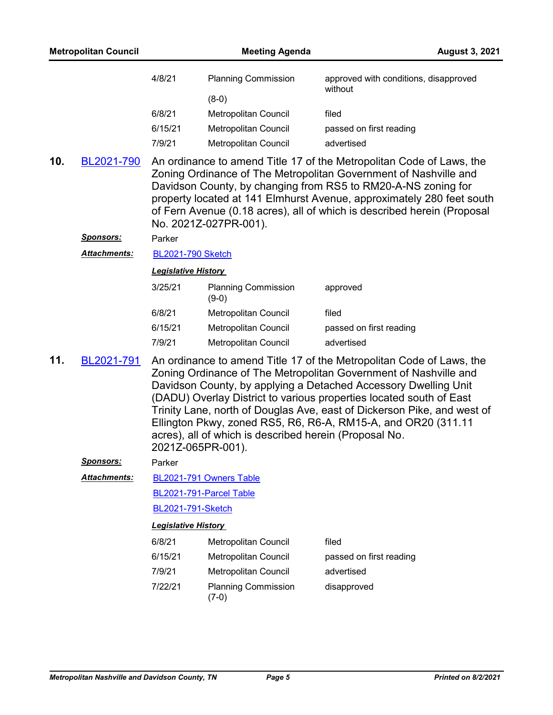|     | <b>Metropolitan Council</b> |                            | <b>Meeting Agenda</b>                                  | <b>August 3, 2021</b>                                                                                                                                                                                                                                                                                                                                                                                                          |
|-----|-----------------------------|----------------------------|--------------------------------------------------------|--------------------------------------------------------------------------------------------------------------------------------------------------------------------------------------------------------------------------------------------------------------------------------------------------------------------------------------------------------------------------------------------------------------------------------|
|     |                             | 4/8/21                     | <b>Planning Commission</b>                             | approved with conditions, disapproved<br>without                                                                                                                                                                                                                                                                                                                                                                               |
|     |                             | 6/8/21                     | $(8-0)$                                                |                                                                                                                                                                                                                                                                                                                                                                                                                                |
|     |                             | 6/15/21                    | Metropolitan Council<br>Metropolitan Council           | filed<br>passed on first reading                                                                                                                                                                                                                                                                                                                                                                                               |
|     |                             | 7/9/21                     | Metropolitan Council                                   | advertised                                                                                                                                                                                                                                                                                                                                                                                                                     |
| 10. | BL2021-790                  |                            | No. 2021Z-027PR-001).                                  | An ordinance to amend Title 17 of the Metropolitan Code of Laws, the<br>Zoning Ordinance of The Metropolitan Government of Nashville and<br>Davidson County, by changing from RS5 to RM20-A-NS zoning for<br>property located at 141 Elmhurst Avenue, approximately 280 feet south<br>of Fern Avenue (0.18 acres), all of which is described herein (Proposal                                                                  |
|     | <b>Sponsors:</b>            | Parker                     |                                                        |                                                                                                                                                                                                                                                                                                                                                                                                                                |
|     | Attachments:                | <b>BL2021-790 Sketch</b>   |                                                        |                                                                                                                                                                                                                                                                                                                                                                                                                                |
|     |                             | <b>Legislative History</b> |                                                        |                                                                                                                                                                                                                                                                                                                                                                                                                                |
|     |                             | 3/25/21                    | <b>Planning Commission</b><br>$(9-0)$                  | approved                                                                                                                                                                                                                                                                                                                                                                                                                       |
|     |                             | 6/8/21                     | Metropolitan Council                                   | filed                                                                                                                                                                                                                                                                                                                                                                                                                          |
|     |                             | 6/15/21                    | Metropolitan Council                                   | passed on first reading                                                                                                                                                                                                                                                                                                                                                                                                        |
|     |                             | 7/9/21                     | Metropolitan Council                                   | advertised                                                                                                                                                                                                                                                                                                                                                                                                                     |
| 11. | BL2021-791                  | 2021Z-065PR-001).          | acres), all of which is described herein (Proposal No. | An ordinance to amend Title 17 of the Metropolitan Code of Laws, the<br>Zoning Ordinance of The Metropolitan Government of Nashville and<br>Davidson County, by applying a Detached Accessory Dwelling Unit<br>(DADU) Overlay District to various properties located south of East<br>Trinity Lane, north of Douglas Ave, east of Dickerson Pike, and west of<br>Ellington Pkwy, zoned RS5, R6, R6-A, RM15-A, and OR20 (311.11 |
|     | <u>Sponsors:</u>            | Parker                     |                                                        |                                                                                                                                                                                                                                                                                                                                                                                                                                |
|     | <b>Attachments:</b>         |                            | BL2021-791 Owners Table                                |                                                                                                                                                                                                                                                                                                                                                                                                                                |
|     |                             |                            | BL2021-791-Parcel Table                                |                                                                                                                                                                                                                                                                                                                                                                                                                                |
|     |                             | <b>BL2021-791-Sketch</b>   |                                                        |                                                                                                                                                                                                                                                                                                                                                                                                                                |
|     |                             | <b>Legislative History</b> |                                                        |                                                                                                                                                                                                                                                                                                                                                                                                                                |
|     |                             | 6/8/21                     | Metropolitan Council                                   | filed                                                                                                                                                                                                                                                                                                                                                                                                                          |
|     |                             | 6/15/21                    | Metropolitan Council                                   | passed on first reading                                                                                                                                                                                                                                                                                                                                                                                                        |
|     |                             | 7/9/21                     | Metropolitan Council                                   | advertised                                                                                                                                                                                                                                                                                                                                                                                                                     |
|     |                             | 7/22/21                    | <b>Planning Commission</b><br>$(7-0)$                  | disapproved                                                                                                                                                                                                                                                                                                                                                                                                                    |
|     |                             |                            |                                                        |                                                                                                                                                                                                                                                                                                                                                                                                                                |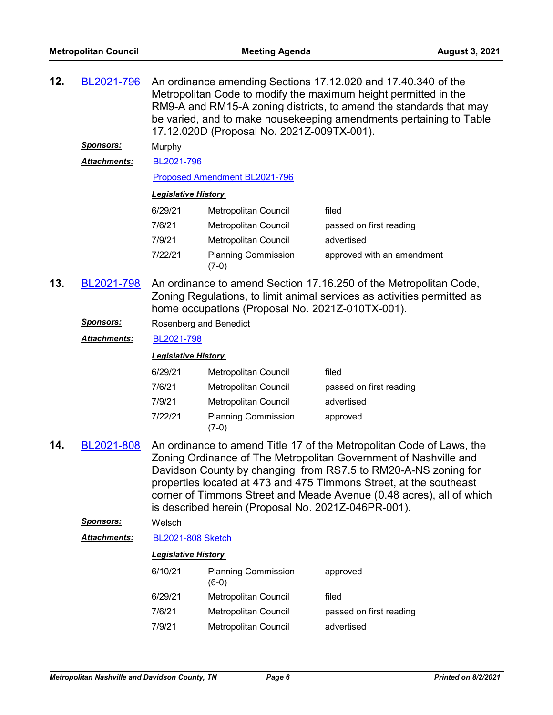| 12. | BL2021-796          | An ordinance amending Sections 17.12.020 and 17.40.340 of the<br>Metropolitan Code to modify the maximum height permitted in the<br>RM9-A and RM15-A zoning districts, to amend the standards that may<br>be varied, and to make housekeeping amendments pertaining to Table<br>17.12.020D (Proposal No. 2021Z-009TX-001). |                                                     |                                                                                                                                                                                                                                                                                                                                                          |  |  |
|-----|---------------------|----------------------------------------------------------------------------------------------------------------------------------------------------------------------------------------------------------------------------------------------------------------------------------------------------------------------------|-----------------------------------------------------|----------------------------------------------------------------------------------------------------------------------------------------------------------------------------------------------------------------------------------------------------------------------------------------------------------------------------------------------------------|--|--|
|     | <u>Sponsors:</u>    | Murphy                                                                                                                                                                                                                                                                                                                     |                                                     |                                                                                                                                                                                                                                                                                                                                                          |  |  |
|     | <b>Attachments:</b> | BL2021-796                                                                                                                                                                                                                                                                                                                 |                                                     |                                                                                                                                                                                                                                                                                                                                                          |  |  |
|     |                     |                                                                                                                                                                                                                                                                                                                            | Proposed Amendment BL2021-796                       |                                                                                                                                                                                                                                                                                                                                                          |  |  |
|     |                     | <b>Legislative History</b>                                                                                                                                                                                                                                                                                                 |                                                     |                                                                                                                                                                                                                                                                                                                                                          |  |  |
|     |                     | 6/29/21                                                                                                                                                                                                                                                                                                                    | Metropolitan Council                                | filed                                                                                                                                                                                                                                                                                                                                                    |  |  |
|     |                     | 7/6/21                                                                                                                                                                                                                                                                                                                     | Metropolitan Council                                | passed on first reading                                                                                                                                                                                                                                                                                                                                  |  |  |
|     |                     | 7/9/21                                                                                                                                                                                                                                                                                                                     | Metropolitan Council                                | advertised                                                                                                                                                                                                                                                                                                                                               |  |  |
|     |                     | 7/22/21                                                                                                                                                                                                                                                                                                                    | <b>Planning Commission</b><br>$(7-0)$               | approved with an amendment                                                                                                                                                                                                                                                                                                                               |  |  |
| 13. | BL2021-798          |                                                                                                                                                                                                                                                                                                                            | home occupations (Proposal No. 2021Z-010TX-001).    | An ordinance to amend Section 17.16.250 of the Metropolitan Code,<br>Zoning Regulations, to limit animal services as activities permitted as                                                                                                                                                                                                             |  |  |
|     | Sponsors:           | Rosenberg and Benedict                                                                                                                                                                                                                                                                                                     |                                                     |                                                                                                                                                                                                                                                                                                                                                          |  |  |
|     | Attachments:        | BL2021-798                                                                                                                                                                                                                                                                                                                 |                                                     |                                                                                                                                                                                                                                                                                                                                                          |  |  |
|     |                     | <b>Legislative History</b>                                                                                                                                                                                                                                                                                                 |                                                     |                                                                                                                                                                                                                                                                                                                                                          |  |  |
|     |                     | 6/29/21                                                                                                                                                                                                                                                                                                                    | Metropolitan Council                                | filed                                                                                                                                                                                                                                                                                                                                                    |  |  |
|     |                     | 7/6/21                                                                                                                                                                                                                                                                                                                     | Metropolitan Council                                | passed on first reading                                                                                                                                                                                                                                                                                                                                  |  |  |
|     |                     | 7/9/21                                                                                                                                                                                                                                                                                                                     | Metropolitan Council                                | advertised                                                                                                                                                                                                                                                                                                                                               |  |  |
|     |                     | 7/22/21                                                                                                                                                                                                                                                                                                                    | <b>Planning Commission</b><br>$(7-0)$               | approved                                                                                                                                                                                                                                                                                                                                                 |  |  |
| 14. | BL2021-808          |                                                                                                                                                                                                                                                                                                                            | is described herein (Proposal No. 2021Z-046PR-001). | An ordinance to amend Title 17 of the Metropolitan Code of Laws, the<br>Zoning Ordinance of The Metropolitan Government of Nashville and<br>Davidson County by changing from RS7.5 to RM20-A-NS zoning for<br>properties located at 473 and 475 Timmons Street, at the southeast<br>corner of Timmons Street and Meade Avenue (0.48 acres), all of which |  |  |
|     | <b>Sponsors:</b>    | Welsch                                                                                                                                                                                                                                                                                                                     |                                                     |                                                                                                                                                                                                                                                                                                                                                          |  |  |
|     | Attachments:        | <b>BL2021-808 Sketch</b>                                                                                                                                                                                                                                                                                                   |                                                     |                                                                                                                                                                                                                                                                                                                                                          |  |  |
|     |                     | <b>Legislative History</b>                                                                                                                                                                                                                                                                                                 |                                                     |                                                                                                                                                                                                                                                                                                                                                          |  |  |
|     |                     | 6/10/21                                                                                                                                                                                                                                                                                                                    | <b>Planning Commission</b><br>$(6-0)$               | approved                                                                                                                                                                                                                                                                                                                                                 |  |  |
|     |                     | 6/29/21                                                                                                                                                                                                                                                                                                                    | Metropolitan Council                                | filed                                                                                                                                                                                                                                                                                                                                                    |  |  |
|     |                     | 7/6/21                                                                                                                                                                                                                                                                                                                     | Metropolitan Council                                | passed on first reading                                                                                                                                                                                                                                                                                                                                  |  |  |
|     |                     | 7/9/21                                                                                                                                                                                                                                                                                                                     | Metropolitan Council                                | advertised                                                                                                                                                                                                                                                                                                                                               |  |  |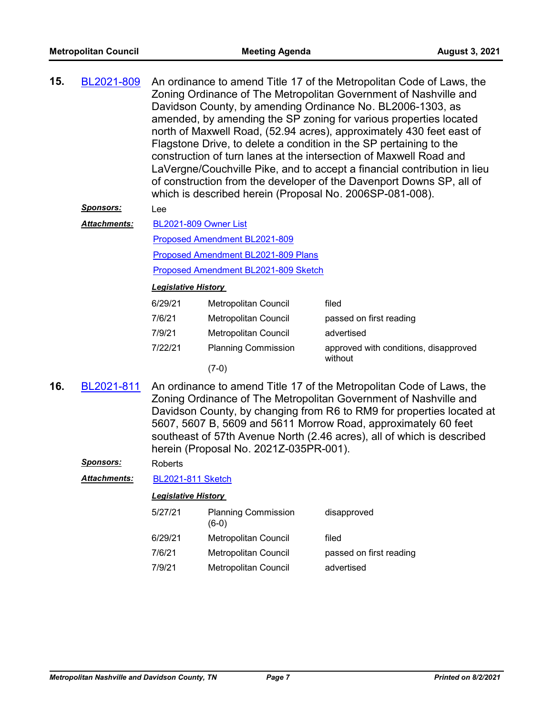| 15. | BL2021-809 | An ordinance to amend Title 17 of the Metropolitan Code of Laws, the<br>Zoning Ordinance of The Metropolitan Government of Nashville and<br>Davidson County, by amending Ordinance No. BL2006-1303, as<br>amended, by amending the SP zoning for various properties located<br>north of Maxwell Road, (52.94 acres), approximately 430 feet east of<br>Flagstone Drive, to delete a condition in the SP pertaining to the<br>construction of turn lanes at the intersection of Maxwell Road and<br>LaVergne/Couchville Pike, and to accept a financial contribution in lieu |
|-----|------------|-----------------------------------------------------------------------------------------------------------------------------------------------------------------------------------------------------------------------------------------------------------------------------------------------------------------------------------------------------------------------------------------------------------------------------------------------------------------------------------------------------------------------------------------------------------------------------|
|     |            | of construction from the developer of the Davenport Downs SP, all of<br>which is described herein (Proposal No. 2006SP-081-008).                                                                                                                                                                                                                                                                                                                                                                                                                                            |

#### *Sponsors:* Lee

[BL2021-809 Owner List](http://nashville.legistar.com/gateway.aspx?M=F&ID=cfb3ac35-cadc-4f83-8b2e-cafe685238b6.xlsx) [Proposed Amendment BL2021-809](http://nashville.legistar.com/gateway.aspx?M=F&ID=016c3821-9dfc-40a6-b8e1-4ae97b9d3207.docx) [Proposed Amendment BL2021-809 Plans](http://nashville.legistar.com/gateway.aspx?M=F&ID=32e40895-5bfd-4bdc-9ebc-bd5c3db8cadb.pdf) *Attachments:*

[Proposed Amendment BL2021-809 Sketch](http://nashville.legistar.com/gateway.aspx?M=F&ID=102285ee-f560-4dc5-8b9a-c9bf622e7ae1.docx)

#### *Legislative History*

| 6/29/21 | <b>Metropolitan Council</b> | filed                                            |
|---------|-----------------------------|--------------------------------------------------|
| 7/6/21  | Metropolitan Council        | passed on first reading                          |
| 7/9/21  | Metropolitan Council        | advertised                                       |
| 7/22/21 | <b>Planning Commission</b>  | approved with conditions, disapproved<br>without |
|         | (7-0)                       |                                                  |

An ordinance to amend Title 17 of the Metropolitan Code of Laws, the Zoning Ordinance of The Metropolitan Government of Nashville and Davidson County, by changing from R6 to RM9 for properties located at 5607, 5607 B, 5609 and 5611 Morrow Road, approximately 60 feet southeast of 57th Avenue North (2.46 acres), all of which is described herein (Proposal No. 2021Z-035PR-001). **16.** [BL2021-811](http://nashville.legistar.com/gateway.aspx?m=l&id=/matter.aspx?key=13336)

#### *Sponsors:* Roberts

*Attachments:* [BL2021-811 Sketch](http://nashville.legistar.com/gateway.aspx?M=F&ID=2327f2df-3e90-481b-8f41-d792ad0cd7f8.docx)

| 5/27/21 | <b>Planning Commission</b><br>$(6-0)$ | disapproved             |
|---------|---------------------------------------|-------------------------|
| 6/29/21 | Metropolitan Council                  | filed                   |
| 7/6/21  | <b>Metropolitan Council</b>           | passed on first reading |
| 7/9/21  | Metropolitan Council                  | advertised              |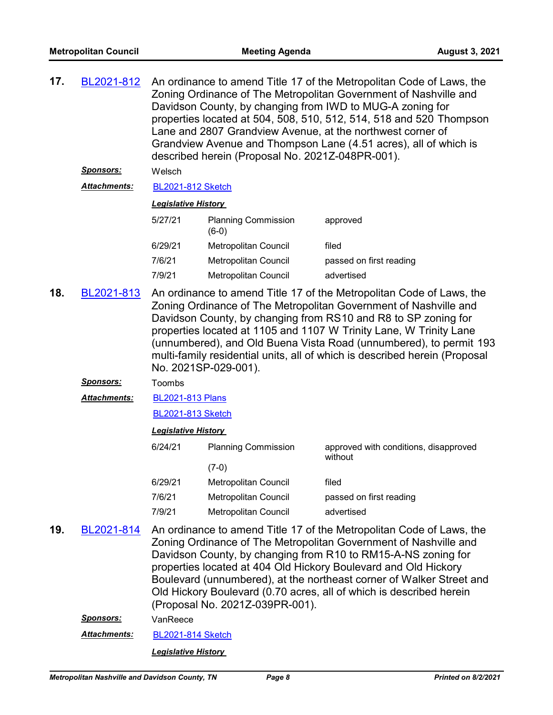| 17. | BL2021-812          | An ordinance to amend Title 17 of the Metropolitan Code of Laws, the<br>Zoning Ordinance of The Metropolitan Government of Nashville and<br>Davidson County, by changing from IWD to MUG-A zoning for<br>properties located at 504, 508, 510, 512, 514, 518 and 520 Thompson<br>Lane and 2807 Grandview Avenue, at the northwest corner of<br>Grandview Avenue and Thompson Lane (4.51 acres), all of which is<br>described herein (Proposal No. 2021Z-048PR-001). |                                       |                                                                                                                                                                                                                                                                                                                                                                                                                             |  |  |
|-----|---------------------|--------------------------------------------------------------------------------------------------------------------------------------------------------------------------------------------------------------------------------------------------------------------------------------------------------------------------------------------------------------------------------------------------------------------------------------------------------------------|---------------------------------------|-----------------------------------------------------------------------------------------------------------------------------------------------------------------------------------------------------------------------------------------------------------------------------------------------------------------------------------------------------------------------------------------------------------------------------|--|--|
|     | <u>Sponsors:</u>    | Welsch                                                                                                                                                                                                                                                                                                                                                                                                                                                             |                                       |                                                                                                                                                                                                                                                                                                                                                                                                                             |  |  |
|     | <b>Attachments:</b> | <b>BL2021-812 Sketch</b>                                                                                                                                                                                                                                                                                                                                                                                                                                           |                                       |                                                                                                                                                                                                                                                                                                                                                                                                                             |  |  |
|     |                     | <b>Legislative History</b>                                                                                                                                                                                                                                                                                                                                                                                                                                         |                                       |                                                                                                                                                                                                                                                                                                                                                                                                                             |  |  |
|     |                     | 5/27/21                                                                                                                                                                                                                                                                                                                                                                                                                                                            | <b>Planning Commission</b><br>$(6-0)$ | approved                                                                                                                                                                                                                                                                                                                                                                                                                    |  |  |
|     |                     | 6/29/21                                                                                                                                                                                                                                                                                                                                                                                                                                                            | Metropolitan Council                  | filed                                                                                                                                                                                                                                                                                                                                                                                                                       |  |  |
|     |                     | 7/6/21                                                                                                                                                                                                                                                                                                                                                                                                                                                             | <b>Metropolitan Council</b>           | passed on first reading                                                                                                                                                                                                                                                                                                                                                                                                     |  |  |
|     |                     | 7/9/21                                                                                                                                                                                                                                                                                                                                                                                                                                                             | Metropolitan Council                  | advertised                                                                                                                                                                                                                                                                                                                                                                                                                  |  |  |
| 18. | BL2021-813          | An ordinance to amend Title 17 of the Metropolitan Code of Laws, the<br>Zoning Ordinance of The Metropolitan Government of Nashville and<br>Davidson County, by changing from RS10 and R8 to SP zoning for<br>properties located at 1105 and 1107 W Trinity Lane, W Trinity Lane<br>(unnumbered), and Old Buena Vista Road (unnumbered), to permit 193<br>multi-family residential units, all of which is described herein (Proposal<br>No. 2021SP-029-001).       |                                       |                                                                                                                                                                                                                                                                                                                                                                                                                             |  |  |
|     | <u>Sponsors:</u>    | Toombs                                                                                                                                                                                                                                                                                                                                                                                                                                                             |                                       |                                                                                                                                                                                                                                                                                                                                                                                                                             |  |  |
|     | Attachments:        | <b>BL2021-813 Plans</b>                                                                                                                                                                                                                                                                                                                                                                                                                                            |                                       |                                                                                                                                                                                                                                                                                                                                                                                                                             |  |  |
|     |                     | <b>BL2021-813 Sketch</b>                                                                                                                                                                                                                                                                                                                                                                                                                                           |                                       |                                                                                                                                                                                                                                                                                                                                                                                                                             |  |  |
|     |                     | <b>Legislative History</b>                                                                                                                                                                                                                                                                                                                                                                                                                                         |                                       |                                                                                                                                                                                                                                                                                                                                                                                                                             |  |  |
|     |                     | 6/24/21                                                                                                                                                                                                                                                                                                                                                                                                                                                            | <b>Planning Commission</b><br>$(7-0)$ | approved with conditions, disapproved<br>without                                                                                                                                                                                                                                                                                                                                                                            |  |  |
|     |                     | 6/29/21                                                                                                                                                                                                                                                                                                                                                                                                                                                            | Metropolitan Council                  | filed                                                                                                                                                                                                                                                                                                                                                                                                                       |  |  |
|     |                     | 7/6/21                                                                                                                                                                                                                                                                                                                                                                                                                                                             | Metropolitan Council                  | passed on first reading                                                                                                                                                                                                                                                                                                                                                                                                     |  |  |
|     |                     | 7/9/21                                                                                                                                                                                                                                                                                                                                                                                                                                                             | <b>Metropolitan Council</b>           | advertised                                                                                                                                                                                                                                                                                                                                                                                                                  |  |  |
| 19. | BL2021-814          |                                                                                                                                                                                                                                                                                                                                                                                                                                                                    | (Proposal No. 2021Z-039PR-001).       | An ordinance to amend Title 17 of the Metropolitan Code of Laws, the<br>Zoning Ordinance of The Metropolitan Government of Nashville and<br>Davidson County, by changing from R10 to RM15-A-NS zoning for<br>properties located at 404 Old Hickory Boulevard and Old Hickory<br>Boulevard (unnumbered), at the northeast corner of Walker Street and<br>Old Hickory Boulevard (0.70 acres, all of which is described herein |  |  |
|     | <b>Sponsors:</b>    | VanReece                                                                                                                                                                                                                                                                                                                                                                                                                                                           |                                       |                                                                                                                                                                                                                                                                                                                                                                                                                             |  |  |

Attachments: [BL2021-814 Sketch](http://nashville.legistar.com/gateway.aspx?M=F&ID=0ec82067-e214-4846-89c3-95761162d9d1.docx)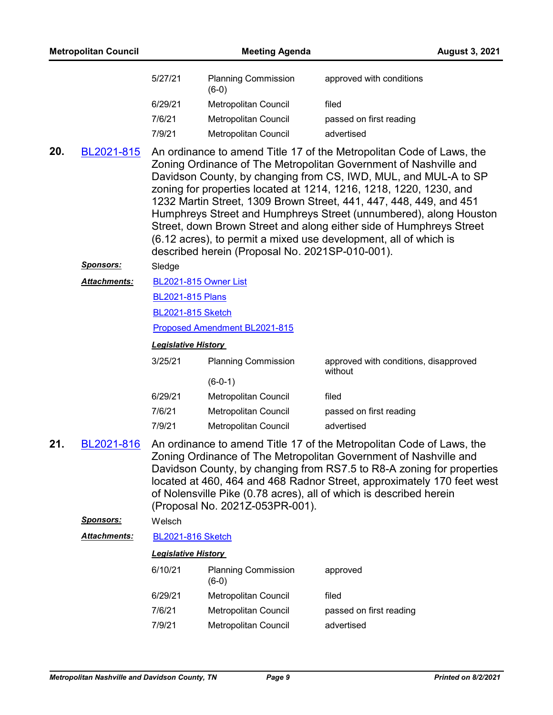|     | <b>Metropolitan Council</b> |                            | <b>Meeting Agenda</b>                           |                                                                                                                                                                                                                                                                                                                                                                                                                                                                                                                                                                         | <b>August 3, 2021</b> |
|-----|-----------------------------|----------------------------|-------------------------------------------------|-------------------------------------------------------------------------------------------------------------------------------------------------------------------------------------------------------------------------------------------------------------------------------------------------------------------------------------------------------------------------------------------------------------------------------------------------------------------------------------------------------------------------------------------------------------------------|-----------------------|
|     |                             | 5/27/21                    | <b>Planning Commission</b><br>$(6-0)$           | approved with conditions                                                                                                                                                                                                                                                                                                                                                                                                                                                                                                                                                |                       |
|     |                             | 6/29/21                    | Metropolitan Council                            | filed                                                                                                                                                                                                                                                                                                                                                                                                                                                                                                                                                                   |                       |
|     |                             | 7/6/21                     | Metropolitan Council                            | passed on first reading                                                                                                                                                                                                                                                                                                                                                                                                                                                                                                                                                 |                       |
|     |                             | 7/9/21                     | Metropolitan Council                            | advertised                                                                                                                                                                                                                                                                                                                                                                                                                                                                                                                                                              |                       |
| 20. | BL2021-815                  |                            | described herein (Proposal No. 2021SP-010-001). | An ordinance to amend Title 17 of the Metropolitan Code of Laws, the<br>Zoning Ordinance of The Metropolitan Government of Nashville and<br>Davidson County, by changing from CS, IWD, MUL, and MUL-A to SP<br>zoning for properties located at 1214, 1216, 1218, 1220, 1230, and<br>1232 Martin Street, 1309 Brown Street, 441, 447, 448, 449, and 451<br>Humphreys Street and Humphreys Street (unnumbered), along Houston<br>Street, down Brown Street and along either side of Humphreys Street<br>(6.12 acres), to permit a mixed use development, all of which is |                       |
|     | <u>Sponsors:</u>            | Sledge                     |                                                 |                                                                                                                                                                                                                                                                                                                                                                                                                                                                                                                                                                         |                       |
|     | <b>Attachments:</b>         | BL2021-815 Owner List      |                                                 |                                                                                                                                                                                                                                                                                                                                                                                                                                                                                                                                                                         |                       |
|     |                             | <b>BL2021-815 Plans</b>    |                                                 |                                                                                                                                                                                                                                                                                                                                                                                                                                                                                                                                                                         |                       |
|     |                             | <b>BL2021-815 Sketch</b>   |                                                 |                                                                                                                                                                                                                                                                                                                                                                                                                                                                                                                                                                         |                       |
|     |                             |                            | Proposed Amendment BL2021-815                   |                                                                                                                                                                                                                                                                                                                                                                                                                                                                                                                                                                         |                       |
|     |                             | <b>Legislative History</b> |                                                 |                                                                                                                                                                                                                                                                                                                                                                                                                                                                                                                                                                         |                       |
|     |                             | 3/25/21                    | <b>Planning Commission</b>                      | approved with conditions, disapproved<br>without                                                                                                                                                                                                                                                                                                                                                                                                                                                                                                                        |                       |
|     |                             |                            | $(6-0-1)$                                       |                                                                                                                                                                                                                                                                                                                                                                                                                                                                                                                                                                         |                       |
|     |                             | 6/29/21                    | Metropolitan Council                            | filed                                                                                                                                                                                                                                                                                                                                                                                                                                                                                                                                                                   |                       |
|     |                             | 7/6/21                     | Metropolitan Council                            | passed on first reading                                                                                                                                                                                                                                                                                                                                                                                                                                                                                                                                                 |                       |
|     |                             | 7/9/21                     | Metropolitan Council                            | advertised                                                                                                                                                                                                                                                                                                                                                                                                                                                                                                                                                              |                       |
| 21. | BL2021-816                  |                            | (Proposal No. 2021Z-053PR-001).                 | An ordinance to amend Title 17 of the Metropolitan Code of Laws, the<br>Zoning Ordinance of The Metropolitan Government of Nashville and<br>Davidson County, by changing from RS7.5 to R8-A zoning for properties<br>located at 460, 464 and 468 Radnor Street, approximately 170 feet west<br>of Nolensville Pike (0.78 acres), all of which is described herein                                                                                                                                                                                                       |                       |
|     | <b>Sponsors:</b>            | Welsch                     |                                                 |                                                                                                                                                                                                                                                                                                                                                                                                                                                                                                                                                                         |                       |
|     | <b>Attachments:</b>         | <b>BL2021-816 Sketch</b>   |                                                 |                                                                                                                                                                                                                                                                                                                                                                                                                                                                                                                                                                         |                       |
|     |                             | <b>Legislative History</b> |                                                 |                                                                                                                                                                                                                                                                                                                                                                                                                                                                                                                                                                         |                       |
|     |                             | 6/10/21                    | <b>Planning Commission</b><br>$(6-0)$           | approved                                                                                                                                                                                                                                                                                                                                                                                                                                                                                                                                                                |                       |
|     |                             | 6/29/21                    | Metropolitan Council                            | filed                                                                                                                                                                                                                                                                                                                                                                                                                                                                                                                                                                   |                       |
|     |                             | 7/6/21                     | Metropolitan Council                            | passed on first reading                                                                                                                                                                                                                                                                                                                                                                                                                                                                                                                                                 |                       |
|     |                             | 7/9/21                     | Metropolitan Council                            | advertised                                                                                                                                                                                                                                                                                                                                                                                                                                                                                                                                                              |                       |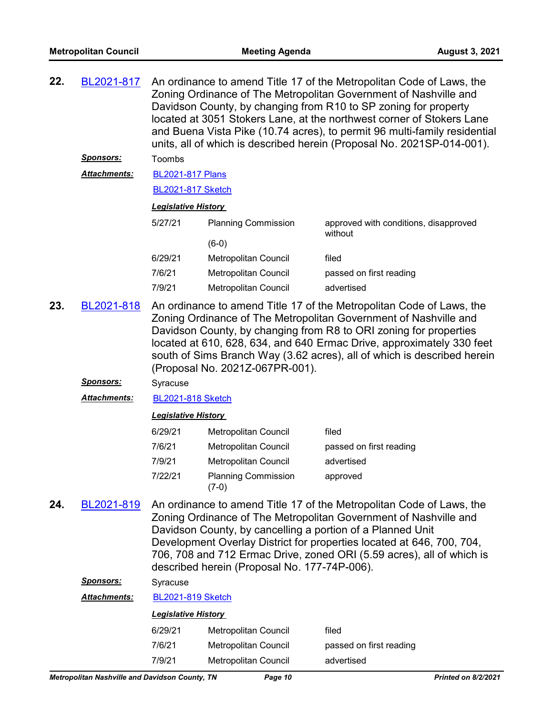| 22. | BL2021-817<br><u>Sponsors:</u> | An ordinance to amend Title 17 of the Metropolitan Code of Laws, the<br>Zoning Ordinance of The Metropolitan Government of Nashville and<br>Davidson County, by changing from R10 to SP zoning for property<br>located at 3051 Stokers Lane, at the northwest corner of Stokers Lane<br>and Buena Vista Pike (10.74 acres), to permit 96 multi-family residential<br>units, all of which is described herein (Proposal No. 2021SP-014-001).<br>Toombs |                                                                                                            |                                                                                                                                                                                                                                                                                            |
|-----|--------------------------------|-------------------------------------------------------------------------------------------------------------------------------------------------------------------------------------------------------------------------------------------------------------------------------------------------------------------------------------------------------------------------------------------------------------------------------------------------------|------------------------------------------------------------------------------------------------------------|--------------------------------------------------------------------------------------------------------------------------------------------------------------------------------------------------------------------------------------------------------------------------------------------|
|     | <b>Attachments:</b>            | <b>BL2021-817 Plans</b>                                                                                                                                                                                                                                                                                                                                                                                                                               |                                                                                                            |                                                                                                                                                                                                                                                                                            |
|     |                                | <b>BL2021-817 Sketch</b>                                                                                                                                                                                                                                                                                                                                                                                                                              |                                                                                                            |                                                                                                                                                                                                                                                                                            |
|     |                                | <b>Legislative History</b>                                                                                                                                                                                                                                                                                                                                                                                                                            |                                                                                                            |                                                                                                                                                                                                                                                                                            |
|     |                                | 5/27/21                                                                                                                                                                                                                                                                                                                                                                                                                                               |                                                                                                            |                                                                                                                                                                                                                                                                                            |
|     |                                |                                                                                                                                                                                                                                                                                                                                                                                                                                                       | <b>Planning Commission</b><br>$(6-0)$                                                                      | approved with conditions, disapproved<br>without                                                                                                                                                                                                                                           |
|     |                                | 6/29/21                                                                                                                                                                                                                                                                                                                                                                                                                                               | Metropolitan Council                                                                                       | filed                                                                                                                                                                                                                                                                                      |
|     |                                | 7/6/21                                                                                                                                                                                                                                                                                                                                                                                                                                                | Metropolitan Council                                                                                       | passed on first reading                                                                                                                                                                                                                                                                    |
|     |                                | 7/9/21                                                                                                                                                                                                                                                                                                                                                                                                                                                | Metropolitan Council                                                                                       | advertised                                                                                                                                                                                                                                                                                 |
| 23. | BL2021-818                     | An ordinance to amend Title 17 of the Metropolitan Code of Laws, the<br>Zoning Ordinance of The Metropolitan Government of Nashville and<br>Davidson County, by changing from R8 to ORI zoning for properties<br>located at 610, 628, 634, and 640 Ermac Drive, approximately 330 feet<br>south of Sims Branch Way (3.62 acres), all of which is described herein<br>(Proposal No. 2021Z-067PR-001).                                                  |                                                                                                            |                                                                                                                                                                                                                                                                                            |
|     | <u>Sponsors:</u>               | Syracuse                                                                                                                                                                                                                                                                                                                                                                                                                                              |                                                                                                            |                                                                                                                                                                                                                                                                                            |
|     | <b>Attachments:</b>            | <b>BL2021-818 Sketch</b>                                                                                                                                                                                                                                                                                                                                                                                                                              |                                                                                                            |                                                                                                                                                                                                                                                                                            |
|     |                                | <b>Legislative History</b>                                                                                                                                                                                                                                                                                                                                                                                                                            |                                                                                                            |                                                                                                                                                                                                                                                                                            |
|     |                                | 6/29/21                                                                                                                                                                                                                                                                                                                                                                                                                                               | Metropolitan Council                                                                                       | filed                                                                                                                                                                                                                                                                                      |
|     |                                | 7/6/21                                                                                                                                                                                                                                                                                                                                                                                                                                                | Metropolitan Council                                                                                       | passed on first reading                                                                                                                                                                                                                                                                    |
|     |                                | 7/9/21                                                                                                                                                                                                                                                                                                                                                                                                                                                | Metropolitan Council                                                                                       | advertised                                                                                                                                                                                                                                                                                 |
|     |                                | 7/22/21                                                                                                                                                                                                                                                                                                                                                                                                                                               | <b>Planning Commission</b><br>$(7-0)$                                                                      | approved                                                                                                                                                                                                                                                                                   |
| 24. | BL2021-819<br><b>Concorc'</b>  |                                                                                                                                                                                                                                                                                                                                                                                                                                                       | Davidson County, by cancelling a portion of a Planned Unit<br>described herein (Proposal No. 177-74P-006). | An ordinance to amend Title 17 of the Metropolitan Code of Laws, the<br>Zoning Ordinance of The Metropolitan Government of Nashville and<br>Development Overlay District for properties located at 646, 700, 704,<br>706, 708 and 712 Ermac Drive, zoned ORI (5.59 acres), all of which is |

*Sponsors:* Syracuse

*Attachments:* [BL2021-819 Sketch](http://nashville.legistar.com/gateway.aspx?M=F&ID=457d1fc1-2646-4636-a415-2618c6ac078a.docx)

| 6/29/21 | Metropolitan Council | filed                   |
|---------|----------------------|-------------------------|
| 7/6/21  | Metropolitan Council | passed on first reading |
| 7/9/21  | Metropolitan Council | advertised              |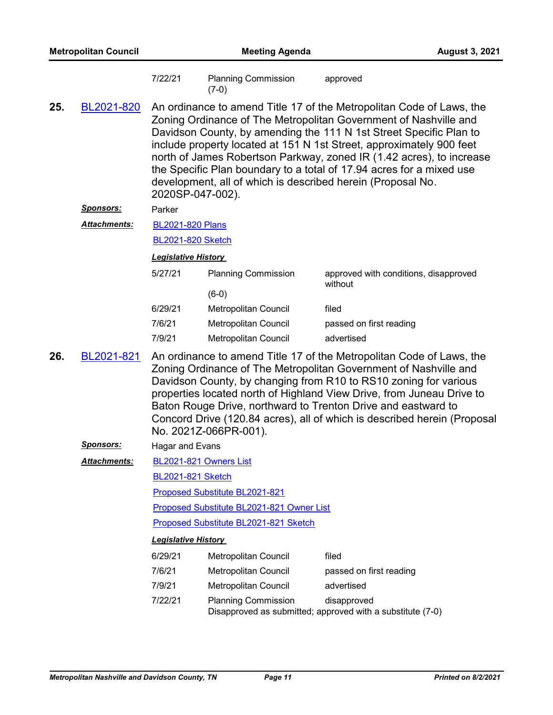| <b>Metropolitan Council</b> |                                                                                                                                                                                                                                                                                                                                                                                                                                                                                                                                         | <b>Meeting Agenda</b>                               |                                              |                                                                                                                                                                                                                                                                                                                                                                                                                                    | <b>August 3, 2021</b> |
|-----------------------------|-----------------------------------------------------------------------------------------------------------------------------------------------------------------------------------------------------------------------------------------------------------------------------------------------------------------------------------------------------------------------------------------------------------------------------------------------------------------------------------------------------------------------------------------|-----------------------------------------------------|----------------------------------------------|------------------------------------------------------------------------------------------------------------------------------------------------------------------------------------------------------------------------------------------------------------------------------------------------------------------------------------------------------------------------------------------------------------------------------------|-----------------------|
|                             |                                                                                                                                                                                                                                                                                                                                                                                                                                                                                                                                         | 7/22/21                                             | <b>Planning Commission</b><br>$(7-0)$        | approved                                                                                                                                                                                                                                                                                                                                                                                                                           |                       |
| 25.                         | An ordinance to amend Title 17 of the Metropolitan Code of Laws, the<br>BL2021-820<br>Zoning Ordinance of The Metropolitan Government of Nashville and<br>Davidson County, by amending the 111 N 1st Street Specific Plan to<br>include property located at 151 N 1st Street, approximately 900 feet<br>north of James Robertson Parkway, zoned IR (1.42 acres), to increase<br>the Specific Plan boundary to a total of 17.94 acres for a mixed use<br>development, all of which is described herein (Proposal No.<br>2020SP-047-002). |                                                     |                                              |                                                                                                                                                                                                                                                                                                                                                                                                                                    |                       |
|                             | <u>Sponsors:</u>                                                                                                                                                                                                                                                                                                                                                                                                                                                                                                                        | Parker                                              |                                              |                                                                                                                                                                                                                                                                                                                                                                                                                                    |                       |
|                             | Attachments:                                                                                                                                                                                                                                                                                                                                                                                                                                                                                                                            | <b>BL2021-820 Plans</b><br><b>BL2021-820 Sketch</b> |                                              |                                                                                                                                                                                                                                                                                                                                                                                                                                    |                       |
|                             |                                                                                                                                                                                                                                                                                                                                                                                                                                                                                                                                         | <b>Legislative History</b>                          |                                              |                                                                                                                                                                                                                                                                                                                                                                                                                                    |                       |
|                             |                                                                                                                                                                                                                                                                                                                                                                                                                                                                                                                                         | 5/27/21                                             | <b>Planning Commission</b>                   | approved with conditions, disapproved<br>without                                                                                                                                                                                                                                                                                                                                                                                   |                       |
|                             |                                                                                                                                                                                                                                                                                                                                                                                                                                                                                                                                         |                                                     | $(6-0)$                                      |                                                                                                                                                                                                                                                                                                                                                                                                                                    |                       |
|                             |                                                                                                                                                                                                                                                                                                                                                                                                                                                                                                                                         | 6/29/21<br>7/6/21                                   | Metropolitan Council                         | filed                                                                                                                                                                                                                                                                                                                                                                                                                              |                       |
|                             |                                                                                                                                                                                                                                                                                                                                                                                                                                                                                                                                         | 7/9/21                                              | Metropolitan Council<br>Metropolitan Council | passed on first reading<br>advertised                                                                                                                                                                                                                                                                                                                                                                                              |                       |
| 26.                         | BL2021-821                                                                                                                                                                                                                                                                                                                                                                                                                                                                                                                              |                                                     | No. 2021Z-066PR-001).                        | An ordinance to amend Title 17 of the Metropolitan Code of Laws, the<br>Zoning Ordinance of The Metropolitan Government of Nashville and<br>Davidson County, by changing from R10 to RS10 zoning for various<br>properties located north of Highland View Drive, from Juneau Drive to<br>Baton Rouge Drive, northward to Trenton Drive and eastward to<br>Concord Drive (120.84 acres), all of which is described herein (Proposal |                       |
|                             | Sponsors:                                                                                                                                                                                                                                                                                                                                                                                                                                                                                                                               | Hagar and Evans                                     |                                              |                                                                                                                                                                                                                                                                                                                                                                                                                                    |                       |
|                             | <b>Attachments:</b>                                                                                                                                                                                                                                                                                                                                                                                                                                                                                                                     |                                                     | BL2021-821 Owners List                       |                                                                                                                                                                                                                                                                                                                                                                                                                                    |                       |
|                             |                                                                                                                                                                                                                                                                                                                                                                                                                                                                                                                                         | <b>BL2021-821 Sketch</b>                            |                                              |                                                                                                                                                                                                                                                                                                                                                                                                                                    |                       |
|                             |                                                                                                                                                                                                                                                                                                                                                                                                                                                                                                                                         |                                                     | Proposed Substitute BL2021-821               |                                                                                                                                                                                                                                                                                                                                                                                                                                    |                       |
|                             |                                                                                                                                                                                                                                                                                                                                                                                                                                                                                                                                         | Proposed Substitute BL2021-821 Owner List           |                                              |                                                                                                                                                                                                                                                                                                                                                                                                                                    |                       |
|                             |                                                                                                                                                                                                                                                                                                                                                                                                                                                                                                                                         |                                                     | Proposed Substitute BL2021-821 Sketch        |                                                                                                                                                                                                                                                                                                                                                                                                                                    |                       |
|                             |                                                                                                                                                                                                                                                                                                                                                                                                                                                                                                                                         | <b>Legislative History</b>                          |                                              |                                                                                                                                                                                                                                                                                                                                                                                                                                    |                       |
|                             |                                                                                                                                                                                                                                                                                                                                                                                                                                                                                                                                         | 6/29/21                                             | Metropolitan Council                         | filed                                                                                                                                                                                                                                                                                                                                                                                                                              |                       |
|                             |                                                                                                                                                                                                                                                                                                                                                                                                                                                                                                                                         | 7/6/21                                              | Metropolitan Council                         | passed on first reading                                                                                                                                                                                                                                                                                                                                                                                                            |                       |
|                             |                                                                                                                                                                                                                                                                                                                                                                                                                                                                                                                                         | 7/9/21                                              | Metropolitan Council                         | advertised                                                                                                                                                                                                                                                                                                                                                                                                                         |                       |
|                             |                                                                                                                                                                                                                                                                                                                                                                                                                                                                                                                                         | 7/22/21                                             | <b>Planning Commission</b>                   | disapproved<br>Disapproved as submitted; approved with a substitute (7-0)                                                                                                                                                                                                                                                                                                                                                          |                       |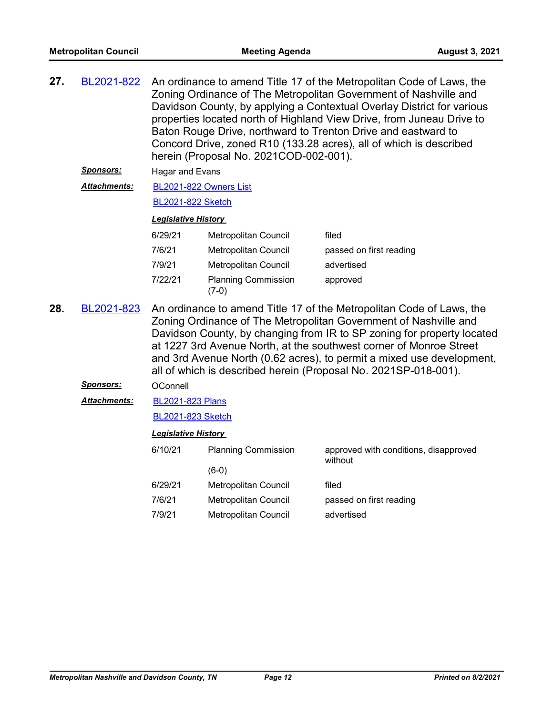| 27. | BL2021-822          | An ordinance to amend Title 17 of the Metropolitan Code of Laws, the<br>Zoning Ordinance of The Metropolitan Government of Nashville and<br>Davidson County, by applying a Contextual Overlay District for various<br>properties located north of Highland View Drive, from Juneau Drive to<br>Baton Rouge Drive, northward to Trenton Drive and eastward to<br>Concord Drive, zoned R10 (133.28 acres), all of which is described<br>herein (Proposal No. 2021COD-002-001).<br>Hagar and Evans |                                                     |                                       |
|-----|---------------------|-------------------------------------------------------------------------------------------------------------------------------------------------------------------------------------------------------------------------------------------------------------------------------------------------------------------------------------------------------------------------------------------------------------------------------------------------------------------------------------------------|-----------------------------------------------------|---------------------------------------|
|     | <u>Sponsors:</u>    |                                                                                                                                                                                                                                                                                                                                                                                                                                                                                                 |                                                     |                                       |
|     | <b>Attachments:</b> | BL2021-822 Owners List                                                                                                                                                                                                                                                                                                                                                                                                                                                                          |                                                     |                                       |
|     |                     | <b>BL2021-822 Sketch</b>                                                                                                                                                                                                                                                                                                                                                                                                                                                                        |                                                     |                                       |
|     |                     | <b>Legislative History</b>                                                                                                                                                                                                                                                                                                                                                                                                                                                                      |                                                     |                                       |
|     |                     | 6/29/21                                                                                                                                                                                                                                                                                                                                                                                                                                                                                         | Metropolitan Council                                | filed                                 |
|     |                     | 7/6/21                                                                                                                                                                                                                                                                                                                                                                                                                                                                                          | <b>Metropolitan Council</b>                         | passed on first reading               |
|     |                     | 7/9/21                                                                                                                                                                                                                                                                                                                                                                                                                                                                                          | <b>Metropolitan Council</b>                         | advertised                            |
|     |                     | 7/22/21                                                                                                                                                                                                                                                                                                                                                                                                                                                                                         | <b>Planning Commission</b><br>$(7-0)$               | approved                              |
| 28. | BL2021-823          | An ordinance to amend Title 17 of the Metropolitan Code of Laws, the<br>Zoning Ordinance of The Metropolitan Government of Nashville and<br>Davidson County, by changing from IR to SP zoning for property located<br>at 1227 3rd Avenue North, at the southwest corner of Monroe Street<br>and 3rd Avenue North (0.62 acres), to permit a mixed use development,<br>all of which is described herein (Proposal No. 2021SP-018-001).                                                            |                                                     |                                       |
|     |                     |                                                                                                                                                                                                                                                                                                                                                                                                                                                                                                 |                                                     |                                       |
|     | Sponsors:           | OConnell                                                                                                                                                                                                                                                                                                                                                                                                                                                                                        |                                                     |                                       |
|     | Attachments:        | <b>BL2021-823 Plans</b>                                                                                                                                                                                                                                                                                                                                                                                                                                                                         |                                                     |                                       |
|     |                     | <b>BL2021-823 Sketch</b>                                                                                                                                                                                                                                                                                                                                                                                                                                                                        |                                                     |                                       |
|     |                     | <b>Legislative History</b>                                                                                                                                                                                                                                                                                                                                                                                                                                                                      |                                                     |                                       |
|     |                     | 6/10/21                                                                                                                                                                                                                                                                                                                                                                                                                                                                                         | <b>Planning Commission</b>                          | approved with conditions, disapproved |
|     |                     |                                                                                                                                                                                                                                                                                                                                                                                                                                                                                                 | $(6-0)$                                             | without                               |
|     |                     | 6/29/21                                                                                                                                                                                                                                                                                                                                                                                                                                                                                         | <b>Metropolitan Council</b>                         | filed                                 |
|     |                     | 7/6/21<br>7/9/21                                                                                                                                                                                                                                                                                                                                                                                                                                                                                | Metropolitan Council<br><b>Metropolitan Council</b> | passed on first reading               |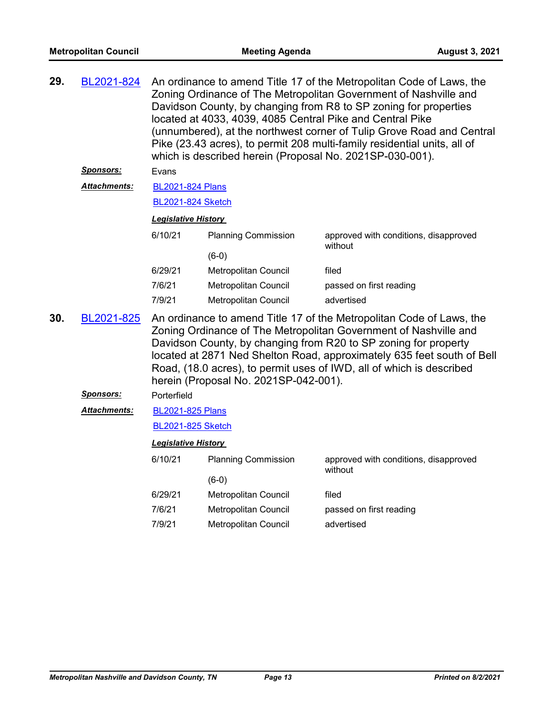| 29. | BL2021-824       | An ordinance to amend Title 17 of the Metropolitan Code of Laws, the<br>Zoning Ordinance of The Metropolitan Government of Nashville and<br>Davidson County, by changing from R8 to SP zoning for properties<br>located at 4033, 4039, 4085 Central Pike and Central Pike<br>(unnumbered), at the northwest corner of Tulip Grove Road and Central<br>Pike (23.43 acres), to permit 208 multi-family residential units, all of<br>which is described herein (Proposal No. 2021SP-030-001).<br>Evans |                                       |                                                                                                                                                                                                                                                                                                                                                               |  |
|-----|------------------|-----------------------------------------------------------------------------------------------------------------------------------------------------------------------------------------------------------------------------------------------------------------------------------------------------------------------------------------------------------------------------------------------------------------------------------------------------------------------------------------------------|---------------------------------------|---------------------------------------------------------------------------------------------------------------------------------------------------------------------------------------------------------------------------------------------------------------------------------------------------------------------------------------------------------------|--|
|     | <b>Sponsors:</b> |                                                                                                                                                                                                                                                                                                                                                                                                                                                                                                     |                                       |                                                                                                                                                                                                                                                                                                                                                               |  |
|     | Attachments:     | <b>BL2021-824 Plans</b>                                                                                                                                                                                                                                                                                                                                                                                                                                                                             |                                       |                                                                                                                                                                                                                                                                                                                                                               |  |
|     |                  | <b>BL2021-824 Sketch</b>                                                                                                                                                                                                                                                                                                                                                                                                                                                                            |                                       |                                                                                                                                                                                                                                                                                                                                                               |  |
|     |                  | <b>Legislative History</b>                                                                                                                                                                                                                                                                                                                                                                                                                                                                          |                                       |                                                                                                                                                                                                                                                                                                                                                               |  |
|     |                  | 6/10/21                                                                                                                                                                                                                                                                                                                                                                                                                                                                                             | <b>Planning Commission</b>            | approved with conditions, disapproved<br>without                                                                                                                                                                                                                                                                                                              |  |
|     |                  |                                                                                                                                                                                                                                                                                                                                                                                                                                                                                                     | $(6-0)$                               |                                                                                                                                                                                                                                                                                                                                                               |  |
|     |                  | 6/29/21                                                                                                                                                                                                                                                                                                                                                                                                                                                                                             | Metropolitan Council                  | filed                                                                                                                                                                                                                                                                                                                                                         |  |
|     |                  | 7/6/21                                                                                                                                                                                                                                                                                                                                                                                                                                                                                              | Metropolitan Council                  | passed on first reading                                                                                                                                                                                                                                                                                                                                       |  |
|     |                  | 7/9/21                                                                                                                                                                                                                                                                                                                                                                                                                                                                                              | Metropolitan Council                  | advertised                                                                                                                                                                                                                                                                                                                                                    |  |
| 30. | BL2021-825       |                                                                                                                                                                                                                                                                                                                                                                                                                                                                                                     | herein (Proposal No. 2021SP-042-001). | An ordinance to amend Title 17 of the Metropolitan Code of Laws, the<br>Zoning Ordinance of The Metropolitan Government of Nashville and<br>Davidson County, by changing from R20 to SP zoning for property<br>located at 2871 Ned Shelton Road, approximately 635 feet south of Bell<br>Road, (18.0 acres), to permit uses of IWD, all of which is described |  |
|     | <u>Sponsors:</u> | Porterfield                                                                                                                                                                                                                                                                                                                                                                                                                                                                                         |                                       |                                                                                                                                                                                                                                                                                                                                                               |  |
|     | Attachments:     | <b>BL2021-825 Plans</b>                                                                                                                                                                                                                                                                                                                                                                                                                                                                             |                                       |                                                                                                                                                                                                                                                                                                                                                               |  |
|     |                  | <b>BL2021-825 Sketch</b>                                                                                                                                                                                                                                                                                                                                                                                                                                                                            |                                       |                                                                                                                                                                                                                                                                                                                                                               |  |
|     |                  | <b>Legislative History</b>                                                                                                                                                                                                                                                                                                                                                                                                                                                                          |                                       |                                                                                                                                                                                                                                                                                                                                                               |  |
|     |                  | 6/10/21                                                                                                                                                                                                                                                                                                                                                                                                                                                                                             | <b>Planning Commission</b>            | approved with conditions, disapproved<br>without                                                                                                                                                                                                                                                                                                              |  |
|     |                  |                                                                                                                                                                                                                                                                                                                                                                                                                                                                                                     | $(6-0)$                               |                                                                                                                                                                                                                                                                                                                                                               |  |
|     |                  | 6/29/21                                                                                                                                                                                                                                                                                                                                                                                                                                                                                             | Metropolitan Council                  | filed                                                                                                                                                                                                                                                                                                                                                         |  |
|     |                  | 7/6/21                                                                                                                                                                                                                                                                                                                                                                                                                                                                                              | Metropolitan Council                  | passed on first reading                                                                                                                                                                                                                                                                                                                                       |  |
|     |                  | 7/9/21                                                                                                                                                                                                                                                                                                                                                                                                                                                                                              | Metropolitan Council                  | advertised                                                                                                                                                                                                                                                                                                                                                    |  |
|     |                  |                                                                                                                                                                                                                                                                                                                                                                                                                                                                                                     |                                       |                                                                                                                                                                                                                                                                                                                                                               |  |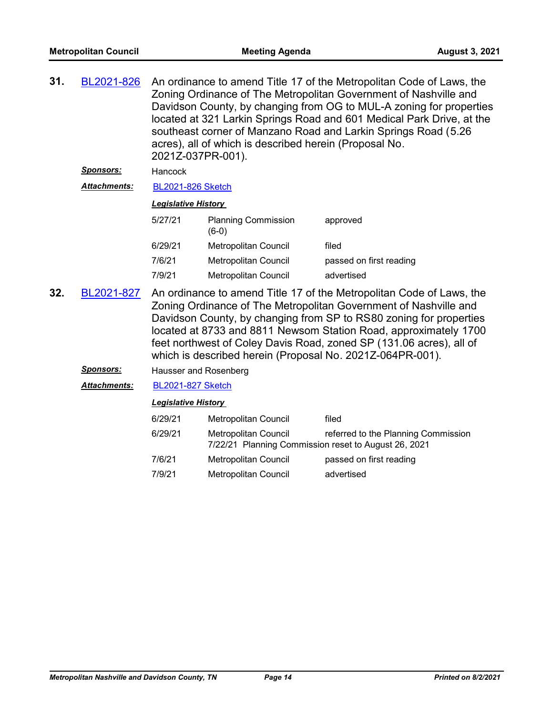| 31. | BL2021-826                                                                                                                                                                                                                                                                                                                                                                                                                           | An ordinance to amend Title 17 of the Metropolitan Code of Laws, the<br>Zoning Ordinance of The Metropolitan Government of Nashville and<br>Davidson County, by changing from OG to MUL-A zoning for properties<br>located at 321 Larkin Springs Road and 601 Medical Park Drive, at the<br>southeast corner of Manzano Road and Larkin Springs Road (5.26<br>acres), all of which is described herein (Proposal No.<br>2021Z-037PR-001). |                                                                              |                                     |
|-----|--------------------------------------------------------------------------------------------------------------------------------------------------------------------------------------------------------------------------------------------------------------------------------------------------------------------------------------------------------------------------------------------------------------------------------------|-------------------------------------------------------------------------------------------------------------------------------------------------------------------------------------------------------------------------------------------------------------------------------------------------------------------------------------------------------------------------------------------------------------------------------------------|------------------------------------------------------------------------------|-------------------------------------|
|     | <u>Sponsors:</u>                                                                                                                                                                                                                                                                                                                                                                                                                     | Hancock                                                                                                                                                                                                                                                                                                                                                                                                                                   |                                                                              |                                     |
|     | <b>Attachments:</b>                                                                                                                                                                                                                                                                                                                                                                                                                  | <b>BL2021-826 Sketch</b>                                                                                                                                                                                                                                                                                                                                                                                                                  |                                                                              |                                     |
|     |                                                                                                                                                                                                                                                                                                                                                                                                                                      | <b>Legislative History</b>                                                                                                                                                                                                                                                                                                                                                                                                                |                                                                              |                                     |
|     |                                                                                                                                                                                                                                                                                                                                                                                                                                      | 5/27/21                                                                                                                                                                                                                                                                                                                                                                                                                                   | <b>Planning Commission</b><br>$(6-0)$                                        | approved                            |
|     |                                                                                                                                                                                                                                                                                                                                                                                                                                      | 6/29/21                                                                                                                                                                                                                                                                                                                                                                                                                                   | Metropolitan Council                                                         | filed                               |
|     |                                                                                                                                                                                                                                                                                                                                                                                                                                      | 7/6/21                                                                                                                                                                                                                                                                                                                                                                                                                                    | Metropolitan Council                                                         | passed on first reading             |
|     |                                                                                                                                                                                                                                                                                                                                                                                                                                      | 7/9/21                                                                                                                                                                                                                                                                                                                                                                                                                                    | Metropolitan Council                                                         | advertised                          |
| 32. | An ordinance to amend Title 17 of the Metropolitan Code of Laws, the<br>BL2021-827<br>Zoning Ordinance of The Metropolitan Government of Nashville and<br>Davidson County, by changing from SP to RS80 zoning for properties<br>located at 8733 and 8811 Newsom Station Road, approximately 1700<br>feet northwest of Coley Davis Road, zoned SP (131.06 acres), all of<br>which is described herein (Proposal No. 2021Z-064PR-001). |                                                                                                                                                                                                                                                                                                                                                                                                                                           |                                                                              |                                     |
|     | <u>Sponsors:</u>                                                                                                                                                                                                                                                                                                                                                                                                                     | Hausser and Rosenberg                                                                                                                                                                                                                                                                                                                                                                                                                     |                                                                              |                                     |
|     | <b>Attachments:</b>                                                                                                                                                                                                                                                                                                                                                                                                                  | <b>BL2021-827 Sketch</b>                                                                                                                                                                                                                                                                                                                                                                                                                  |                                                                              |                                     |
|     |                                                                                                                                                                                                                                                                                                                                                                                                                                      | <b>Legislative History</b>                                                                                                                                                                                                                                                                                                                                                                                                                |                                                                              |                                     |
|     |                                                                                                                                                                                                                                                                                                                                                                                                                                      | 6/29/21                                                                                                                                                                                                                                                                                                                                                                                                                                   | Metropolitan Council                                                         | filed                               |
|     |                                                                                                                                                                                                                                                                                                                                                                                                                                      | 6/29/21                                                                                                                                                                                                                                                                                                                                                                                                                                   | Metropolitan Council<br>7/22/21 Planning Commission reset to August 26, 2021 | referred to the Planning Commission |
|     |                                                                                                                                                                                                                                                                                                                                                                                                                                      | 7/6/21                                                                                                                                                                                                                                                                                                                                                                                                                                    | Metropolitan Council                                                         | passed on first reading             |
|     |                                                                                                                                                                                                                                                                                                                                                                                                                                      | 7/9/21                                                                                                                                                                                                                                                                                                                                                                                                                                    | <b>Metropolitan Council</b>                                                  | advertised                          |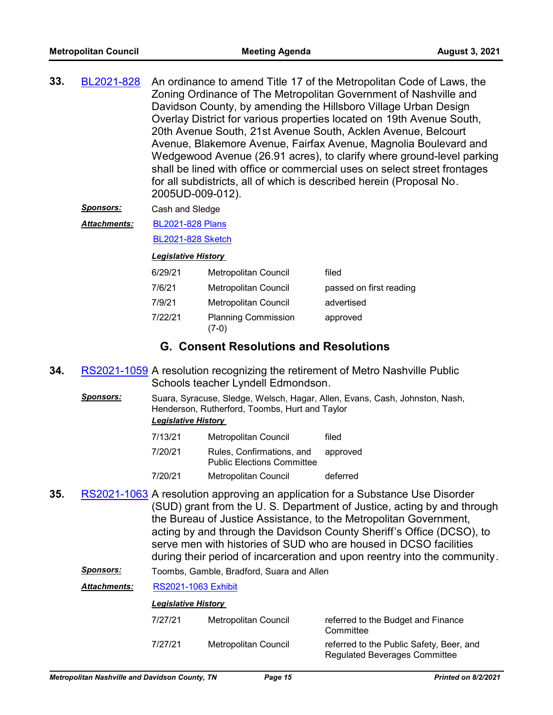| 33. | BL2021-828 | An ordinance to amend Title 17 of the Metropolitan Code of Laws, the     |
|-----|------------|--------------------------------------------------------------------------|
|     |            | Zoning Ordinance of The Metropolitan Government of Nashville and         |
|     |            | Davidson County, by amending the Hillsboro Village Urban Design          |
|     |            | Overlay District for various properties located on 19th Avenue South,    |
|     |            | 20th Avenue South, 21st Avenue South, Acklen Avenue, Belcourt            |
|     |            | Avenue, Blakemore Avenue, Fairfax Avenue, Magnolia Boulevard and         |
|     |            | Wedgewood Avenue (26.91 acres), to clarify where ground-level parking    |
|     |            | shall be lined with office or commercial uses on select street frontages |
|     |            | for all subdistricts, all of which is described herein (Proposal No.     |
|     |            | 2005UD-009-012).                                                         |

*Sponsors:* Cash and Sledge

[BL2021-828 Plans](http://nashville.legistar.com/gateway.aspx?M=F&ID=1021be03-fd38-4c04-aa41-0013104d71f7.pdf) *Attachments:*

[BL2021-828 Sketch](http://nashville.legistar.com/gateway.aspx?M=F&ID=31f9ab3f-f56e-47af-bea1-4fa73ee35bd2.docx)

#### *Legislative History*

| 6/29/21 | Metropolitan Council                | filed                   |
|---------|-------------------------------------|-------------------------|
| 7/6/21  | Metropolitan Council                | passed on first reading |
| 7/9/21  | <b>Metropolitan Council</b>         | advertised              |
| 7/22/21 | <b>Planning Commission</b><br>(7-0) | approved                |

## **G. Consent Resolutions and Resolutions**

- **34.** [RS2021-1059](http://nashville.legistar.com/gateway.aspx?m=l&id=/matter.aspx?key=13382) A resolution recognizing the retirement of Metro Nashville Public Schools teacher Lyndell Edmondson.
	- *Sponsors:* Suara, Syracuse, Sledge, Welsch, Hagar, Allen, Evans, Cash, Johnston, Nash, Henderson, Rutherford, Toombs, Hurt and Taylor *Legislative History*

| 7100104 | $M_{\rm{2}}$ (and $\sim$ -10 $\pm$ 0.000 $\sim$ 0.000 $\pm$ 0.000 $\pm$ 0.000 $\pm$ 0.000 $\pm$ 0.000 $\pm$ 0.000 $\pm$ 0.000 $\pm$ 0.000 $\pm$ 0.000 $\pm$ 0.000 $\pm$ 0.000 $\pm$ 0.000 $\pm$ 0.000 $\pm$ 0.000 $\pm$ 0.000 $\pm$ 0.000 $\pm$ 0.000 | المتحدد والأرواء |
|---------|-------------------------------------------------------------------------------------------------------------------------------------------------------------------------------------------------------------------------------------------------------|------------------|
| 7/20/21 | Rules, Confirmations, and approved<br><b>Public Elections Committee</b>                                                                                                                                                                               |                  |
| 7/13/21 | Metropolitan Council                                                                                                                                                                                                                                  | filed            |

- 7/20/21 Metropolitan Council deferred
- 35. [RS2021-1063](http://nashville.legistar.com/gateway.aspx?m=l&id=/matter.aspx?key=13421) A resolution approving an application for a Substance Use Disorder (SUD) grant from the U. S. Department of Justice, acting by and through the Bureau of Justice Assistance, to the Metropolitan Government, acting by and through the Davidson County Sheriff's Office (DCSO), to serve men with histories of SUD who are housed in DCSO facilities during their period of incarceration and upon reentry into the community.

*Sponsors:* Toombs, Gamble, Bradford, Suara and Allen

*Attachments:* [RS2021-1063 Exhibit](http://nashville.legistar.com/gateway.aspx?M=F&ID=91c7ffae-12aa-42fc-90b8-07e58d66ac7f.pdf)

| 7/27/21 | Metropolitan Council | referred to the Budget and Finance<br>Committee                           |
|---------|----------------------|---------------------------------------------------------------------------|
| 7/27/21 | Metropolitan Council | referred to the Public Safety, Beer, and<br>Regulated Beverages Committee |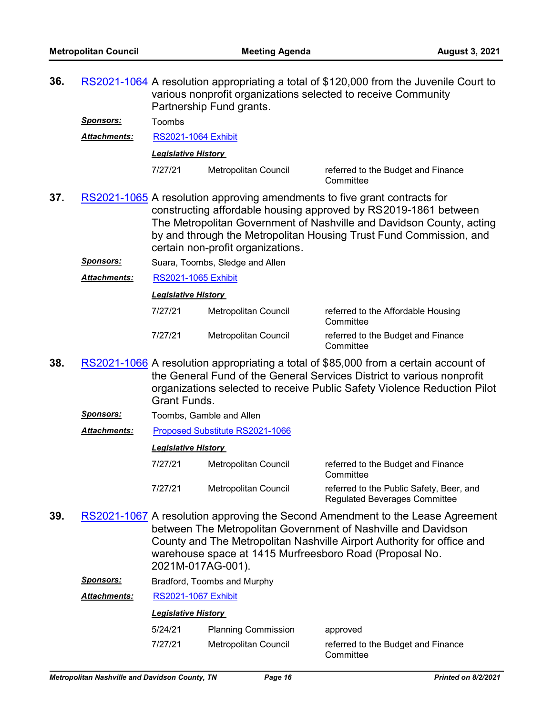**36.** [RS2021-1064](http://nashville.legistar.com/gateway.aspx?m=l&id=/matter.aspx?key=13406) A resolution appropriating a total of \$120,000 from the Juvenile Court to various nonprofit organizations selected to receive Community Partnership Fund grants.

*Sponsors:* Toombs

*Attachments:* [RS2021-1064 Exhibit](http://nashville.legistar.com/gateway.aspx?M=F&ID=07fda7f8-de51-4023-a982-099f2bb19fec.pdf)

*Legislative History* 

7/27/21 Metropolitan Council referred to the Budget and Finance

**Committee** 

- **37.** [RS2021-1065](http://nashville.legistar.com/gateway.aspx?m=l&id=/matter.aspx?key=13394) A resolution approving amendments to five grant contracts for constructing affordable housing approved by RS2019-1861 between The Metropolitan Government of Nashville and Davidson County, acting by and through the Metropolitan Housing Trust Fund Commission, and certain non-profit organizations.
	- **Sponsors:** Suara, Toombs, Sledge and Allen
	- *Attachments:* [RS2021-1065 Exhibit](http://nashville.legistar.com/gateway.aspx?M=F&ID=d2171f26-582b-43ca-863e-f90d867b5338.pdf)

*Legislative History* 

| 7/27/21 | Metropolitan Council | referred to the Affordable Housing<br>Committee |
|---------|----------------------|-------------------------------------------------|
| 7/27/21 | Metropolitan Council | referred to the Budget and Finance<br>Committee |

- **38.** [RS2021-1066](http://nashville.legistar.com/gateway.aspx?m=l&id=/matter.aspx?key=13424) A resolution appropriating a total of \$85,000 from a certain account of the General Fund of the General Services District to various nonprofit organizations selected to receive Public Safety Violence Reduction Pilot Grant Funds.
	- *Sponsors:* Toombs, Gamble and Allen
	- *Attachments:* [Proposed Substitute RS2021-1066](http://nashville.legistar.com/gateway.aspx?M=F&ID=59cce9ee-fb77-40c0-ac59-d8c4e665ed64.pdf)

#### *Legislative History*

- 7/27/21 Metropolitan Council referred to the Budget and Finance **Committee** 7/27/21 Metropolitan Council referred to the Public Safety, Beer, and Regulated Beverages Committee
- **39.** [RS2021-1067](http://nashville.legistar.com/gateway.aspx?m=l&id=/matter.aspx?key=13393) A resolution approving the Second Amendment to the Lease Agreement between The Metropolitan Government of Nashville and Davidson County and The Metropolitan Nashville Airport Authority for office and warehouse space at 1415 Murfreesboro Road (Proposal No. 2021M-017AG-001).
	- *Sponsors:* Bradford, Toombs and Murphy

*Attachments:* [RS2021-1067 Exhibit](http://nashville.legistar.com/gateway.aspx?M=F&ID=a6303ca4-6ac1-4fef-81d6-e566d87908d0.pdf)

| 5/24/21 | <b>Planning Commission</b> | approved                                        |
|---------|----------------------------|-------------------------------------------------|
| 7/27/21 | Metropolitan Council       | referred to the Budget and Finance<br>Committee |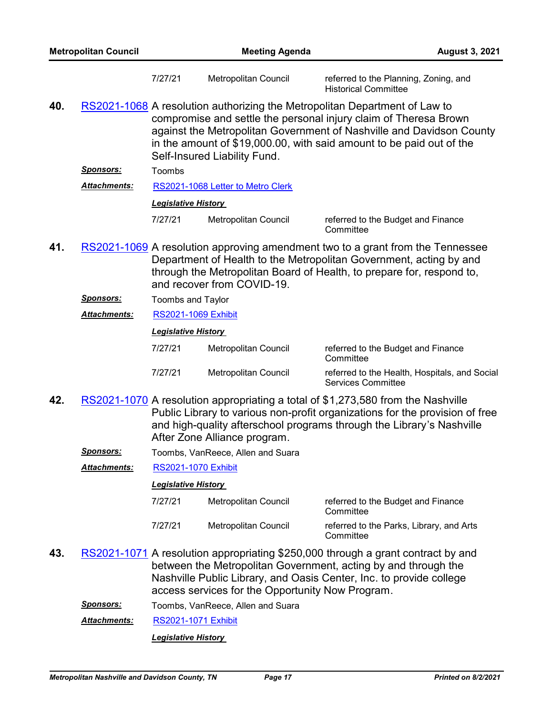| <b>Metropolitan Council</b> |                  |                            | <b>Meeting Agenda</b><br><b>August 3, 2021</b> |                                                                                                                                                                                                                                                                                                |
|-----------------------------|------------------|----------------------------|------------------------------------------------|------------------------------------------------------------------------------------------------------------------------------------------------------------------------------------------------------------------------------------------------------------------------------------------------|
|                             |                  | 7/27/21                    | Metropolitan Council                           | referred to the Planning, Zoning, and<br><b>Historical Committee</b>                                                                                                                                                                                                                           |
| 40.                         |                  |                            | Self-Insured Liability Fund.                   | RS2021-1068 A resolution authorizing the Metropolitan Department of Law to<br>compromise and settle the personal injury claim of Theresa Brown<br>against the Metropolitan Government of Nashville and Davidson County<br>in the amount of \$19,000.00, with said amount to be paid out of the |
|                             | <u>Sponsors:</u> | Toombs                     |                                                |                                                                                                                                                                                                                                                                                                |
|                             | Attachments:     |                            | RS2021-1068 Letter to Metro Clerk              |                                                                                                                                                                                                                                                                                                |
|                             |                  | <b>Legislative History</b> |                                                |                                                                                                                                                                                                                                                                                                |
|                             |                  | 7/27/21                    | Metropolitan Council                           | referred to the Budget and Finance<br>Committee                                                                                                                                                                                                                                                |
| 41.                         |                  |                            | and recover from COVID-19.                     | RS2021-1069 A resolution approving amendment two to a grant from the Tennessee<br>Department of Health to the Metropolitan Government, acting by and<br>through the Metropolitan Board of Health, to prepare for, respond to,                                                                  |
|                             | <u>Sponsors:</u> | Toombs and Taylor          |                                                |                                                                                                                                                                                                                                                                                                |
|                             | Attachments:     | <b>RS2021-1069 Exhibit</b> |                                                |                                                                                                                                                                                                                                                                                                |
|                             |                  | <b>Legislative History</b> |                                                |                                                                                                                                                                                                                                                                                                |
|                             |                  | 7/27/21                    | Metropolitan Council                           | referred to the Budget and Finance<br>Committee                                                                                                                                                                                                                                                |
|                             |                  | 7/27/21                    | Metropolitan Council                           | referred to the Health, Hospitals, and Social<br><b>Services Committee</b>                                                                                                                                                                                                                     |
| 42.                         |                  |                            | After Zone Alliance program.                   | RS2021-1070 A resolution appropriating a total of \$1,273,580 from the Nashville<br>Public Library to various non-profit organizations for the provision of free<br>and high-quality afterschool programs through the Library's Nashville                                                      |
|                             | <u>Sponsors:</u> |                            | Toombs, VanReece, Allen and Suara              |                                                                                                                                                                                                                                                                                                |
|                             | Attachments:     |                            | <b>RS2021-1070 Exhibit</b>                     |                                                                                                                                                                                                                                                                                                |
|                             |                  | <b>Legislative History</b> |                                                |                                                                                                                                                                                                                                                                                                |
|                             |                  | 7/27/21                    | Metropolitan Council                           | referred to the Budget and Finance<br>Committee                                                                                                                                                                                                                                                |
|                             |                  | 7/27/21                    | Metropolitan Council                           | referred to the Parks, Library, and Arts<br>Committee                                                                                                                                                                                                                                          |
| 43.                         |                  |                            |                                                | RS2021-1071 A resolution appropriating \$250,000 through a grant contract by and<br>between the Metropolitan Government, acting by and through the<br>Nashville Public Library, and Oasis Center, Inc. to provide college                                                                      |

- access services for the Opportunity Now Program.
- *Sponsors:* Toombs, VanReece, Allen and Suara
- *Attachments:* [RS2021-1071 Exhibit](http://nashville.legistar.com/gateway.aspx?M=F&ID=69ad978c-bad9-4096-b3be-9e7f87cb982a.pdf)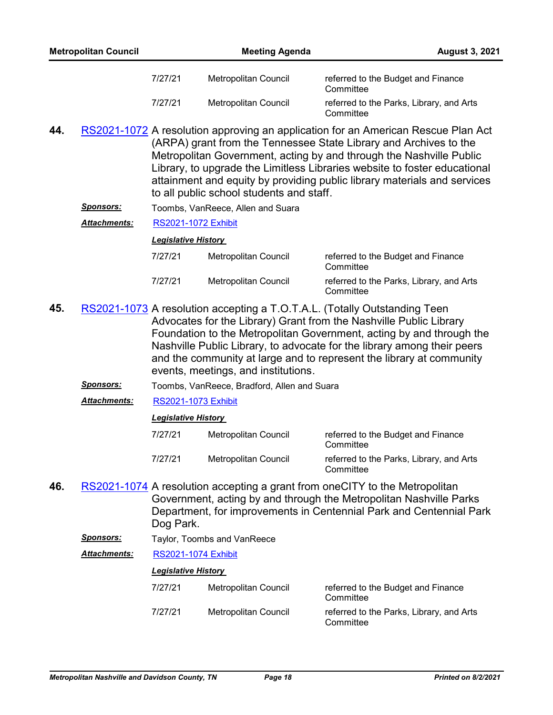- 44. [RS2021-1072](http://nashville.legistar.com/gateway.aspx?m=l&id=/matter.aspx?key=13422) A resolution approving an application for an American Rescue Plan Act (ARPA) grant from the Tennessee State Library and Archives to the Metropolitan Government, acting by and through the Nashville Public Library, to upgrade the Limitless Libraries website to foster educational attainment and equity by providing public library materials and services to all public school students and staff.
	- *Sponsors:* Toombs, VanReece, Allen and Suara

*Attachments:* [RS2021-1072 Exhibit](http://nashville.legistar.com/gateway.aspx?M=F&ID=2a6e83d4-08e7-444a-9d04-9843c8141770.pdf)

#### *Legislative History*

| 7/27/21 | Metropolitan Council | referred to the Budget and Finance<br>Committee       |
|---------|----------------------|-------------------------------------------------------|
| 7/27/21 | Metropolitan Council | referred to the Parks, Library, and Arts<br>Committee |

- **45.** [RS2021-1073](http://nashville.legistar.com/gateway.aspx?m=l&id=/matter.aspx?key=13397) A resolution accepting a T.O.T.A.L. (Totally Outstanding Teen Advocates for the Library) Grant from the Nashville Public Library Foundation to the Metropolitan Government, acting by and through the Nashville Public Library, to advocate for the library among their peers and the community at large and to represent the library at community events, meetings, and institutions.
	- *Sponsors:* Toombs, VanReece, Bradford, Allen and Suara
	- *Attachments:* [RS2021-1073 Exhibit](http://nashville.legistar.com/gateway.aspx?M=F&ID=00639ca8-4b39-49f0-ae4f-3ff59abdb282.pdf)

#### *Legislative History*

| 7/27/21 | Metropolitan Council | referred to the Budget and Finance<br>Committee       |
|---------|----------------------|-------------------------------------------------------|
| 7/27/21 | Metropolitan Council | referred to the Parks, Library, and Arts<br>Committee |

- 46. [RS2021-1074](http://nashville.legistar.com/gateway.aspx?m=l&id=/matter.aspx?key=13407) A resolution accepting a grant from oneCITY to the Metropolitan Government, acting by and through the Metropolitan Nashville Parks Department, for improvements in Centennial Park and Centennial Park Dog Park.
	- **Sponsors:** Taylor, Toombs and VanReece

*Attachments:* [RS2021-1074 Exhibit](http://nashville.legistar.com/gateway.aspx?M=F&ID=b8cd30b5-aa1a-4a79-9aac-03be4cf4f4a1.pdf)

| 7/27/21 | Metropolitan Council | referred to the Budget and Finance<br>Committee       |
|---------|----------------------|-------------------------------------------------------|
| 7/27/21 | Metropolitan Council | referred to the Parks, Library, and Arts<br>Committee |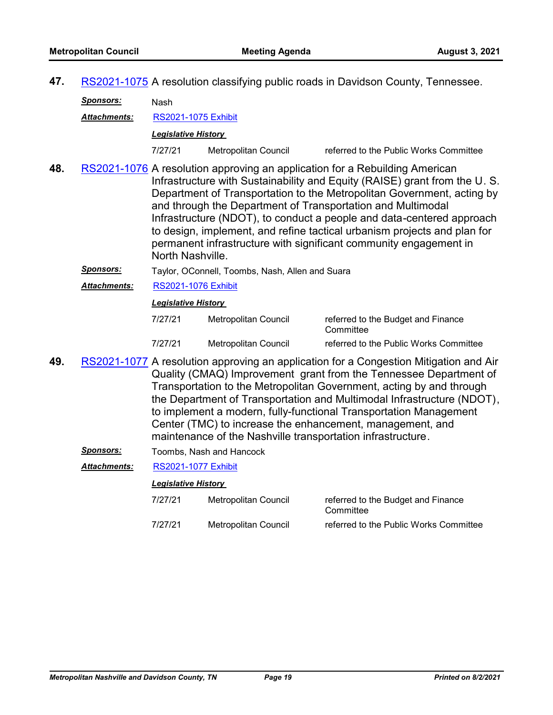**47.** [RS2021-1075](http://nashville.legistar.com/gateway.aspx?m=l&id=/matter.aspx?key=13396) A resolution classifying public roads in Davidson County, Tennessee.

*Sponsors:* Nash

*Attachments:* [RS2021-1075 Exhibit](http://nashville.legistar.com/gateway.aspx?M=F&ID=02b6686a-86b1-4a08-a5de-7dbd5a9a2f42.pdf)

*Legislative History* 

- 7/27/21 Metropolitan Council referred to the Public Works Committee
- 48. [RS2021-1076](http://nashville.legistar.com/gateway.aspx?m=l&id=/matter.aspx?key=13408) A resolution approving an application for a Rebuilding American Infrastructure with Sustainability and Equity (RAISE) grant from the U. S. Department of Transportation to the Metropolitan Government, acting by and through the Department of Transportation and Multimodal Infrastructure (NDOT), to conduct a people and data-centered approach to design, implement, and refine tactical urbanism projects and plan for permanent infrastructure with significant community engagement in North Nashville.
	- *Sponsors:* Taylor, OConnell, Toombs, Nash, Allen and Suara
	- *Attachments:* [RS2021-1076 Exhibit](http://nashville.legistar.com/gateway.aspx?M=F&ID=a855ef02-71f5-4b02-8c3f-39d80cfe3aa9.pdf)

#### *Legislative History*

| 7/27/21 | Metropolitan Council | referred to the Budget and Finance<br>Committee |
|---------|----------------------|-------------------------------------------------|
| 7/27/21 | Metropolitan Council | referred to the Public Works Committee          |

**49.** [RS2021-1077](http://nashville.legistar.com/gateway.aspx?m=l&id=/matter.aspx?key=13423) A resolution approving an application for a Congestion Mitigation and Air Quality (CMAQ) Improvement grant from the Tennessee Department of Transportation to the Metropolitan Government, acting by and through the Department of Transportation and Multimodal Infrastructure (NDOT), to implement a modern, fully-functional Transportation Management Center (TMC) to increase the enhancement, management, and maintenance of the Nashville transportation infrastructure.

**Sponsors:** Toombs, Nash and Hancock

#### *Attachments:* [RS2021-1077 Exhibit](http://nashville.legistar.com/gateway.aspx?M=F&ID=f135698a-5602-4bc9-8927-0ac3ea1be052.pdf)

#### *Legislative History*

7/27/21 Metropolitan Council referred to the Budget and Finance **Committee** 7/27/21 Metropolitan Council referred to the Public Works Committee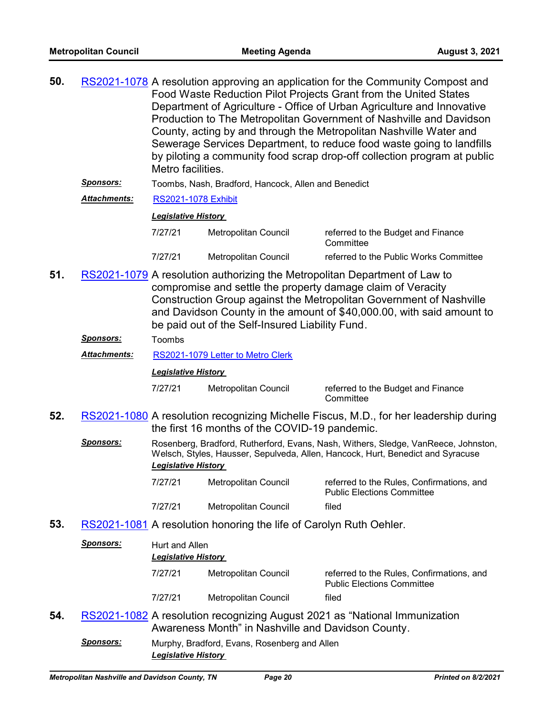| 50. | RS2021-1078 A resolution approving an application for the Community Compost and |
|-----|---------------------------------------------------------------------------------|
|     | Food Waste Reduction Pilot Projects Grant from the United States                |
|     | Department of Agriculture - Office of Urban Agriculture and Innovative          |
|     | Production to The Metropolitan Government of Nashville and Davidson             |
|     | County, acting by and through the Metropolitan Nashville Water and              |
|     | Sewerage Services Department, to reduce food waste going to landfills           |
|     | by piloting a community food scrap drop-off collection program at public        |
|     | Metro facilities.                                                               |
|     |                                                                                 |

*Sponsors:* Toombs, Nash, Bradford, Hancock, Allen and Benedict

*Attachments:* [RS2021-1078 Exhibit](http://nashville.legistar.com/gateway.aspx?M=F&ID=2369d539-c73c-4062-84fa-e61b868afdb1.pdf)

#### *Legislative History*

| 7/27/21 | Metropolitan Council | referred to the Budget and Finance<br>Committee |
|---------|----------------------|-------------------------------------------------|
| 7/27/21 | Metropolitan Council | referred to the Public Works Committee          |

51. [RS2021-1079](http://nashville.legistar.com/gateway.aspx?m=l&id=/matter.aspx?key=13417) A resolution authorizing the Metropolitan Department of Law to compromise and settle the property damage claim of Veracity Construction Group against the Metropolitan Government of Nashville and Davidson County in the amount of \$40,000.00, with said amount to be paid out of the Self-Insured Liability Fund.

*Sponsors:* Toombs

*Attachments:* [RS2021-1079 Letter to Metro Clerk](http://nashville.legistar.com/gateway.aspx?M=F&ID=f7d63d1d-6f1d-4a55-86c9-a4b0d79da321.PDF)

*Legislative History* 

7/27/21 Metropolitan Council referred to the Budget and Finance

# **Committee**

- 52. [RS2021-1080](http://nashville.legistar.com/gateway.aspx?m=l&id=/matter.aspx?key=13426) A resolution recognizing Michelle Fiscus, M.D., for her leadership during the first 16 months of the COVID-19 pandemic.
	- *Sponsors:* Rosenberg, Bradford, Rutherford, Evans, Nash, Withers, Sledge, VanReece, Johnston, Welsch, Styles, Hausser, Sepulveda, Allen, Hancock, Hurt, Benedict and Syracuse *Legislative History* 
		- 7/27/21 Metropolitan Council referred to the Rules, Confirmations, and Public Elections Committee 7/27/21 Metropolitan Council filed
- **53.** [RS2021-1081](http://nashville.legistar.com/gateway.aspx?m=l&id=/matter.aspx?key=13427) A resolution honoring the life of Carolyn Ruth Oehler.

| Sponsors: |         | Hurt and Allen<br><b>Legislative History</b> |                                                                                |  |  |
|-----------|---------|----------------------------------------------|--------------------------------------------------------------------------------|--|--|
|           | 7/27/21 | Metropolitan Council                         | referred to the Rules, Confirmations, and<br><b>Public Elections Committee</b> |  |  |
|           | 7/27/21 | Metropolitan Council                         | filed                                                                          |  |  |
|           |         |                                              | RS2021-1082 A resolution recognizing August 2021 as "National Immunization     |  |  |

- Awareness Month" in Nashville and Davidson County.
- *Sponsors:* Murphy, Bradford, Evans, Rosenberg and Allen *Legislative History*

54.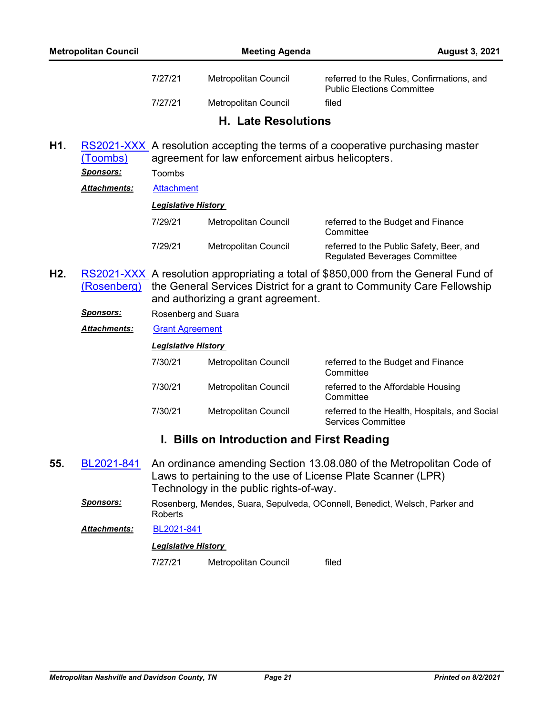| <b>Metropolitan Council</b> |         | <b>Meeting Agenda</b>      | <b>August 3, 2021</b>                                                          |  |
|-----------------------------|---------|----------------------------|--------------------------------------------------------------------------------|--|
|                             | 7/27/21 | Metropolitan Council       | referred to the Rules, Confirmations, and<br><b>Public Elections Committee</b> |  |
|                             | 7/27/21 | Metropolitan Council       | filed                                                                          |  |
|                             |         | <b>H. Late Resolutions</b> |                                                                                |  |
| H1.                         |         |                            | RS2021-XXX A resolution accepting the terms of a cooperative purchasing master |  |

agreement for law enforcement airbus helicopters. (Toombs) *Sponsors:* Toombs *Attachments:* [Attachment](http://nashville.legistar.com/gateway.aspx?M=F&ID=3f9c3889-8532-4b11-878a-73c1da00fcb0.pdf)

*Legislative History* 

| 7/29/21 | Metropolitan Council | referred to the Budget and Finance<br>Committee                                  |
|---------|----------------------|----------------------------------------------------------------------------------|
| 7/29/21 | Metropolitan Council | referred to the Public Safety, Beer, and<br><b>Regulated Beverages Committee</b> |

- RS2021-XXX<sub>,</sub> A resolution appropriating a total of \$850,000 from the General Fund of the General Services District for a grant to Community Care Fellowship and authorizing a grant agreement. (Rosenberg) **H2.**
	- *Sponsors:* Rosenberg and Suara

*Attachments:* [Grant Agreement](http://nashville.legistar.com/gateway.aspx?M=F&ID=ee72aab0-8902-4561-929e-63d0149f8116.pdf)

*Legislative History* 

7/30/21 Metropolitan Council referred to the Budget and Finance **Committee** 7/30/21 Metropolitan Council referred to the Affordable Housing **Committee** 7/30/21 Metropolitan Council referred to the Health, Hospitals, and Social Services Committee

# **I. Bills on Introduction and First Reading**

- An ordinance amending Section 13.08.080 of the Metropolitan Code of Laws to pertaining to the use of License Plate Scanner (LPR) Technology in the public rights-of-way. **55.** [BL2021-841](http://nashville.legistar.com/gateway.aspx?m=l&id=/matter.aspx?key=13432)
	- *Sponsors:* Rosenberg, Mendes, Suara, Sepulveda, OConnell, Benedict, Welsch, Parker and Roberts

*Attachments:* [BL2021-841](http://nashville.legistar.com/gateway.aspx?M=F&ID=1ed46baa-64b9-484d-876d-db1bbc1f1925.pdf)

## *Legislative History*

7/27/21 Metropolitan Council filed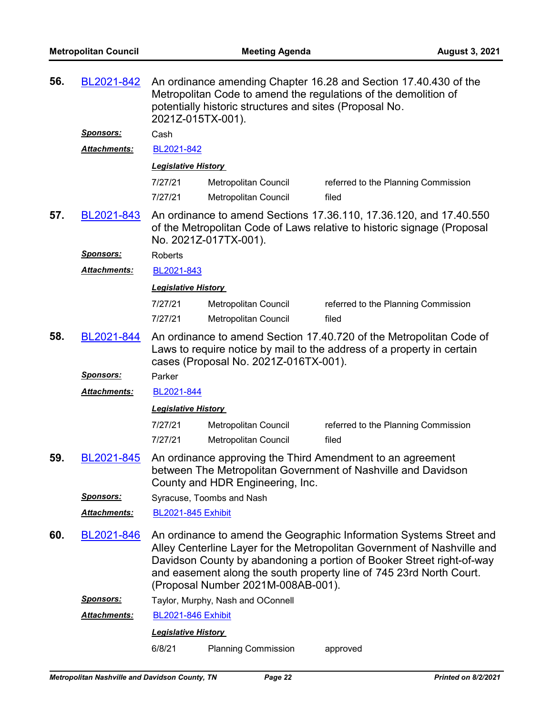| 56. | BL2021-842          | An ordinance amending Chapter 16.28 and Section 17.40.430 of the<br>Metropolitan Code to amend the regulations of the demolition of<br>potentially historic structures and sites (Proposal No.<br>2021Z-015TX-001).                                                                                                                  |                                                                                                                                                                        |                                     |  |  |
|-----|---------------------|--------------------------------------------------------------------------------------------------------------------------------------------------------------------------------------------------------------------------------------------------------------------------------------------------------------------------------------|------------------------------------------------------------------------------------------------------------------------------------------------------------------------|-------------------------------------|--|--|
|     | <u>Sponsors:</u>    | Cash                                                                                                                                                                                                                                                                                                                                 |                                                                                                                                                                        |                                     |  |  |
|     | Attachments:        | BL2021-842                                                                                                                                                                                                                                                                                                                           |                                                                                                                                                                        |                                     |  |  |
|     |                     | <b>Legislative History</b>                                                                                                                                                                                                                                                                                                           |                                                                                                                                                                        |                                     |  |  |
|     |                     | 7/27/21                                                                                                                                                                                                                                                                                                                              | Metropolitan Council                                                                                                                                                   | referred to the Planning Commission |  |  |
|     |                     | 7/27/21                                                                                                                                                                                                                                                                                                                              | Metropolitan Council                                                                                                                                                   | filed                               |  |  |
| 57. | BL2021-843          |                                                                                                                                                                                                                                                                                                                                      | An ordinance to amend Sections 17.36.110, 17.36.120, and 17.40.550<br>of the Metropolitan Code of Laws relative to historic signage (Proposal<br>No. 2021Z-017TX-001). |                                     |  |  |
|     | <b>Sponsors:</b>    | Roberts                                                                                                                                                                                                                                                                                                                              |                                                                                                                                                                        |                                     |  |  |
|     | Attachments:        | BL2021-843                                                                                                                                                                                                                                                                                                                           |                                                                                                                                                                        |                                     |  |  |
|     |                     | <b>Legislative History</b>                                                                                                                                                                                                                                                                                                           |                                                                                                                                                                        |                                     |  |  |
|     |                     | 7/27/21                                                                                                                                                                                                                                                                                                                              | Metropolitan Council                                                                                                                                                   | referred to the Planning Commission |  |  |
|     |                     | 7/27/21                                                                                                                                                                                                                                                                                                                              | Metropolitan Council                                                                                                                                                   | filed                               |  |  |
| 58. | BL2021-844          | An ordinance to amend Section 17.40.720 of the Metropolitan Code of<br>Laws to require notice by mail to the address of a property in certain<br>cases (Proposal No. 2021Z-016TX-001).                                                                                                                                               |                                                                                                                                                                        |                                     |  |  |
|     | <b>Sponsors:</b>    | Parker                                                                                                                                                                                                                                                                                                                               |                                                                                                                                                                        |                                     |  |  |
|     | Attachments:        | BL2021-844                                                                                                                                                                                                                                                                                                                           |                                                                                                                                                                        |                                     |  |  |
|     |                     | <b>Legislative History</b>                                                                                                                                                                                                                                                                                                           |                                                                                                                                                                        |                                     |  |  |
|     |                     | 7/27/21                                                                                                                                                                                                                                                                                                                              | Metropolitan Council                                                                                                                                                   | referred to the Planning Commission |  |  |
|     |                     | 7/27/21                                                                                                                                                                                                                                                                                                                              | Metropolitan Council                                                                                                                                                   | filed                               |  |  |
| 59. | BL2021-845          | An ordinance approving the Third Amendment to an agreement<br>between The Metropolitan Government of Nashville and Davidson<br>County and HDR Engineering, Inc.                                                                                                                                                                      |                                                                                                                                                                        |                                     |  |  |
|     | <u>Sponsors:</u>    | Syracuse, Toombs and Nash                                                                                                                                                                                                                                                                                                            |                                                                                                                                                                        |                                     |  |  |
|     | <b>Attachments:</b> | <b>BL2021-845 Exhibit</b>                                                                                                                                                                                                                                                                                                            |                                                                                                                                                                        |                                     |  |  |
| 60. | BL2021-846          | An ordinance to amend the Geographic Information Systems Street and<br>Alley Centerline Layer for the Metropolitan Government of Nashville and<br>Davidson County by abandoning a portion of Booker Street right-of-way<br>and easement along the south property line of 745 23rd North Court.<br>(Proposal Number 2021M-008AB-001). |                                                                                                                                                                        |                                     |  |  |
|     | <u>Sponsors:</u>    | Taylor, Murphy, Nash and OConnell                                                                                                                                                                                                                                                                                                    |                                                                                                                                                                        |                                     |  |  |
|     | Attachments:        | <b>BL2021-846 Exhibit</b>                                                                                                                                                                                                                                                                                                            |                                                                                                                                                                        |                                     |  |  |
|     |                     | <b>Legislative History</b>                                                                                                                                                                                                                                                                                                           |                                                                                                                                                                        |                                     |  |  |
|     |                     | 6/8/21                                                                                                                                                                                                                                                                                                                               | <b>Planning Commission</b>                                                                                                                                             | approved                            |  |  |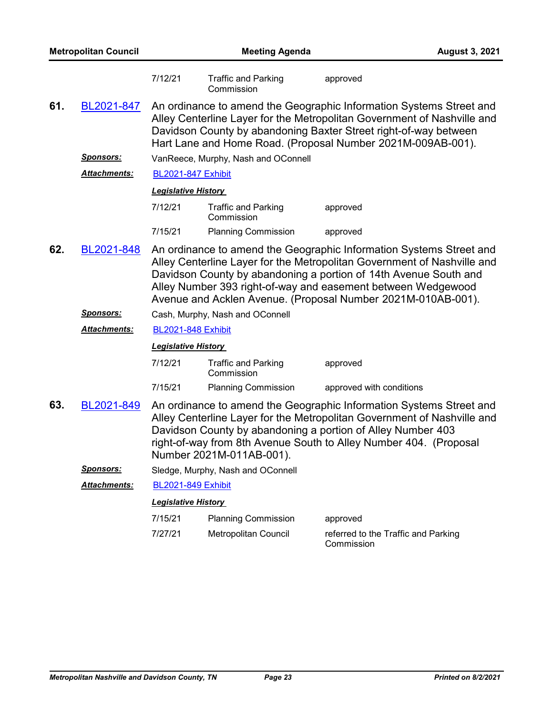| <b>Metropolitan Council</b> |                      | <b>Meeting Agenda</b>      |                                          |                                                                                                                                                                                                                                                                                                                                                    | <b>August 3, 2021</b> |
|-----------------------------|----------------------|----------------------------|------------------------------------------|----------------------------------------------------------------------------------------------------------------------------------------------------------------------------------------------------------------------------------------------------------------------------------------------------------------------------------------------------|-----------------------|
|                             |                      | 7/12/21                    | <b>Traffic and Parking</b><br>Commission | approved                                                                                                                                                                                                                                                                                                                                           |                       |
| 61.                         | BL2021-847           |                            |                                          | An ordinance to amend the Geographic Information Systems Street and<br>Alley Centerline Layer for the Metropolitan Government of Nashville and<br>Davidson County by abandoning Baxter Street right-of-way between<br>Hart Lane and Home Road. (Proposal Number 2021M-009AB-001).                                                                  |                       |
|                             | <b>Sponsors:</b>     |                            | VanReece, Murphy, Nash and OConnell      |                                                                                                                                                                                                                                                                                                                                                    |                       |
|                             | Attachments:         | <b>BL2021-847 Exhibit</b>  |                                          |                                                                                                                                                                                                                                                                                                                                                    |                       |
|                             |                      | <b>Legislative History</b> |                                          |                                                                                                                                                                                                                                                                                                                                                    |                       |
|                             |                      | 7/12/21                    | <b>Traffic and Parking</b><br>Commission | approved                                                                                                                                                                                                                                                                                                                                           |                       |
|                             |                      | 7/15/21                    | <b>Planning Commission</b>               | approved                                                                                                                                                                                                                                                                                                                                           |                       |
| 62.                         | BL2021-848           |                            |                                          | An ordinance to amend the Geographic Information Systems Street and<br>Alley Centerline Layer for the Metropolitan Government of Nashville and<br>Davidson County by abandoning a portion of 14th Avenue South and<br>Alley Number 393 right-of-way and easement between Wedgewood<br>Avenue and Acklen Avenue. (Proposal Number 2021M-010AB-001). |                       |
|                             | <u>Sponsors:</u>     |                            | Cash, Murphy, Nash and OConnell          |                                                                                                                                                                                                                                                                                                                                                    |                       |
|                             | <u> Attachments:</u> | <b>BL2021-848 Exhibit</b>  |                                          |                                                                                                                                                                                                                                                                                                                                                    |                       |
|                             |                      | <b>Legislative History</b> |                                          |                                                                                                                                                                                                                                                                                                                                                    |                       |
|                             |                      | 7/12/21                    | <b>Traffic and Parking</b><br>Commission | approved                                                                                                                                                                                                                                                                                                                                           |                       |
|                             |                      | 7/15/21                    | <b>Planning Commission</b>               | approved with conditions                                                                                                                                                                                                                                                                                                                           |                       |
| 63.                         | BL2021-849           |                            | Number 2021M-011AB-001).                 | An ordinance to amend the Geographic Information Systems Street and<br>Alley Centerline Layer for the Metropolitan Government of Nashville and<br>Davidson County by abandoning a portion of Alley Number 403<br>right-of-way from 8th Avenue South to Alley Number 404. (Proposal                                                                 |                       |
|                             | <b>Sponsors:</b>     |                            | Sledge, Murphy, Nash and OConnell        |                                                                                                                                                                                                                                                                                                                                                    |                       |
|                             | Attachments:         | <b>BL2021-849 Exhibit</b>  |                                          |                                                                                                                                                                                                                                                                                                                                                    |                       |
|                             |                      | <b>Legislative History</b> |                                          |                                                                                                                                                                                                                                                                                                                                                    |                       |
|                             |                      | 7/15/21                    | <b>Planning Commission</b>               | approved                                                                                                                                                                                                                                                                                                                                           |                       |
|                             |                      | 7/27/21                    | Metropolitan Council                     | referred to the Traffic and Parking<br>Commission                                                                                                                                                                                                                                                                                                  |                       |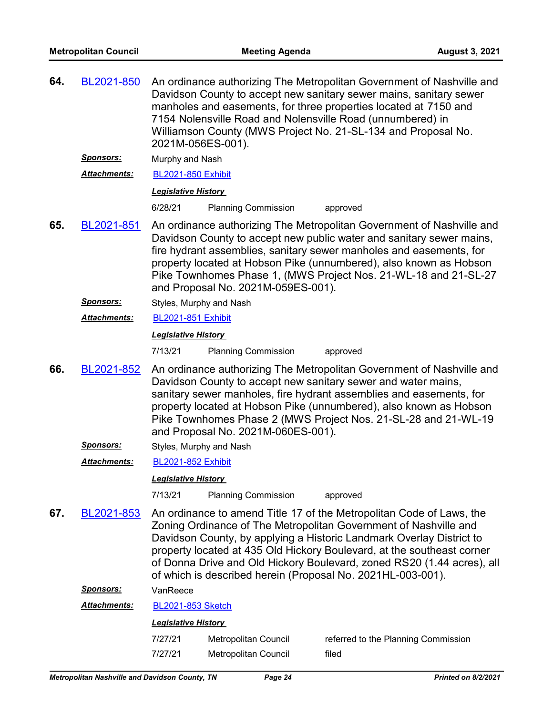| 64. | BL2021-850          | 2021M-056ES-001).          |                                    | An ordinance authorizing The Metropolitan Government of Nashville and<br>Davidson County to accept new sanitary sewer mains, sanitary sewer<br>manholes and easements, for three properties located at 7150 and<br>7154 Nolensville Road and Nolensville Road (unnumbered) in<br>Williamson County (MWS Project No. 21-SL-134 and Proposal No.                                                                                      |
|-----|---------------------|----------------------------|------------------------------------|-------------------------------------------------------------------------------------------------------------------------------------------------------------------------------------------------------------------------------------------------------------------------------------------------------------------------------------------------------------------------------------------------------------------------------------|
|     | <u>Sponsors:</u>    | Murphy and Nash            |                                    |                                                                                                                                                                                                                                                                                                                                                                                                                                     |
|     | Attachments:        | <b>BL2021-850 Exhibit</b>  |                                    |                                                                                                                                                                                                                                                                                                                                                                                                                                     |
|     |                     | <b>Legislative History</b> |                                    |                                                                                                                                                                                                                                                                                                                                                                                                                                     |
|     |                     | 6/28/21                    | <b>Planning Commission</b>         | approved                                                                                                                                                                                                                                                                                                                                                                                                                            |
| 65. | BL2021-851          |                            | and Proposal No. 2021M-059ES-001). | An ordinance authorizing The Metropolitan Government of Nashville and<br>Davidson County to accept new public water and sanitary sewer mains,<br>fire hydrant assemblies, sanitary sewer manholes and easements, for<br>property located at Hobson Pike (unnumbered), also known as Hobson<br>Pike Townhomes Phase 1, (MWS Project Nos. 21-WL-18 and 21-SL-27                                                                       |
|     | <u>Sponsors:</u>    | Styles, Murphy and Nash    |                                    |                                                                                                                                                                                                                                                                                                                                                                                                                                     |
|     | Attachments:        | <b>BL2021-851 Exhibit</b>  |                                    |                                                                                                                                                                                                                                                                                                                                                                                                                                     |
|     |                     | <b>Legislative History</b> |                                    |                                                                                                                                                                                                                                                                                                                                                                                                                                     |
|     |                     | 7/13/21                    | <b>Planning Commission</b>         | approved                                                                                                                                                                                                                                                                                                                                                                                                                            |
| 66. | BL2021-852          |                            | and Proposal No. 2021M-060ES-001). | An ordinance authorizing The Metropolitan Government of Nashville and<br>Davidson County to accept new sanitary sewer and water mains,<br>sanitary sewer manholes, fire hydrant assemblies and easements, for<br>property located at Hobson Pike (unnumbered), also known as Hobson<br>Pike Townhomes Phase 2 (MWS Project Nos. 21-SL-28 and 21-WL-19                                                                               |
|     | <b>Sponsors:</b>    | Styles, Murphy and Nash    |                                    |                                                                                                                                                                                                                                                                                                                                                                                                                                     |
|     | <b>Attachments:</b> | <b>BL2021-852 Exhibit</b>  |                                    |                                                                                                                                                                                                                                                                                                                                                                                                                                     |
|     |                     | <b>Legislative History</b> |                                    |                                                                                                                                                                                                                                                                                                                                                                                                                                     |
|     |                     | 7/13/21                    | <b>Planning Commission</b>         | approved                                                                                                                                                                                                                                                                                                                                                                                                                            |
| 67. | BL2021-853          |                            |                                    | An ordinance to amend Title 17 of the Metropolitan Code of Laws, the<br>Zoning Ordinance of The Metropolitan Government of Nashville and<br>Davidson County, by applying a Historic Landmark Overlay District to<br>property located at 435 Old Hickory Boulevard, at the southeast corner<br>of Donna Drive and Old Hickory Boulevard, zoned RS20 (1.44 acres), all<br>of which is described herein (Proposal No. 2021HL-003-001). |
|     | <b>Sponsors:</b>    | VanReece                   |                                    |                                                                                                                                                                                                                                                                                                                                                                                                                                     |
|     | Attachments:        | <b>BL2021-853 Sketch</b>   |                                    |                                                                                                                                                                                                                                                                                                                                                                                                                                     |
|     |                     | <b>Legislative History</b> |                                    |                                                                                                                                                                                                                                                                                                                                                                                                                                     |
|     |                     | 7/27/21                    | Metropolitan Council               | referred to the Planning Commission                                                                                                                                                                                                                                                                                                                                                                                                 |
|     |                     | 7/27/21                    | Metropolitan Council               | filed                                                                                                                                                                                                                                                                                                                                                                                                                               |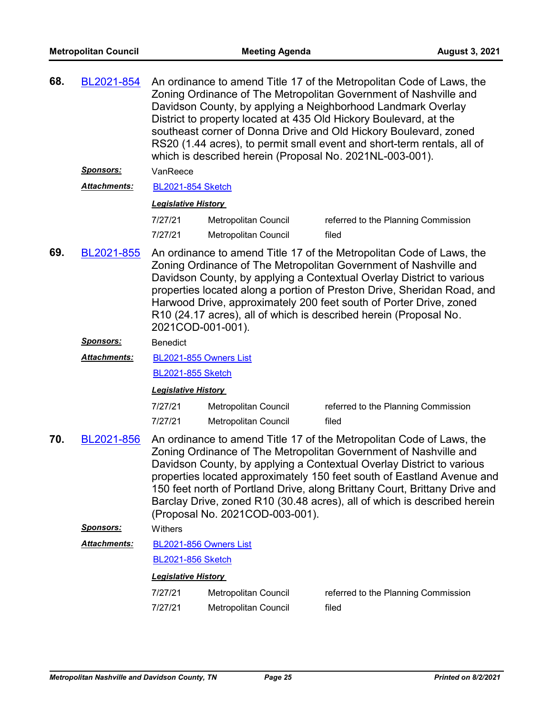| 68. | BL2021-854          | An ordinance to amend Title 17 of the Metropolitan Code of Laws, the<br>Zoning Ordinance of The Metropolitan Government of Nashville and<br>Davidson County, by applying a Neighborhood Landmark Overlay<br>District to property located at 435 Old Hickory Boulevard, at the<br>southeast corner of Donna Drive and Old Hickory Boulevard, zoned<br>RS20 (1.44 acres), to permit small event and short-term rentals, all of<br>which is described herein (Proposal No. 2021NL-003-001). |                                                     |                                                                                                                                                                                                                                                                                                                                                                                                                                                       |  |
|-----|---------------------|------------------------------------------------------------------------------------------------------------------------------------------------------------------------------------------------------------------------------------------------------------------------------------------------------------------------------------------------------------------------------------------------------------------------------------------------------------------------------------------|-----------------------------------------------------|-------------------------------------------------------------------------------------------------------------------------------------------------------------------------------------------------------------------------------------------------------------------------------------------------------------------------------------------------------------------------------------------------------------------------------------------------------|--|
|     | <b>Sponsors:</b>    | VanReece                                                                                                                                                                                                                                                                                                                                                                                                                                                                                 |                                                     |                                                                                                                                                                                                                                                                                                                                                                                                                                                       |  |
|     | <b>Attachments:</b> |                                                                                                                                                                                                                                                                                                                                                                                                                                                                                          | <b>BL2021-854 Sketch</b>                            |                                                                                                                                                                                                                                                                                                                                                                                                                                                       |  |
|     |                     | <b>Legislative History</b>                                                                                                                                                                                                                                                                                                                                                                                                                                                               |                                                     |                                                                                                                                                                                                                                                                                                                                                                                                                                                       |  |
|     |                     | 7/27/21<br>7/27/21                                                                                                                                                                                                                                                                                                                                                                                                                                                                       | <b>Metropolitan Council</b><br>Metropolitan Council | referred to the Planning Commission<br>filed                                                                                                                                                                                                                                                                                                                                                                                                          |  |
| 69. | BL2021-855          | 2021COD-001-001).                                                                                                                                                                                                                                                                                                                                                                                                                                                                        |                                                     | An ordinance to amend Title 17 of the Metropolitan Code of Laws, the<br>Zoning Ordinance of The Metropolitan Government of Nashville and<br>Davidson County, by applying a Contextual Overlay District to various<br>properties located along a portion of Preston Drive, Sheridan Road, and<br>Harwood Drive, approximately 200 feet south of Porter Drive, zoned<br>R10 (24.17 acres), all of which is described herein (Proposal No.               |  |
|     | Sponsors:           | <b>Benedict</b>                                                                                                                                                                                                                                                                                                                                                                                                                                                                          |                                                     |                                                                                                                                                                                                                                                                                                                                                                                                                                                       |  |
|     | <b>Attachments:</b> | BL2021-855 Owners List                                                                                                                                                                                                                                                                                                                                                                                                                                                                   |                                                     |                                                                                                                                                                                                                                                                                                                                                                                                                                                       |  |
|     |                     | <b>BL2021-855 Sketch</b>                                                                                                                                                                                                                                                                                                                                                                                                                                                                 |                                                     |                                                                                                                                                                                                                                                                                                                                                                                                                                                       |  |
|     |                     | <b>Legislative History</b>                                                                                                                                                                                                                                                                                                                                                                                                                                                               |                                                     |                                                                                                                                                                                                                                                                                                                                                                                                                                                       |  |
|     |                     | 7/27/21                                                                                                                                                                                                                                                                                                                                                                                                                                                                                  | Metropolitan Council                                | referred to the Planning Commission                                                                                                                                                                                                                                                                                                                                                                                                                   |  |
|     |                     | 7/27/21                                                                                                                                                                                                                                                                                                                                                                                                                                                                                  | <b>Metropolitan Council</b>                         | filed                                                                                                                                                                                                                                                                                                                                                                                                                                                 |  |
| 70. | BL2021-856          |                                                                                                                                                                                                                                                                                                                                                                                                                                                                                          | (Proposal No. 2021COD-003-001).                     | An ordinance to amend Title 17 of the Metropolitan Code of Laws, the<br>Zoning Ordinance of The Metropolitan Government of Nashville and<br>Davidson County, by applying a Contextual Overlay District to various<br>properties located approximately 150 feet south of Eastland Avenue and<br>150 feet north of Portland Drive, along Brittany Court, Brittany Drive and<br>Barclay Drive, zoned R10 (30.48 acres), all of which is described herein |  |
|     | <u>Sponsors:</u>    | Withers                                                                                                                                                                                                                                                                                                                                                                                                                                                                                  |                                                     |                                                                                                                                                                                                                                                                                                                                                                                                                                                       |  |
|     | <b>Attachments:</b> | BL2021-856 Owners List                                                                                                                                                                                                                                                                                                                                                                                                                                                                   |                                                     |                                                                                                                                                                                                                                                                                                                                                                                                                                                       |  |
|     |                     | <b>BL2021-856 Sketch</b>                                                                                                                                                                                                                                                                                                                                                                                                                                                                 |                                                     |                                                                                                                                                                                                                                                                                                                                                                                                                                                       |  |
|     |                     | <b>Legislative History</b>                                                                                                                                                                                                                                                                                                                                                                                                                                                               |                                                     |                                                                                                                                                                                                                                                                                                                                                                                                                                                       |  |
|     |                     | 7/27/21                                                                                                                                                                                                                                                                                                                                                                                                                                                                                  | Metropolitan Council                                | referred to the Planning Commission                                                                                                                                                                                                                                                                                                                                                                                                                   |  |
|     |                     | 7/27/21                                                                                                                                                                                                                                                                                                                                                                                                                                                                                  | Metropolitan Council                                | filed                                                                                                                                                                                                                                                                                                                                                                                                                                                 |  |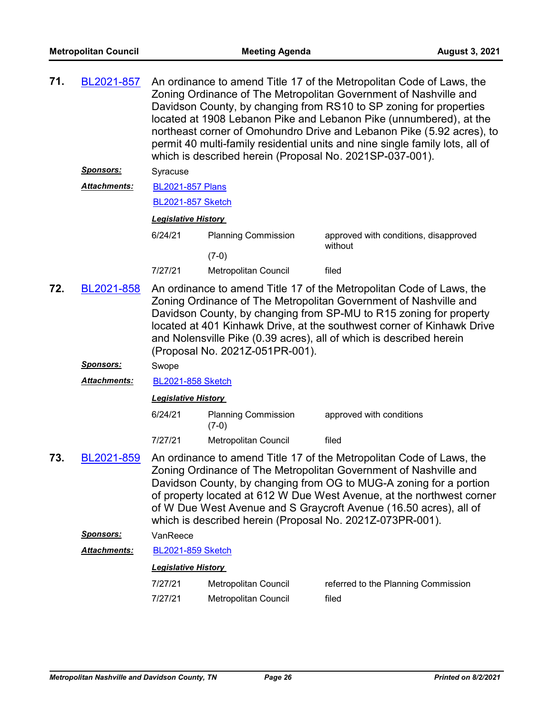| 71. | BL2021-857           | An ordinance to amend Title 17 of the Metropolitan Code of Laws, the<br>Zoning Ordinance of The Metropolitan Government of Nashville and<br>Davidson County, by changing from RS10 to SP zoning for properties<br>located at 1908 Lebanon Pike and Lebanon Pike (unnumbered), at the<br>northeast corner of Omohundro Drive and Lebanon Pike (5.92 acres), to<br>permit 40 multi-family residential units and nine single family lots, all of<br>which is described herein (Proposal No. 2021SP-037-001). |                                       |                                                                                                                                                                                                                                                                                                                                                                                                                           |
|-----|----------------------|-----------------------------------------------------------------------------------------------------------------------------------------------------------------------------------------------------------------------------------------------------------------------------------------------------------------------------------------------------------------------------------------------------------------------------------------------------------------------------------------------------------|---------------------------------------|---------------------------------------------------------------------------------------------------------------------------------------------------------------------------------------------------------------------------------------------------------------------------------------------------------------------------------------------------------------------------------------------------------------------------|
|     | Sponsors:            | Syracuse                                                                                                                                                                                                                                                                                                                                                                                                                                                                                                  |                                       |                                                                                                                                                                                                                                                                                                                                                                                                                           |
|     | <b>Attachments:</b>  | <b>BL2021-857 Plans</b>                                                                                                                                                                                                                                                                                                                                                                                                                                                                                   |                                       |                                                                                                                                                                                                                                                                                                                                                                                                                           |
|     |                      | <b>BL2021-857 Sketch</b>                                                                                                                                                                                                                                                                                                                                                                                                                                                                                  |                                       |                                                                                                                                                                                                                                                                                                                                                                                                                           |
|     |                      | <b>Legislative History</b>                                                                                                                                                                                                                                                                                                                                                                                                                                                                                |                                       |                                                                                                                                                                                                                                                                                                                                                                                                                           |
|     |                      | 6/24/21                                                                                                                                                                                                                                                                                                                                                                                                                                                                                                   | <b>Planning Commission</b>            | approved with conditions, disapproved                                                                                                                                                                                                                                                                                                                                                                                     |
|     |                      |                                                                                                                                                                                                                                                                                                                                                                                                                                                                                                           | $(7-0)$                               | without                                                                                                                                                                                                                                                                                                                                                                                                                   |
|     |                      | 7/27/21                                                                                                                                                                                                                                                                                                                                                                                                                                                                                                   | Metropolitan Council                  | filed                                                                                                                                                                                                                                                                                                                                                                                                                     |
| 72. | BL2021-858           |                                                                                                                                                                                                                                                                                                                                                                                                                                                                                                           | (Proposal No. 2021Z-051PR-001).       | An ordinance to amend Title 17 of the Metropolitan Code of Laws, the<br>Zoning Ordinance of The Metropolitan Government of Nashville and<br>Davidson County, by changing from SP-MU to R15 zoning for property<br>located at 401 Kinhawk Drive, at the southwest corner of Kinhawk Drive<br>and Nolensville Pike (0.39 acres), all of which is described herein                                                           |
|     | Sponsors:            | Swope                                                                                                                                                                                                                                                                                                                                                                                                                                                                                                     |                                       |                                                                                                                                                                                                                                                                                                                                                                                                                           |
|     | Attachments:         | <b>BL2021-858 Sketch</b>                                                                                                                                                                                                                                                                                                                                                                                                                                                                                  |                                       |                                                                                                                                                                                                                                                                                                                                                                                                                           |
|     |                      | <b>Legislative History</b>                                                                                                                                                                                                                                                                                                                                                                                                                                                                                |                                       |                                                                                                                                                                                                                                                                                                                                                                                                                           |
|     |                      | 6/24/21                                                                                                                                                                                                                                                                                                                                                                                                                                                                                                   | <b>Planning Commission</b><br>$(7-0)$ | approved with conditions                                                                                                                                                                                                                                                                                                                                                                                                  |
|     |                      | 7/27/21                                                                                                                                                                                                                                                                                                                                                                                                                                                                                                   | Metropolitan Council                  | filed                                                                                                                                                                                                                                                                                                                                                                                                                     |
| 73. | BL2021-859           |                                                                                                                                                                                                                                                                                                                                                                                                                                                                                                           |                                       | An ordinance to amend Title 17 of the Metropolitan Code of Laws, the<br>Zoning Ordinance of The Metropolitan Government of Nashville and<br>Davidson County, by changing from OG to MUG-A zoning for a portion<br>of property located at 612 W Due West Avenue, at the northwest corner<br>of W Due West Avenue and S Graycroft Avenue (16.50 acres), all of<br>which is described herein (Proposal No. 2021Z-073PR-001). |
|     | <b>Sponsors:</b>     | VanReece                                                                                                                                                                                                                                                                                                                                                                                                                                                                                                  |                                       |                                                                                                                                                                                                                                                                                                                                                                                                                           |
|     | <u> Attachments:</u> | <b>BL2021-859 Sketch</b>                                                                                                                                                                                                                                                                                                                                                                                                                                                                                  |                                       |                                                                                                                                                                                                                                                                                                                                                                                                                           |
|     |                      | <b>Legislative History</b>                                                                                                                                                                                                                                                                                                                                                                                                                                                                                |                                       |                                                                                                                                                                                                                                                                                                                                                                                                                           |
|     |                      | 7/27/21                                                                                                                                                                                                                                                                                                                                                                                                                                                                                                   | <b>Metropolitan Council</b>           | referred to the Planning Commission                                                                                                                                                                                                                                                                                                                                                                                       |
|     |                      | 7/27/21                                                                                                                                                                                                                                                                                                                                                                                                                                                                                                   | Metropolitan Council                  | filed                                                                                                                                                                                                                                                                                                                                                                                                                     |
|     |                      |                                                                                                                                                                                                                                                                                                                                                                                                                                                                                                           |                                       |                                                                                                                                                                                                                                                                                                                                                                                                                           |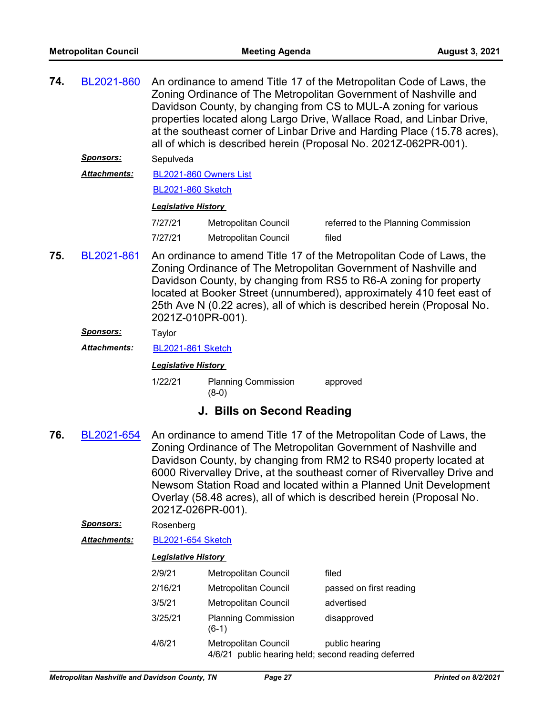| 74. | BL2021-860          | An ordinance to amend Title 17 of the Metropolitan Code of Laws, the<br>Zoning Ordinance of The Metropolitan Government of Nashville and<br>Davidson County, by changing from CS to MUL-A zoning for various<br>properties located along Largo Drive, Wallace Road, and Linbar Drive,<br>at the southeast corner of Linbar Drive and Harding Place (15.78 acres),<br>all of which is described herein (Proposal No. 2021Z-062PR-001). |                                       |                                                                                                                                                                                                                                                                                           |  |  |
|-----|---------------------|---------------------------------------------------------------------------------------------------------------------------------------------------------------------------------------------------------------------------------------------------------------------------------------------------------------------------------------------------------------------------------------------------------------------------------------|---------------------------------------|-------------------------------------------------------------------------------------------------------------------------------------------------------------------------------------------------------------------------------------------------------------------------------------------|--|--|
|     | <u>Sponsors:</u>    | Sepulveda                                                                                                                                                                                                                                                                                                                                                                                                                             |                                       |                                                                                                                                                                                                                                                                                           |  |  |
|     | Attachments:        | BL2021-860 Owners List                                                                                                                                                                                                                                                                                                                                                                                                                |                                       |                                                                                                                                                                                                                                                                                           |  |  |
|     |                     | <b>BL2021-860 Sketch</b>                                                                                                                                                                                                                                                                                                                                                                                                              |                                       |                                                                                                                                                                                                                                                                                           |  |  |
|     |                     | <b>Legislative History</b>                                                                                                                                                                                                                                                                                                                                                                                                            |                                       |                                                                                                                                                                                                                                                                                           |  |  |
|     |                     | 7/27/21                                                                                                                                                                                                                                                                                                                                                                                                                               | Metropolitan Council                  | referred to the Planning Commission                                                                                                                                                                                                                                                       |  |  |
|     |                     | 7/27/21                                                                                                                                                                                                                                                                                                                                                                                                                               | <b>Metropolitan Council</b>           | filed                                                                                                                                                                                                                                                                                     |  |  |
| 75. | BL2021-861          | An ordinance to amend Title 17 of the Metropolitan Code of Laws, the<br>Zoning Ordinance of The Metropolitan Government of Nashville and<br>Davidson County, by changing from RS5 to R6-A zoning for property<br>located at Booker Street (unnumbered), approximately 410 feet east of<br>25th Ave N (0.22 acres), all of which is described herein (Proposal No.<br>2021Z-010PR-001).                                                |                                       |                                                                                                                                                                                                                                                                                           |  |  |
|     | <b>Sponsors:</b>    | Taylor                                                                                                                                                                                                                                                                                                                                                                                                                                |                                       |                                                                                                                                                                                                                                                                                           |  |  |
|     | <b>Attachments:</b> | <b>BL2021-861 Sketch</b>                                                                                                                                                                                                                                                                                                                                                                                                              |                                       |                                                                                                                                                                                                                                                                                           |  |  |
|     |                     | <b>Legislative History</b>                                                                                                                                                                                                                                                                                                                                                                                                            |                                       |                                                                                                                                                                                                                                                                                           |  |  |
|     |                     | 1/22/21                                                                                                                                                                                                                                                                                                                                                                                                                               | <b>Planning Commission</b><br>$(8-0)$ | approved                                                                                                                                                                                                                                                                                  |  |  |
|     |                     |                                                                                                                                                                                                                                                                                                                                                                                                                                       | J. Bills on Second Reading            |                                                                                                                                                                                                                                                                                           |  |  |
| 76. | BL2021-654          |                                                                                                                                                                                                                                                                                                                                                                                                                                       |                                       | An ordinance to amend Title 17 of the Metropolitan Code of Laws, the<br>Zoning Ordinance of The Metropolitan Government of Nashville and<br>Davidson County, by changing from RM2 to RS40 property located at<br>6000 Rivervalley Drive, at the southeast corner of Rivervalley Drive and |  |  |

6000 Rivervalley Drive, at the southeast corner of Rivervalley Drive and Newsom Station Road and located within a Planned Unit Development Overlay (58.48 acres), all of which is described herein (Proposal No. 2021Z-026PR-001).

- *Sponsors:* Rosenberg
- *Attachments:* [BL2021-654 Sketch](http://nashville.legistar.com/gateway.aspx?M=F&ID=aa454243-fb84-4881-9b94-d0e120d6b2b0.docx)

| 2/9/21  | Metropolitan Council                                                               | filed                   |
|---------|------------------------------------------------------------------------------------|-------------------------|
| 2/16/21 | Metropolitan Council                                                               | passed on first reading |
| 3/5/21  | Metropolitan Council                                                               | advertised              |
| 3/25/21 | <b>Planning Commission</b><br>$(6-1)$                                              | disapproved             |
| 4/6/21  | <b>Metropolitan Council</b><br>4/6/21 public hearing held; second reading deferred | public hearing          |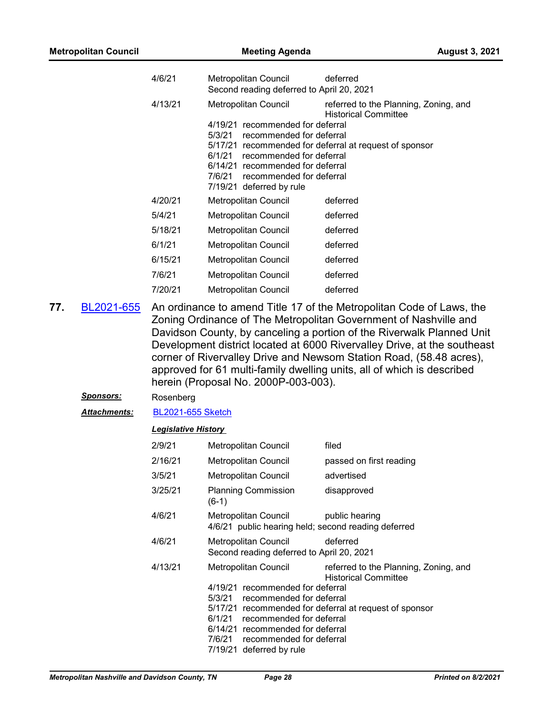| <b>Metropolitan Council</b> | <b>Meeting Agenda</b> |                                                                   | <b>August 3, 2021</b>                                                |  |
|-----------------------------|-----------------------|-------------------------------------------------------------------|----------------------------------------------------------------------|--|
|                             | 4/6/21                | Metropolitan Council<br>Second reading deferred to April 20, 2021 | deferred                                                             |  |
|                             | 4/13/21               | Metropolitan Council                                              | referred to the Planning, Zoning, and<br><b>Historical Committee</b> |  |
|                             |                       | 4/19/21 recommended for deferral                                  |                                                                      |  |
|                             |                       | 5/3/21<br>recommended for deferral                                |                                                                      |  |
|                             |                       | recommended for deferral<br>6/1/21                                | 5/17/21 recommended for deferral at request of sponsor               |  |
|                             |                       | 6/14/21 recommended for deferral                                  |                                                                      |  |
|                             |                       | 7/6/21<br>recommended for deferral                                |                                                                      |  |
|                             |                       | 7/19/21 deferred by rule                                          |                                                                      |  |
|                             | 4/20/21               | <b>Metropolitan Council</b>                                       | deferred                                                             |  |
|                             | 5/4/21                | <b>Metropolitan Council</b>                                       | deferred                                                             |  |
|                             | 5/18/21               | Metropolitan Council                                              | deferred                                                             |  |
|                             | 6/1/21                | <b>Metropolitan Council</b>                                       | deferred                                                             |  |
|                             | 6/15/21               | Metropolitan Council                                              | deferred                                                             |  |
|                             | 7/6/21                | <b>Metropolitan Council</b>                                       | deferred                                                             |  |
|                             | 7/20/21               | <b>Metropolitan Council</b>                                       | deferred                                                             |  |

- An ordinance to amend Title 17 of the Metropolitan Code of Laws, the Zoning Ordinance of The Metropolitan Government of Nashville and Davidson County, by canceling a portion of the Riverwalk Planned Unit Development district located at 6000 Rivervalley Drive, at the southeast corner of Rivervalley Drive and Newsom Station Road, (58.48 acres), approved for 61 multi-family dwelling units, all of which is described herein (Proposal No. 2000P-003-003). **77.** [BL2021-655](http://nashville.legistar.com/gateway.aspx?m=l&id=/matter.aspx?key=1928)
	- *Sponsors:* Rosenberg
	- *Attachments:* [BL2021-655 Sketch](http://nashville.legistar.com/gateway.aspx?M=F&ID=77b43b1c-3244-418d-a9af-745be0148128.docx)

| 2/9/21  | Metropolitan Council                                                                                                               | filed                                                                                                                          |
|---------|------------------------------------------------------------------------------------------------------------------------------------|--------------------------------------------------------------------------------------------------------------------------------|
| 2/16/21 | Metropolitan Council                                                                                                               | passed on first reading                                                                                                        |
| 3/5/21  | Metropolitan Council                                                                                                               | advertised                                                                                                                     |
| 3/25/21 | <b>Planning Commission</b><br>$(6-1)$                                                                                              | disapproved                                                                                                                    |
| 4/6/21  | Metropolitan Council<br>4/6/21 public hearing held; second reading deferred                                                        | public hearing                                                                                                                 |
| 4/6/21  | Metropolitan Council<br>Second reading deferred to April 20, 2021                                                                  | deferred                                                                                                                       |
| 4/13/21 | Metropolitan Council<br>4/19/21 recommended for deferral<br>5/3/21 recommended for deferral                                        | referred to the Planning, Zoning, and<br><b>Historical Committee</b><br>5/17/21 recommended for deferral at request of sponsor |
|         | 6/1/21 recommended for deferral<br>6/14/21 recommended for deferral<br>7/6/21 recommended for deferral<br>7/19/21 deferred by rule |                                                                                                                                |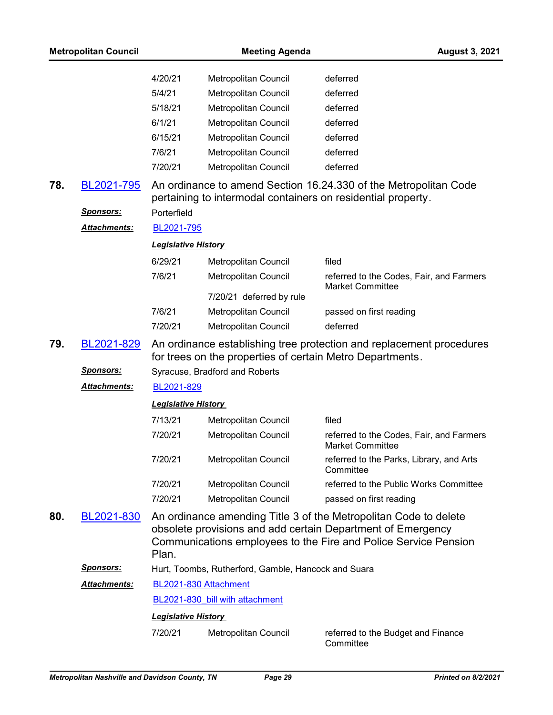|     | <b>Metropolitan Council</b> |                            | <b>Meeting Agenda</b>                               | <b>August 3, 2021</b>                                                                                                                                                                              |
|-----|-----------------------------|----------------------------|-----------------------------------------------------|----------------------------------------------------------------------------------------------------------------------------------------------------------------------------------------------------|
|     |                             | 4/20/21                    | Metropolitan Council                                | deferred                                                                                                                                                                                           |
|     |                             | 5/4/21                     | Metropolitan Council                                | deferred                                                                                                                                                                                           |
|     |                             | 5/18/21                    | Metropolitan Council                                | deferred                                                                                                                                                                                           |
|     |                             | 6/1/21                     | Metropolitan Council                                | deferred                                                                                                                                                                                           |
|     |                             | 6/15/21                    | Metropolitan Council                                | deferred                                                                                                                                                                                           |
|     |                             | 7/6/21                     | Metropolitan Council                                | deferred                                                                                                                                                                                           |
|     |                             | 7/20/21                    | <b>Metropolitan Council</b>                         | deferred                                                                                                                                                                                           |
| 78. | BL2021-795                  |                            |                                                     | An ordinance to amend Section 16.24.330 of the Metropolitan Code<br>pertaining to intermodal containers on residential property.                                                                   |
|     | Sponsors:                   | Porterfield                |                                                     |                                                                                                                                                                                                    |
|     | Attachments:                | BL2021-795                 |                                                     |                                                                                                                                                                                                    |
|     |                             | <b>Legislative History</b> |                                                     |                                                                                                                                                                                                    |
|     |                             | 6/29/21                    | Metropolitan Council                                | filed                                                                                                                                                                                              |
|     |                             | 7/6/21                     | Metropolitan Council                                | referred to the Codes, Fair, and Farmers<br><b>Market Committee</b>                                                                                                                                |
|     |                             |                            | 7/20/21 deferred by rule                            |                                                                                                                                                                                                    |
|     |                             | 7/6/21                     | Metropolitan Council                                | passed on first reading                                                                                                                                                                            |
|     |                             | 7/20/21                    | Metropolitan Council                                | deferred                                                                                                                                                                                           |
| 79. | BL2021-829                  |                            |                                                     | An ordinance establishing tree protection and replacement procedures<br>for trees on the properties of certain Metro Departments.                                                                  |
|     | <u>Sponsors:</u>            |                            | Syracuse, Bradford and Roberts                      |                                                                                                                                                                                                    |
|     | Attachments:                | BL2021-829                 |                                                     |                                                                                                                                                                                                    |
|     |                             | <b>Legislative History</b> |                                                     |                                                                                                                                                                                                    |
|     |                             | 7/13/21                    | Metropolitan Council                                | filed                                                                                                                                                                                              |
|     |                             | 7/20/21                    | <b>Metropolitan Council</b>                         | referred to the Codes, Fair, and Farmers<br>Market Committee                                                                                                                                       |
|     |                             | 7/20/21                    | Metropolitan Council                                | referred to the Parks, Library, and Arts<br>Committee                                                                                                                                              |
|     |                             | 7/20/21                    | Metropolitan Council                                | referred to the Public Works Committee                                                                                                                                                             |
|     |                             | 7/20/21                    | <b>Metropolitan Council</b>                         | passed on first reading                                                                                                                                                                            |
| 80. | BL2021-830                  | Plan.                      |                                                     | An ordinance amending Title 3 of the Metropolitan Code to delete<br>obsolete provisions and add certain Department of Emergency<br>Communications employees to the Fire and Police Service Pension |
|     | <b>Sponsors:</b>            |                            | Hurt, Toombs, Rutherford, Gamble, Hancock and Suara |                                                                                                                                                                                                    |
|     | Attachments:                |                            | BL2021-830 Attachment                               |                                                                                                                                                                                                    |
|     |                             |                            | BL2021-830 bill with attachment                     |                                                                                                                                                                                                    |
|     |                             | <b>Legislative History</b> |                                                     |                                                                                                                                                                                                    |
|     |                             | 7/20/21                    | Metropolitan Council                                | referred to the Budget and Finance<br>Committee                                                                                                                                                    |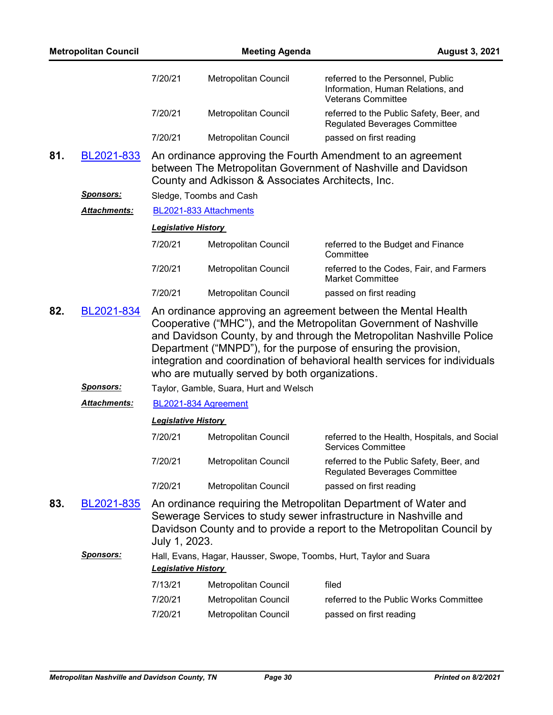|     | <b>Metropolitan Council</b> |                            | <b>Meeting Agenda</b>                             | <b>August 3, 2021</b>                                                                                                                                                                                                                                                                       |
|-----|-----------------------------|----------------------------|---------------------------------------------------|---------------------------------------------------------------------------------------------------------------------------------------------------------------------------------------------------------------------------------------------------------------------------------------------|
|     |                             | 7/20/21                    | Metropolitan Council                              | referred to the Personnel, Public<br>Information, Human Relations, and<br><b>Veterans Committee</b>                                                                                                                                                                                         |
|     |                             | 7/20/21                    | Metropolitan Council                              | referred to the Public Safety, Beer, and<br><b>Regulated Beverages Committee</b>                                                                                                                                                                                                            |
|     |                             | 7/20/21                    | Metropolitan Council                              | passed on first reading                                                                                                                                                                                                                                                                     |
| 81. | BL2021-833                  |                            | County and Adkisson & Associates Architects, Inc. | An ordinance approving the Fourth Amendment to an agreement<br>between The Metropolitan Government of Nashville and Davidson                                                                                                                                                                |
|     | <u>Sponsors:</u>            |                            | Sledge, Toombs and Cash                           |                                                                                                                                                                                                                                                                                             |
|     | Attachments:                |                            | BL2021-833 Attachments                            |                                                                                                                                                                                                                                                                                             |
|     |                             | <b>Legislative History</b> |                                                   |                                                                                                                                                                                                                                                                                             |
|     |                             | 7/20/21                    | Metropolitan Council                              | referred to the Budget and Finance<br>Committee                                                                                                                                                                                                                                             |
|     |                             | 7/20/21                    | Metropolitan Council                              | referred to the Codes, Fair, and Farmers<br><b>Market Committee</b>                                                                                                                                                                                                                         |
|     |                             | 7/20/21                    | Metropolitan Council                              | passed on first reading                                                                                                                                                                                                                                                                     |
|     |                             |                            | who are mutually served by both organizations.    | Cooperative ("MHC"), and the Metropolitan Government of Nashville<br>and Davidson County, by and through the Metropolitan Nashville Police<br>Department ("MNPD"), for the purpose of ensuring the provision,<br>integration and coordination of behavioral health services for individuals |
|     | <b>Sponsors:</b>            |                            | Taylor, Gamble, Suara, Hurt and Welsch            |                                                                                                                                                                                                                                                                                             |
|     | Attachments:                |                            | BL2021-834 Agreement                              |                                                                                                                                                                                                                                                                                             |
|     |                             | <b>Legislative History</b> |                                                   |                                                                                                                                                                                                                                                                                             |
|     |                             | 7/20/21                    | Metropolitan Council                              | referred to the Health, Hospitals, and Social<br>Services Committee                                                                                                                                                                                                                         |
|     |                             | 7/20/21                    | Metropolitan Council                              | referred to the Public Safety, Beer, and<br><b>Regulated Beverages Committee</b>                                                                                                                                                                                                            |
|     |                             | 7/20/21                    | Metropolitan Council                              | passed on first reading                                                                                                                                                                                                                                                                     |
| 83. | BL2021-835                  | July 1, 2023.              |                                                   | An ordinance requiring the Metropolitan Department of Water and<br>Sewerage Services to study sewer infrastructure in Nashville and<br>Davidson County and to provide a report to the Metropolitan Council by                                                                               |
|     | <u>Sponsors:</u>            | <b>Legislative History</b> |                                                   | Hall, Evans, Hagar, Hausser, Swope, Toombs, Hurt, Taylor and Suara                                                                                                                                                                                                                          |
|     |                             | 7/13/21                    | Metropolitan Council                              | filed                                                                                                                                                                                                                                                                                       |
|     |                             | 7/20/21                    | Metropolitan Council                              | referred to the Public Works Committee                                                                                                                                                                                                                                                      |
|     |                             | 7/20/21                    | Metropolitan Council                              | passed on first reading                                                                                                                                                                                                                                                                     |
|     |                             |                            |                                                   |                                                                                                                                                                                                                                                                                             |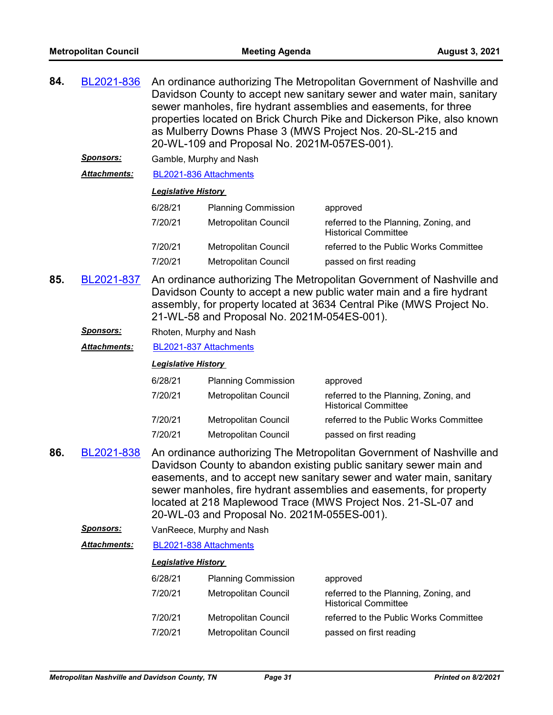| 84. | BL2021-836       | An ordinance authorizing The Metropolitan Government of Nashville and<br>Davidson County to accept new sanitary sewer and water main, sanitary<br>sewer manholes, fire hydrant assemblies and easements, for three<br>properties located on Brick Church Pike and Dickerson Pike, also known<br>as Mulberry Downs Phase 3 (MWS Project Nos. 20-SL-215 and<br>20-WL-109 and Proposal No. 2021M-057ES-001). |                                             |                                                                                                                                                                                                                                                                                                                                                             |  |
|-----|------------------|-----------------------------------------------------------------------------------------------------------------------------------------------------------------------------------------------------------------------------------------------------------------------------------------------------------------------------------------------------------------------------------------------------------|---------------------------------------------|-------------------------------------------------------------------------------------------------------------------------------------------------------------------------------------------------------------------------------------------------------------------------------------------------------------------------------------------------------------|--|
|     | <u>Sponsors:</u> |                                                                                                                                                                                                                                                                                                                                                                                                           | Gamble, Murphy and Nash                     |                                                                                                                                                                                                                                                                                                                                                             |  |
|     | Attachments:     | BL2021-836 Attachments                                                                                                                                                                                                                                                                                                                                                                                    |                                             |                                                                                                                                                                                                                                                                                                                                                             |  |
|     |                  | <b>Legislative History</b>                                                                                                                                                                                                                                                                                                                                                                                |                                             |                                                                                                                                                                                                                                                                                                                                                             |  |
|     |                  | 6/28/21                                                                                                                                                                                                                                                                                                                                                                                                   | <b>Planning Commission</b>                  | approved                                                                                                                                                                                                                                                                                                                                                    |  |
|     |                  | 7/20/21                                                                                                                                                                                                                                                                                                                                                                                                   | Metropolitan Council                        | referred to the Planning, Zoning, and<br><b>Historical Committee</b>                                                                                                                                                                                                                                                                                        |  |
|     |                  | 7/20/21                                                                                                                                                                                                                                                                                                                                                                                                   | Metropolitan Council                        | referred to the Public Works Committee                                                                                                                                                                                                                                                                                                                      |  |
|     |                  | 7/20/21                                                                                                                                                                                                                                                                                                                                                                                                   | <b>Metropolitan Council</b>                 | passed on first reading                                                                                                                                                                                                                                                                                                                                     |  |
| 85. | BL2021-837       | An ordinance authorizing The Metropolitan Government of Nashville and<br>Davidson County to accept a new public water main and a fire hydrant<br>assembly, for property located at 3634 Central Pike (MWS Project No.<br>21-WL-58 and Proposal No. 2021M-054ES-001).                                                                                                                                      |                                             |                                                                                                                                                                                                                                                                                                                                                             |  |
|     | <u>Sponsors:</u> | Rhoten, Murphy and Nash                                                                                                                                                                                                                                                                                                                                                                                   |                                             |                                                                                                                                                                                                                                                                                                                                                             |  |
|     | Attachments:     | BL2021-837 Attachments                                                                                                                                                                                                                                                                                                                                                                                    |                                             |                                                                                                                                                                                                                                                                                                                                                             |  |
|     |                  | <b>Legislative History</b>                                                                                                                                                                                                                                                                                                                                                                                |                                             |                                                                                                                                                                                                                                                                                                                                                             |  |
|     |                  |                                                                                                                                                                                                                                                                                                                                                                                                           |                                             |                                                                                                                                                                                                                                                                                                                                                             |  |
|     |                  | 6/28/21                                                                                                                                                                                                                                                                                                                                                                                                   | <b>Planning Commission</b>                  | approved                                                                                                                                                                                                                                                                                                                                                    |  |
|     |                  | 7/20/21                                                                                                                                                                                                                                                                                                                                                                                                   | Metropolitan Council                        | referred to the Planning, Zoning, and<br><b>Historical Committee</b>                                                                                                                                                                                                                                                                                        |  |
|     |                  | 7/20/21                                                                                                                                                                                                                                                                                                                                                                                                   | Metropolitan Council                        | referred to the Public Works Committee                                                                                                                                                                                                                                                                                                                      |  |
|     |                  | 7/20/21                                                                                                                                                                                                                                                                                                                                                                                                   | <b>Metropolitan Council</b>                 | passed on first reading                                                                                                                                                                                                                                                                                                                                     |  |
| 86. | BL2021-838       |                                                                                                                                                                                                                                                                                                                                                                                                           | 20-WL-03 and Proposal No. 2021M-055ES-001). | An ordinance authorizing The Metropolitan Government of Nashville and<br>Davidson County to abandon existing public sanitary sewer main and<br>easements, and to accept new sanitary sewer and water main, sanitary<br>sewer manholes, fire hydrant assemblies and easements, for property<br>located at 218 Maplewood Trace (MWS Project Nos. 21-SL-07 and |  |
|     | <u>Sponsors:</u> |                                                                                                                                                                                                                                                                                                                                                                                                           | VanReece, Murphy and Nash                   |                                                                                                                                                                                                                                                                                                                                                             |  |
|     | Attachments:     | BL2021-838 Attachments                                                                                                                                                                                                                                                                                                                                                                                    |                                             |                                                                                                                                                                                                                                                                                                                                                             |  |
|     |                  | <b>Legislative History</b>                                                                                                                                                                                                                                                                                                                                                                                |                                             |                                                                                                                                                                                                                                                                                                                                                             |  |
|     |                  | 6/28/21                                                                                                                                                                                                                                                                                                                                                                                                   | <b>Planning Commission</b>                  | approved                                                                                                                                                                                                                                                                                                                                                    |  |
|     |                  | 7/20/21                                                                                                                                                                                                                                                                                                                                                                                                   | <b>Metropolitan Council</b>                 | referred to the Planning, Zoning, and<br><b>Historical Committee</b>                                                                                                                                                                                                                                                                                        |  |
|     |                  | 7/20/21                                                                                                                                                                                                                                                                                                                                                                                                   | Metropolitan Council                        | referred to the Public Works Committee                                                                                                                                                                                                                                                                                                                      |  |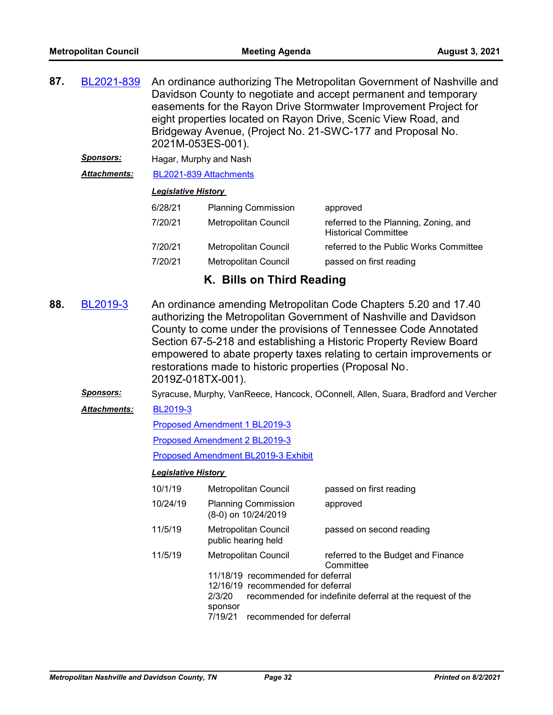| 87. | BL2021-839 | An ordinance authorizing The Metropolitan Government of Nashville and |
|-----|------------|-----------------------------------------------------------------------|
|     |            | Davidson County to negotiate and accept permanent and temporary       |
|     |            | easements for the Rayon Drive Stormwater Improvement Project for      |
|     |            | eight properties located on Rayon Drive, Scenic View Road, and        |
|     |            | Bridgeway Avenue, (Project No. 21-SWC-177 and Proposal No.            |
|     |            | 2021M-053ES-001).                                                     |

*Sponsors:* Hagar, Murphy and Nash

*Attachments:* [BL2021-839 Attachments](http://nashville.legistar.com/gateway.aspx?M=F&ID=16ad1ae5-89f2-4bf2-9659-509d6b622017.pdf)

#### *Legislative History*

| 6/28/21 | <b>Planning Commission</b> | approved                                                             |
|---------|----------------------------|----------------------------------------------------------------------|
| 7/20/21 | Metropolitan Council       | referred to the Planning, Zoning, and<br><b>Historical Committee</b> |
| 7/20/21 | Metropolitan Council       | referred to the Public Works Committee                               |
| 7/20/21 | Metropolitan Council       | passed on first reading                                              |

## **K. Bills on Third Reading**

- An ordinance amending Metropolitan Code Chapters 5.20 and 17.40 authorizing the Metropolitan Government of Nashville and Davidson County to come under the provisions of Tennessee Code Annotated Section 67-5-218 and establishing a Historic Property Review Board empowered to abate property taxes relating to certain improvements or restorations made to historic properties (Proposal No. 2019Z-018TX-001). **88.** [BL2019-3](http://nashville.legistar.com/gateway.aspx?m=l&id=/matter.aspx?key=1476)
	- Sponsors: Syracuse, Murphy, VanReece, Hancock, OConnell, Allen, Suara, Bradford and Vercher

#### [BL2019-3](http://nashville.legistar.com/gateway.aspx?M=F&ID=5a3de9be-e4dd-4fd2-a927-a6e565f9d33e.docx) *Attachments:*

[Proposed Amendment 1 BL2019-3](http://nashville.legistar.com/gateway.aspx?M=F&ID=2aaf932a-7d34-4b6c-a193-89d26c2517c1.docx)

[Proposed Amendment 2 BL2019-3](http://nashville.legistar.com/gateway.aspx?M=F&ID=837d1455-7d01-443a-b077-689b034c31df.docx)

[Proposed Amendment BL2019-3 Exhibit](http://nashville.legistar.com/gateway.aspx?M=F&ID=e3581fc3-792b-4b20-8b24-5436a7e0bafc.pdf)

| 10/1/19  | <b>Metropolitan Council</b>                       | passed on first reading                                   |  |  |
|----------|---------------------------------------------------|-----------------------------------------------------------|--|--|
| 10/24/19 | <b>Planning Commission</b><br>(8-0) on 10/24/2019 | approved                                                  |  |  |
| 11/5/19  | Metropolitan Council<br>public hearing held       | passed on second reading                                  |  |  |
| 11/5/19  | Metropolitan Council                              | referred to the Budget and Finance<br>Committee           |  |  |
|          | 11/18/19 recommended for deferral                 |                                                           |  |  |
|          | 12/16/19 recommended for deferral                 |                                                           |  |  |
|          | 2/3/20                                            | recommended for indefinite deferral at the request of the |  |  |
|          | sponsor                                           |                                                           |  |  |
|          | 7/19/21<br>recommended for deferral               |                                                           |  |  |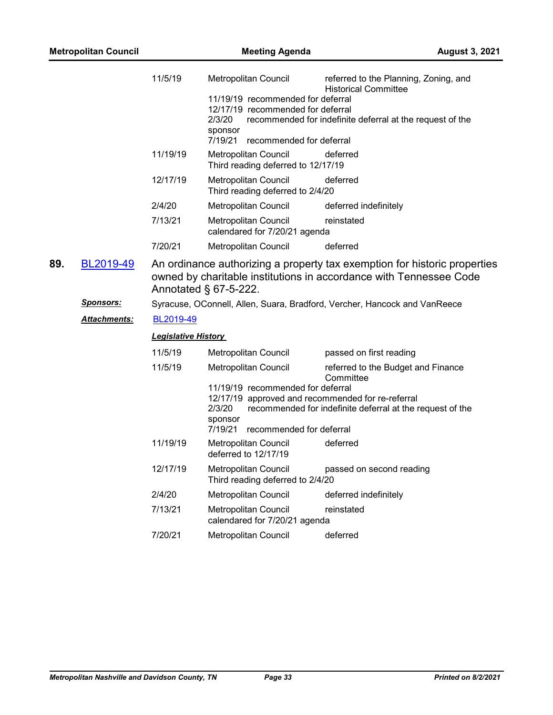| <b>Metropolitan Council</b> |                                         | <b>Meeting Agenda</b>                                                                                                                                      |                                                                                                                                   | <b>August 3, 2021</b>                                                                                                                           |
|-----------------------------|-----------------------------------------|------------------------------------------------------------------------------------------------------------------------------------------------------------|-----------------------------------------------------------------------------------------------------------------------------------|-------------------------------------------------------------------------------------------------------------------------------------------------|
|                             | 11/5/19                                 | Metropolitan Council<br>11/19/19 recommended for deferral<br>12/17/19 recommended for deferral<br>2/3/20<br>sponsor<br>7/19/21<br>recommended for deferral | referred to the Planning, Zoning, and<br><b>Historical Committee</b><br>recommended for indefinite deferral at the request of the |                                                                                                                                                 |
|                             |                                         | 11/19/19                                                                                                                                                   | Metropolitan Council<br>Third reading deferred to 12/17/19                                                                        | deferred                                                                                                                                        |
|                             |                                         | 12/17/19                                                                                                                                                   | Metropolitan Council<br>Third reading deferred to 2/4/20                                                                          | deferred                                                                                                                                        |
|                             |                                         | 2/4/20                                                                                                                                                     | Metropolitan Council                                                                                                              | deferred indefinitely                                                                                                                           |
|                             |                                         | 7/13/21                                                                                                                                                    | Metropolitan Council<br>calendared for 7/20/21 agenda                                                                             | reinstated                                                                                                                                      |
|                             |                                         | 7/20/21                                                                                                                                                    | <b>Metropolitan Council</b>                                                                                                       | deferred                                                                                                                                        |
|                             | <b>Sponsors:</b><br><u>Attachments:</u> | BL2019-49                                                                                                                                                  | Annotated § 67-5-222.                                                                                                             | owned by charitable institutions in accordance with Tennessee Code<br>Syracuse, OConnell, Allen, Suara, Bradford, Vercher, Hancock and VanReece |
|                             |                                         | <b>Legislative History</b>                                                                                                                                 |                                                                                                                                   |                                                                                                                                                 |
|                             |                                         | 11/5/19                                                                                                                                                    | Metropolitan Council                                                                                                              | passed on first reading                                                                                                                         |
|                             |                                         | 11/5/19                                                                                                                                                    | Metropolitan Council<br>11/19/19 recommended for deferral<br>12/17/19 approved and recommended for re-referral<br>2/3/20          | referred to the Budget and Finance<br>Committee<br>recommended for indefinite deferral at the request of the                                    |
|                             |                                         |                                                                                                                                                            | sponsor<br>7/19/21<br>recommended for deferral                                                                                    |                                                                                                                                                 |
|                             |                                         | 11/19/19                                                                                                                                                   | Metropolitan Council<br>deferred to 12/17/19                                                                                      | deferred                                                                                                                                        |
|                             |                                         | 12/17/19                                                                                                                                                   | <b>Metropolitan Council</b><br>Third reading deferred to 2/4/20                                                                   | passed on second reading                                                                                                                        |
|                             |                                         | 2/4/20                                                                                                                                                     | Metropolitan Council                                                                                                              | deferred indefinitely                                                                                                                           |
|                             |                                         | 7/13/21                                                                                                                                                    | Metropolitan Council<br>calendared for 7/20/21 agenda                                                                             | reinstated                                                                                                                                      |
|                             |                                         | 7/20/21                                                                                                                                                    | Metropolitan Council                                                                                                              | deferred                                                                                                                                        |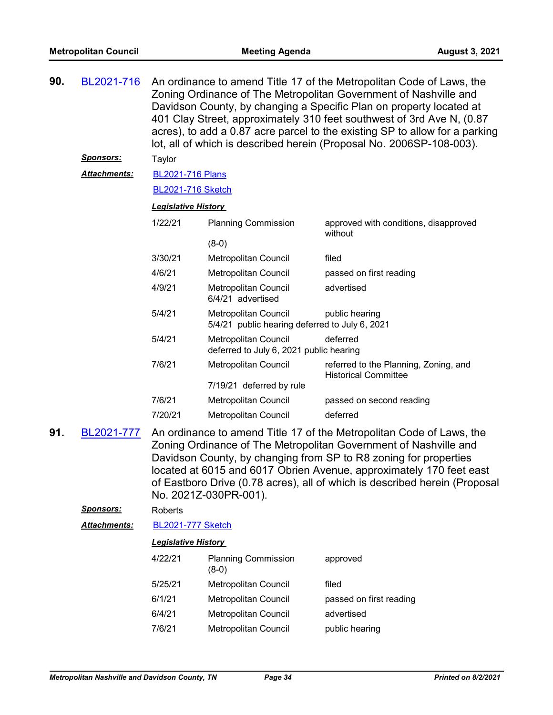| 90. | BL2021-716          | An ordinance to amend Title 17 of the Metropolitan Code of Laws, the<br>Zoning Ordinance of The Metropolitan Government of Nashville and<br>Davidson County, by changing a Specific Plan on property located at<br>401 Clay Street, approximately 310 feet southwest of 3rd Ave N, (0.87<br>acres), to add a 0.87 acre parcel to the existing SP to allow for a parking<br>lot, all of which is described herein (Proposal No. 2006SP-108-003). |                                                                               |                                                                      |  |  |
|-----|---------------------|-------------------------------------------------------------------------------------------------------------------------------------------------------------------------------------------------------------------------------------------------------------------------------------------------------------------------------------------------------------------------------------------------------------------------------------------------|-------------------------------------------------------------------------------|----------------------------------------------------------------------|--|--|
|     | <u>Sponsors:</u>    | Taylor                                                                                                                                                                                                                                                                                                                                                                                                                                          |                                                                               |                                                                      |  |  |
|     | <b>Attachments:</b> | <b>BL2021-716 Plans</b>                                                                                                                                                                                                                                                                                                                                                                                                                         |                                                                               |                                                                      |  |  |
|     |                     | <b>BL2021-716 Sketch</b>                                                                                                                                                                                                                                                                                                                                                                                                                        |                                                                               |                                                                      |  |  |
|     |                     | <b>Legislative History</b>                                                                                                                                                                                                                                                                                                                                                                                                                      |                                                                               |                                                                      |  |  |
|     |                     | 1/22/21                                                                                                                                                                                                                                                                                                                                                                                                                                         | <b>Planning Commission</b>                                                    | approved with conditions, disapproved<br>without                     |  |  |
|     |                     |                                                                                                                                                                                                                                                                                                                                                                                                                                                 | $(8-0)$                                                                       |                                                                      |  |  |
|     |                     | 3/30/21                                                                                                                                                                                                                                                                                                                                                                                                                                         | Metropolitan Council                                                          | filed                                                                |  |  |
|     |                     | 4/6/21                                                                                                                                                                                                                                                                                                                                                                                                                                          | Metropolitan Council                                                          | passed on first reading                                              |  |  |
|     |                     | 4/9/21                                                                                                                                                                                                                                                                                                                                                                                                                                          | <b>Metropolitan Council</b><br>6/4/21 advertised                              | advertised                                                           |  |  |
|     |                     | 5/4/21                                                                                                                                                                                                                                                                                                                                                                                                                                          | <b>Metropolitan Council</b><br>5/4/21 public hearing deferred to July 6, 2021 | public hearing                                                       |  |  |
|     |                     | 5/4/21                                                                                                                                                                                                                                                                                                                                                                                                                                          | <b>Metropolitan Council</b><br>deferred to July 6, 2021 public hearing        | deferred                                                             |  |  |
|     |                     | 7/6/21                                                                                                                                                                                                                                                                                                                                                                                                                                          | <b>Metropolitan Council</b>                                                   | referred to the Planning, Zoning, and<br><b>Historical Committee</b> |  |  |
|     |                     |                                                                                                                                                                                                                                                                                                                                                                                                                                                 | 7/19/21 deferred by rule                                                      |                                                                      |  |  |
|     |                     | 7/6/21                                                                                                                                                                                                                                                                                                                                                                                                                                          | <b>Metropolitan Council</b>                                                   | passed on second reading                                             |  |  |
|     |                     | 7/20/21                                                                                                                                                                                                                                                                                                                                                                                                                                         | <b>Metropolitan Council</b>                                                   | deferred                                                             |  |  |
|     |                     |                                                                                                                                                                                                                                                                                                                                                                                                                                                 |                                                                               |                                                                      |  |  |

An ordinance to amend Title 17 of the Metropolitan Code of Laws, the Zoning Ordinance of The Metropolitan Government of Nashville and Davidson County, by changing from SP to R8 zoning for properties located at 6015 and 6017 Obrien Avenue, approximately 170 feet east of Eastboro Drive (0.78 acres), all of which is described herein (Proposal No. 2021Z-030PR-001). **91.** [BL2021-777](http://nashville.legistar.com/gateway.aspx?m=l&id=/matter.aspx?key=2298)

*Sponsors:* Roberts

*Attachments:* [BL2021-777 Sketch](http://nashville.legistar.com/gateway.aspx?M=F&ID=5b4291d4-a353-4f97-a3c1-8a7501ca367d.docx)

| 4/22/21 | <b>Planning Commission</b><br>(8-0) | approved                |
|---------|-------------------------------------|-------------------------|
| 5/25/21 | Metropolitan Council                | filed                   |
| 6/1/21  | <b>Metropolitan Council</b>         | passed on first reading |
| 6/4/21  | Metropolitan Council                | advertised              |
| 7/6/21  | Metropolitan Council                | public hearing          |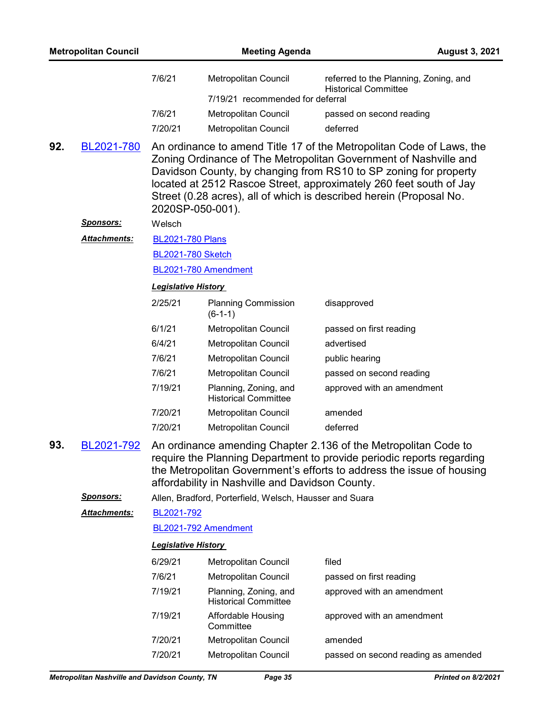|     | <b>Metropolitan Council</b> |                            | <b>Meeting Agenda</b>                                    | <b>August 3, 2021</b>                                                                                                                                                                                                                                                                                                                                     |  |
|-----|-----------------------------|----------------------------|----------------------------------------------------------|-----------------------------------------------------------------------------------------------------------------------------------------------------------------------------------------------------------------------------------------------------------------------------------------------------------------------------------------------------------|--|
|     |                             | 7/6/21                     | Metropolitan Council<br>7/19/21 recommended for deferral | referred to the Planning, Zoning, and<br><b>Historical Committee</b>                                                                                                                                                                                                                                                                                      |  |
|     |                             | 7/6/21                     | Metropolitan Council                                     | passed on second reading                                                                                                                                                                                                                                                                                                                                  |  |
|     |                             | 7/20/21                    | Metropolitan Council                                     | deferred                                                                                                                                                                                                                                                                                                                                                  |  |
| 92. | BL2021-780                  | 2020SP-050-001).           |                                                          | An ordinance to amend Title 17 of the Metropolitan Code of Laws, the<br>Zoning Ordinance of The Metropolitan Government of Nashville and<br>Davidson County, by changing from RS10 to SP zoning for property<br>located at 2512 Rascoe Street, approximately 260 feet south of Jay<br>Street (0.28 acres), all of which is described herein (Proposal No. |  |
|     | <u>Sponsors:</u>            | Welsch                     |                                                          |                                                                                                                                                                                                                                                                                                                                                           |  |
|     | <b>Attachments:</b>         | <b>BL2021-780 Plans</b>    |                                                          |                                                                                                                                                                                                                                                                                                                                                           |  |
|     |                             | <b>BL2021-780 Sketch</b>   |                                                          |                                                                                                                                                                                                                                                                                                                                                           |  |
|     |                             |                            | BL2021-780 Amendment                                     |                                                                                                                                                                                                                                                                                                                                                           |  |
|     |                             | <b>Legislative History</b> |                                                          |                                                                                                                                                                                                                                                                                                                                                           |  |
|     |                             | 2/25/21                    | <b>Planning Commission</b><br>$(6-1-1)$                  | disapproved                                                                                                                                                                                                                                                                                                                                               |  |
|     |                             | 6/1/21                     | Metropolitan Council                                     | passed on first reading                                                                                                                                                                                                                                                                                                                                   |  |
|     |                             | 6/4/21                     | Metropolitan Council                                     | advertised                                                                                                                                                                                                                                                                                                                                                |  |
|     |                             | 7/6/21                     | Metropolitan Council                                     | public hearing                                                                                                                                                                                                                                                                                                                                            |  |
|     |                             | 7/6/21                     | Metropolitan Council                                     | passed on second reading                                                                                                                                                                                                                                                                                                                                  |  |
|     |                             | 7/19/21                    | Planning, Zoning, and<br><b>Historical Committee</b>     | approved with an amendment                                                                                                                                                                                                                                                                                                                                |  |
|     |                             | 7/20/21                    | Metropolitan Council                                     | amended                                                                                                                                                                                                                                                                                                                                                   |  |
|     |                             | 7/20/21                    | Metropolitan Council                                     | deferred                                                                                                                                                                                                                                                                                                                                                  |  |
| 93. | BL2021-792                  |                            | affordability in Nashville and Davidson County.          | An ordinance amending Chapter 2.136 of the Metropolitan Code to<br>require the Planning Department to provide periodic reports regarding<br>the Metropolitan Government's efforts to address the issue of housing                                                                                                                                         |  |
|     | <b>Sponsors:</b>            |                            | Allen, Bradford, Porterfield, Welsch, Hausser and Suara  |                                                                                                                                                                                                                                                                                                                                                           |  |
|     | Attachments:                | BL2021-792                 |                                                          |                                                                                                                                                                                                                                                                                                                                                           |  |
|     |                             |                            | BL2021-792 Amendment                                     |                                                                                                                                                                                                                                                                                                                                                           |  |
|     |                             | <b>Legislative History</b> |                                                          |                                                                                                                                                                                                                                                                                                                                                           |  |
|     |                             | 6/29/21                    | Metropolitan Council                                     | filed                                                                                                                                                                                                                                                                                                                                                     |  |
|     |                             | 7/6/21                     | Metropolitan Council                                     | passed on first reading                                                                                                                                                                                                                                                                                                                                   |  |
|     |                             | 7/19/21                    | Planning, Zoning, and<br><b>Historical Committee</b>     | approved with an amendment                                                                                                                                                                                                                                                                                                                                |  |
|     |                             | 7/19/21                    | Affordable Housing<br>Committee                          | approved with an amendment                                                                                                                                                                                                                                                                                                                                |  |
|     |                             | 7/20/21                    | Metropolitan Council                                     | amended                                                                                                                                                                                                                                                                                                                                                   |  |
|     |                             | 7/20/21                    | Metropolitan Council                                     | passed on second reading as amended                                                                                                                                                                                                                                                                                                                       |  |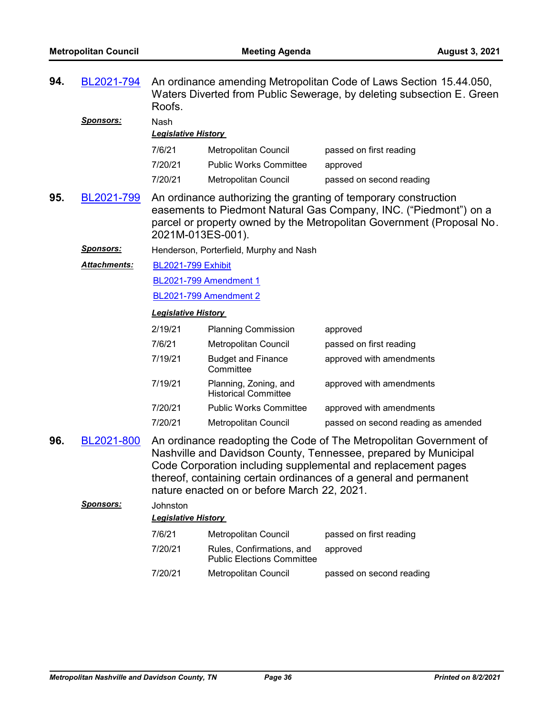| 94. | BL2021-794<br><b>Sponsors:</b> | An ordinance amending Metropolitan Code of Laws Section 15.44.050,<br>Waters Diverted from Public Sewerage, by deleting subsection E. Green<br>Roofs.<br>Nash |                                                                |                                                                                                                                                                                                                                                                             |
|-----|--------------------------------|---------------------------------------------------------------------------------------------------------------------------------------------------------------|----------------------------------------------------------------|-----------------------------------------------------------------------------------------------------------------------------------------------------------------------------------------------------------------------------------------------------------------------------|
|     |                                | <b>Legislative History</b>                                                                                                                                    |                                                                |                                                                                                                                                                                                                                                                             |
|     |                                | 7/6/21                                                                                                                                                        | Metropolitan Council                                           | passed on first reading                                                                                                                                                                                                                                                     |
|     |                                | 7/20/21                                                                                                                                                       | <b>Public Works Committee</b>                                  | approved                                                                                                                                                                                                                                                                    |
|     |                                | 7/20/21                                                                                                                                                       | Metropolitan Council                                           | passed on second reading                                                                                                                                                                                                                                                    |
| 95. | BL2021-799                     | 2021M-013ES-001).                                                                                                                                             |                                                                | An ordinance authorizing the granting of temporary construction<br>easements to Piedmont Natural Gas Company, INC. ("Piedmont") on a<br>parcel or property owned by the Metropolitan Government (Proposal No.                                                               |
|     | <u>Sponsors:</u>               |                                                                                                                                                               | Henderson, Porterfield, Murphy and Nash                        |                                                                                                                                                                                                                                                                             |
|     | Attachments:                   | <b>BL2021-799 Exhibit</b>                                                                                                                                     |                                                                |                                                                                                                                                                                                                                                                             |
|     |                                |                                                                                                                                                               | BL2021-799 Amendment 1                                         |                                                                                                                                                                                                                                                                             |
|     |                                |                                                                                                                                                               | <b>BL2021-799 Amendment 2</b>                                  |                                                                                                                                                                                                                                                                             |
|     |                                | <b>Legislative History</b>                                                                                                                                    |                                                                |                                                                                                                                                                                                                                                                             |
|     |                                | 2/19/21                                                                                                                                                       | <b>Planning Commission</b>                                     | approved                                                                                                                                                                                                                                                                    |
|     |                                | 7/6/21                                                                                                                                                        | Metropolitan Council                                           | passed on first reading                                                                                                                                                                                                                                                     |
|     |                                | 7/19/21                                                                                                                                                       | <b>Budget and Finance</b><br>Committee                         | approved with amendments                                                                                                                                                                                                                                                    |
|     |                                | 7/19/21                                                                                                                                                       | Planning, Zoning, and                                          | approved with amendments                                                                                                                                                                                                                                                    |
|     |                                |                                                                                                                                                               | <b>Historical Committee</b>                                    |                                                                                                                                                                                                                                                                             |
|     |                                | 7/20/21                                                                                                                                                       | <b>Public Works Committee</b>                                  | approved with amendments                                                                                                                                                                                                                                                    |
|     |                                | 7/20/21                                                                                                                                                       | Metropolitan Council                                           | passed on second reading as amended                                                                                                                                                                                                                                         |
| 96. | BL2021-800                     |                                                                                                                                                               | nature enacted on or before March 22, 2021.                    | An ordinance readopting the Code of The Metropolitan Government of<br>Nashville and Davidson County, Tennessee, prepared by Municipal<br>Code Corporation including supplemental and replacement pages<br>thereof, containing certain ordinances of a general and permanent |
|     | <b>Sponsors:</b>               | Johnston                                                                                                                                                      |                                                                |                                                                                                                                                                                                                                                                             |
|     |                                | <b>Legislative History</b>                                                                                                                                    |                                                                |                                                                                                                                                                                                                                                                             |
|     |                                | 7/6/21                                                                                                                                                        | <b>Metropolitan Council</b>                                    | passed on first reading                                                                                                                                                                                                                                                     |
|     |                                | 7/20/21                                                                                                                                                       | Rules, Confirmations, and<br><b>Public Elections Committee</b> | approved                                                                                                                                                                                                                                                                    |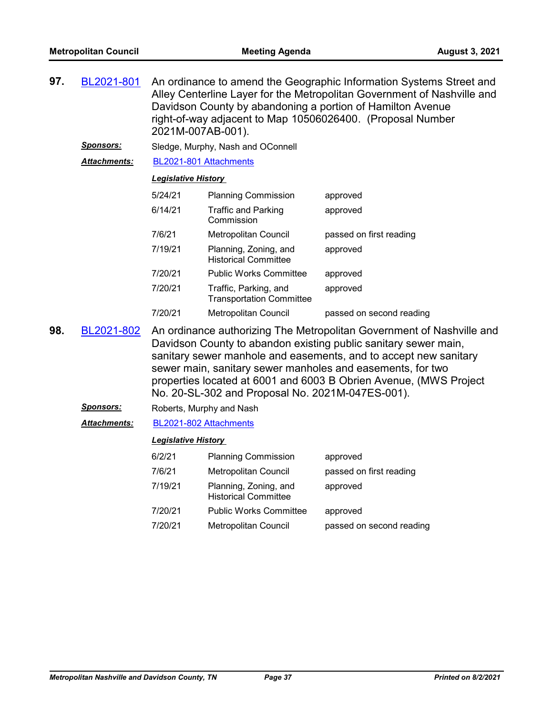| 97. | BL2021-801          | An ordinance to amend the Geographic Information Systems Street and<br>Alley Centerline Layer for the Metropolitan Government of Nashville and<br>Davidson County by abandoning a portion of Hamilton Avenue<br>right-of-way adjacent to Map 10506026400. (Proposal Number<br>2021M-007AB-001). |                                                          |                          |  |  |
|-----|---------------------|-------------------------------------------------------------------------------------------------------------------------------------------------------------------------------------------------------------------------------------------------------------------------------------------------|----------------------------------------------------------|--------------------------|--|--|
|     | Sponsors:           |                                                                                                                                                                                                                                                                                                 | Sledge, Murphy, Nash and OConnell                        |                          |  |  |
|     | <b>Attachments:</b> | BL2021-801 Attachments                                                                                                                                                                                                                                                                          |                                                          |                          |  |  |
|     |                     | <b>Legislative History</b>                                                                                                                                                                                                                                                                      |                                                          |                          |  |  |
|     |                     | 5/24/21                                                                                                                                                                                                                                                                                         | <b>Planning Commission</b>                               | approved                 |  |  |
|     |                     | 6/14/21                                                                                                                                                                                                                                                                                         | <b>Traffic and Parking</b><br>Commission                 | approved                 |  |  |
|     |                     | 7/6/21                                                                                                                                                                                                                                                                                          | Metropolitan Council                                     | passed on first reading  |  |  |
|     |                     | 7/19/21                                                                                                                                                                                                                                                                                         | Planning, Zoning, and<br><b>Historical Committee</b>     | approved                 |  |  |
|     |                     | 7/20/21                                                                                                                                                                                                                                                                                         | <b>Public Works Committee</b>                            | approved                 |  |  |
|     |                     | 7/20/21                                                                                                                                                                                                                                                                                         | Traffic, Parking, and<br><b>Transportation Committee</b> | approved                 |  |  |
|     |                     | 7/20/21                                                                                                                                                                                                                                                                                         | Metropolitan Council                                     | passed on second reading |  |  |
|     |                     |                                                                                                                                                                                                                                                                                                 |                                                          |                          |  |  |

- An ordinance authorizing The Metropolitan Government of Nashville and Davidson County to abandon existing public sanitary sewer main, sanitary sewer manhole and easements, and to accept new sanitary sewer main, sanitary sewer manholes and easements, for two properties located at 6001 and 6003 B Obrien Avenue, (MWS Project No. 20-SL-302 and Proposal No. 2021M-047ES-001). **98.** [BL2021-802](http://nashville.legistar.com/gateway.aspx?m=l&id=/matter.aspx?key=2406)
	- **Sponsors:** Roberts, Murphy and Nash

#### *Attachments:* [BL2021-802 Attachments](http://nashville.legistar.com/gateway.aspx?M=F&ID=2dde0f0f-f768-464c-a669-dbb9a88b102f.pdf)

| 6/2/21  | <b>Planning Commission</b>                           | approved                 |
|---------|------------------------------------------------------|--------------------------|
| 7/6/21  | <b>Metropolitan Council</b>                          | passed on first reading  |
| 7/19/21 | Planning, Zoning, and<br><b>Historical Committee</b> | approved                 |
| 7/20/21 | <b>Public Works Committee</b>                        | approved                 |
| 7/20/21 | Metropolitan Council                                 | passed on second reading |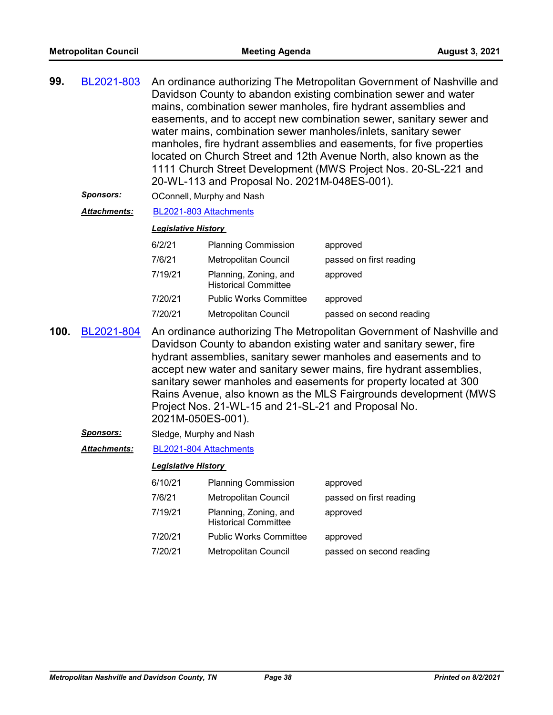| 99. | BL2021-803 | An ordinance authorizing The Metropolitan Government of Nashville and |
|-----|------------|-----------------------------------------------------------------------|
|     |            | Davidson County to abandon existing combination sewer and water       |
|     |            | mains, combination sewer manholes, fire hydrant assemblies and        |
|     |            | easements, and to accept new combination sewer, sanitary sewer and    |
|     |            | water mains, combination sewer manholes/inlets, sanitary sewer        |
|     |            | manholes, fire hydrant assemblies and easements, for five properties  |
|     |            | located on Church Street and 12th Avenue North, also known as the     |
|     |            | 1111 Church Street Development (MWS Project Nos. 20-SL-221 and        |
|     |            | 20-WL-113 and Proposal No. 2021M-048ES-001).                          |
|     |            |                                                                       |

**Sponsors: OConnell, Murphy and Nash** 

#### *Attachments:* [BL2021-803 Attachments](http://nashville.legistar.com/gateway.aspx?M=F&ID=a29df99e-f65f-4cf2-a755-39f3431e66a0.pdf)

#### *Legislative History*

| 6/2/21  | <b>Planning Commission</b>                           | approved                 |
|---------|------------------------------------------------------|--------------------------|
| 7/6/21  | Metropolitan Council                                 | passed on first reading  |
| 7/19/21 | Planning, Zoning, and<br><b>Historical Committee</b> | approved                 |
| 7/20/21 | <b>Public Works Committee</b>                        | approved                 |
| 7/20/21 | Metropolitan Council                                 | passed on second reading |

- An ordinance authorizing The Metropolitan Government of Nashville and Davidson County to abandon existing water and sanitary sewer, fire hydrant assemblies, sanitary sewer manholes and easements and to accept new water and sanitary sewer mains, fire hydrant assemblies, sanitary sewer manholes and easements for property located at 300 Rains Avenue, also known as the MLS Fairgrounds development (MWS Project Nos. 21-WL-15 and 21-SL-21 and Proposal No. 2021M-050ES-001). **100.** [BL2021-804](http://nashville.legistar.com/gateway.aspx?m=l&id=/matter.aspx?key=2412)
	- *Sponsors:* Sledge, Murphy and Nash

#### *Attachments:* [BL2021-804 Attachments](http://nashville.legistar.com/gateway.aspx?M=F&ID=314d2089-a2a1-4b70-85f6-99e48d9805a6.pdf)

| 6/10/21 | <b>Planning Commission</b>                           | approved                 |
|---------|------------------------------------------------------|--------------------------|
| 7/6/21  | Metropolitan Council                                 | passed on first reading  |
| 7/19/21 | Planning, Zoning, and<br><b>Historical Committee</b> | approved                 |
| 7/20/21 | <b>Public Works Committee</b>                        | approved                 |
| 7/20/21 | Metropolitan Council                                 | passed on second reading |
|         |                                                      |                          |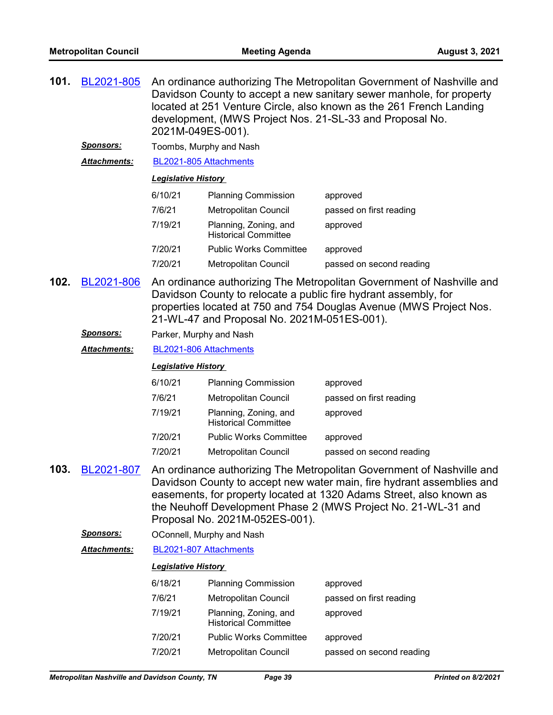| 101. | BL2021-805                                                                                                                                                                                                                                                                  | An ordinance authorizing The Metropolitan Government of Nashville and<br>Davidson County to accept a new sanitary sewer manhole, for property<br>located at 251 Venture Circle, also known as the 261 French Landing<br>development, (MWS Project Nos. 21-SL-33 and Proposal No.<br>2021M-049ES-001). |                                                      |                                                                                                                                                                                                                                                                                        |  |
|------|-----------------------------------------------------------------------------------------------------------------------------------------------------------------------------------------------------------------------------------------------------------------------------|-------------------------------------------------------------------------------------------------------------------------------------------------------------------------------------------------------------------------------------------------------------------------------------------------------|------------------------------------------------------|----------------------------------------------------------------------------------------------------------------------------------------------------------------------------------------------------------------------------------------------------------------------------------------|--|
|      | <u>Sponsors:</u>                                                                                                                                                                                                                                                            | Toombs, Murphy and Nash<br>BL2021-805 Attachments                                                                                                                                                                                                                                                     |                                                      |                                                                                                                                                                                                                                                                                        |  |
|      | Attachments:                                                                                                                                                                                                                                                                |                                                                                                                                                                                                                                                                                                       |                                                      |                                                                                                                                                                                                                                                                                        |  |
|      |                                                                                                                                                                                                                                                                             | <b>Legislative History</b>                                                                                                                                                                                                                                                                            |                                                      |                                                                                                                                                                                                                                                                                        |  |
|      |                                                                                                                                                                                                                                                                             | 6/10/21                                                                                                                                                                                                                                                                                               | <b>Planning Commission</b>                           | approved                                                                                                                                                                                                                                                                               |  |
|      |                                                                                                                                                                                                                                                                             | 7/6/21                                                                                                                                                                                                                                                                                                | <b>Metropolitan Council</b>                          | passed on first reading                                                                                                                                                                                                                                                                |  |
|      |                                                                                                                                                                                                                                                                             | 7/19/21                                                                                                                                                                                                                                                                                               | Planning, Zoning, and<br><b>Historical Committee</b> | approved                                                                                                                                                                                                                                                                               |  |
|      |                                                                                                                                                                                                                                                                             | 7/20/21                                                                                                                                                                                                                                                                                               | <b>Public Works Committee</b>                        | approved                                                                                                                                                                                                                                                                               |  |
|      |                                                                                                                                                                                                                                                                             | 7/20/21                                                                                                                                                                                                                                                                                               | Metropolitan Council                                 | passed on second reading                                                                                                                                                                                                                                                               |  |
| 102. | An ordinance authorizing The Metropolitan Government of Nashville and<br>BL2021-806<br>Davidson County to relocate a public fire hydrant assembly, for<br>properties located at 750 and 754 Douglas Avenue (MWS Project Nos.<br>21-WL-47 and Proposal No. 2021M-051ES-001). |                                                                                                                                                                                                                                                                                                       |                                                      |                                                                                                                                                                                                                                                                                        |  |
|      | <u>Sponsors:</u>                                                                                                                                                                                                                                                            | Parker, Murphy and Nash                                                                                                                                                                                                                                                                               |                                                      |                                                                                                                                                                                                                                                                                        |  |
|      | Attachments:                                                                                                                                                                                                                                                                | BL2021-806 Attachments                                                                                                                                                                                                                                                                                |                                                      |                                                                                                                                                                                                                                                                                        |  |
|      |                                                                                                                                                                                                                                                                             | <b>Legislative History</b>                                                                                                                                                                                                                                                                            |                                                      |                                                                                                                                                                                                                                                                                        |  |
|      |                                                                                                                                                                                                                                                                             | 6/10/21                                                                                                                                                                                                                                                                                               | <b>Planning Commission</b>                           | approved                                                                                                                                                                                                                                                                               |  |
|      |                                                                                                                                                                                                                                                                             | 7/6/21                                                                                                                                                                                                                                                                                                | Metropolitan Council                                 | passed on first reading                                                                                                                                                                                                                                                                |  |
|      |                                                                                                                                                                                                                                                                             | 7/19/21                                                                                                                                                                                                                                                                                               | Planning, Zoning, and<br><b>Historical Committee</b> | approved                                                                                                                                                                                                                                                                               |  |
|      |                                                                                                                                                                                                                                                                             | 7/20/21                                                                                                                                                                                                                                                                                               | <b>Public Works Committee</b>                        | approved                                                                                                                                                                                                                                                                               |  |
|      |                                                                                                                                                                                                                                                                             | 7/20/21                                                                                                                                                                                                                                                                                               | Metropolitan Council                                 | passed on second reading                                                                                                                                                                                                                                                               |  |
| 103. | BL2021-807                                                                                                                                                                                                                                                                  |                                                                                                                                                                                                                                                                                                       | Proposal No. 2021M-052ES-001).                       | An ordinance authorizing The Metropolitan Government of Nashville and<br>Davidson County to accept new water main, fire hydrant assemblies and<br>easements, for property located at 1320 Adams Street, also known as<br>the Neuhoff Development Phase 2 (MWS Project No. 21-WL-31 and |  |
|      | <u>Sponsors:</u>                                                                                                                                                                                                                                                            |                                                                                                                                                                                                                                                                                                       | OConnell, Murphy and Nash                            |                                                                                                                                                                                                                                                                                        |  |
|      | <u> Attachments:</u>                                                                                                                                                                                                                                                        | BL2021-807 Attachments                                                                                                                                                                                                                                                                                |                                                      |                                                                                                                                                                                                                                                                                        |  |
|      |                                                                                                                                                                                                                                                                             | <b>Legislative History</b>                                                                                                                                                                                                                                                                            |                                                      |                                                                                                                                                                                                                                                                                        |  |
|      |                                                                                                                                                                                                                                                                             | 6/18/21                                                                                                                                                                                                                                                                                               | <b>Planning Commission</b>                           | approved                                                                                                                                                                                                                                                                               |  |
|      |                                                                                                                                                                                                                                                                             | 7/6/21                                                                                                                                                                                                                                                                                                | Metropolitan Council                                 | passed on first reading                                                                                                                                                                                                                                                                |  |
|      |                                                                                                                                                                                                                                                                             | 7/19/21                                                                                                                                                                                                                                                                                               | Planning, Zoning, and<br><b>Historical Committee</b> | approved                                                                                                                                                                                                                                                                               |  |
|      |                                                                                                                                                                                                                                                                             | 7/20/21                                                                                                                                                                                                                                                                                               | <b>Public Works Committee</b>                        | approved                                                                                                                                                                                                                                                                               |  |
|      |                                                                                                                                                                                                                                                                             | 7/20/21                                                                                                                                                                                                                                                                                               | Metropolitan Council                                 | passed on second reading                                                                                                                                                                                                                                                               |  |